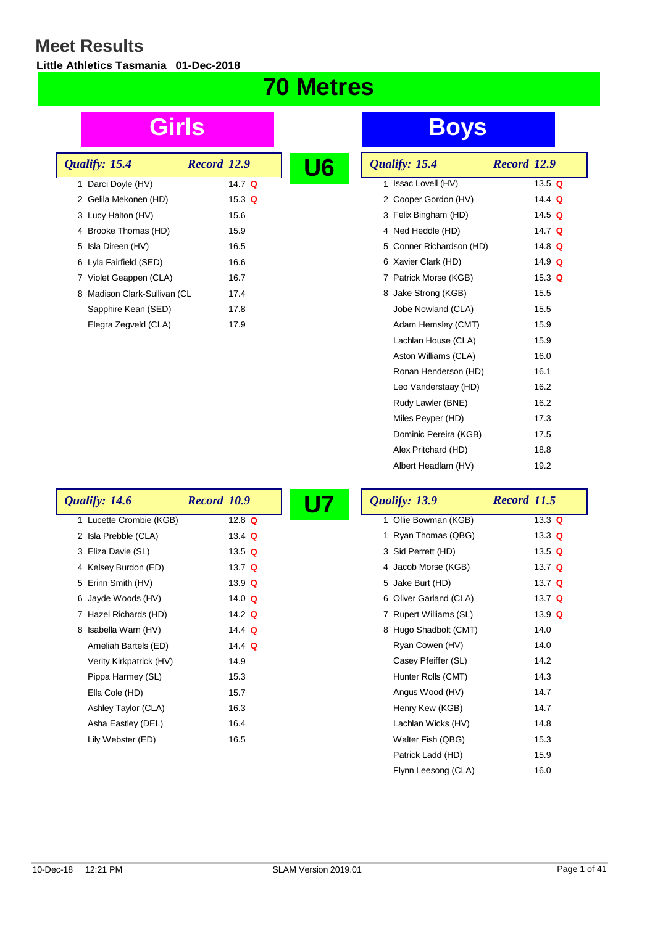**Little Athletics Tasmania 01-Dec-2018**

## **70 Metres**

| Qualify: 15.4                | Record 12.9   |  |
|------------------------------|---------------|--|
| 1 Darci Doyle (HV)           | 14.7 $\Omega$ |  |
| 2 Gelila Mekonen (HD)        | 15.3 $Q$      |  |
| 3 Lucy Halton (HV)           | 15.6          |  |
| 4 Brooke Thomas (HD)         | 15.9          |  |
| 5 Isla Direen (HV)           | 16.5          |  |
| 6 Lyla Fairfield (SED)       | 16.6          |  |
| 7 Violet Geappen (CLA)       | 16.7          |  |
| 8 Madison Clark-Sullivan (CL | 17.4          |  |
| Sapphire Kean (SED)          | 17.8          |  |
| Elegra Zegveld (CLA)         | 17.9          |  |

## **Girls Boys**

| <u>U6</u> | Qualify: 15.4            | Record 12.9 |          |
|-----------|--------------------------|-------------|----------|
|           | 1 Issac Lovell (HV)      |             | 13.5 $Q$ |
|           | 2 Cooper Gordon (HV)     |             | 14.4 $Q$ |
|           | 3 Felix Bingham (HD)     |             | 14.5 $Q$ |
|           | 4 Ned Heddle (HD)        |             | 14.7 $Q$ |
|           | 5 Conner Richardson (HD) |             | 14.8 $Q$ |
|           | 6 Xavier Clark (HD)      |             | 14.9 $Q$ |
|           | 7 Patrick Morse (KGB)    |             | 15.3 $Q$ |
|           | 8 Jake Strong (KGB)      |             | 15.5     |
|           | Jobe Nowland (CLA)       |             | 15.5     |
|           | Adam Hemsley (CMT)       |             | 15.9     |
|           | Lachlan House (CLA)      |             | 15.9     |
|           | Aston Williams (CLA)     |             | 16.0     |
|           | Ronan Henderson (HD)     |             | 16.1     |
|           | Leo Vanderstaay (HD)     |             | 16.2     |
|           | Rudy Lawler (BNE)        |             | 16.2     |
|           | Miles Peyper (HD)        |             | 17.3     |
|           | Dominic Pereira (KGB)    |             | 17.5     |
|           | Alex Pritchard (HD)      |             | 18.8     |
|           | Albert Headlam (HV)      |             | 19.2     |

Patrick Ladd (HD) 15.9 Flynn Leesong (CLA) 16.0

| Qualify: 14.6           | <b>Record 10.9</b> | U7 | Qualify: 13.9           | <b>Record 11.5</b> |
|-------------------------|--------------------|----|-------------------------|--------------------|
| 1 Lucette Crombie (KGB) | 12.8 $Q$           |    | Ollie Bowman (KGB)<br>1 | 13.3 $Q$           |
| 2 Isla Prebble (CLA)    | 13.4 $Q$           |    | 1 Ryan Thomas (QBG)     | 13.3 $Q$           |
| 3 Eliza Davie (SL)      | 13.5 $Q$           |    | 3 Sid Perrett (HD)      | 13.5 $Q$           |
| 4 Kelsey Burdon (ED)    | 13.7 $Q$           |    | 4 Jacob Morse (KGB)     | 13.7 $Q$           |
| 5 Erinn Smith (HV)      | 13.9 $Q$           |    | 5 Jake Burt (HD)        | 13.7 $Q$           |
| 6 Jayde Woods (HV)      | 14.0 $Q$           |    | 6 Oliver Garland (CLA)  | 13.7 $Q$           |
| 7 Hazel Richards (HD)   | 14.2 $Q$           |    | 7 Rupert Williams (SL)  | 13.9 $Q$           |
| 8 Isabella Warn (HV)    | 14.4 $Q$           |    | 8 Hugo Shadbolt (CMT)   | 14.0               |
| Ameliah Bartels (ED)    | 14.4 $Q$           |    | Ryan Cowen (HV)         | 14.0               |
| Verity Kirkpatrick (HV) | 14.9               |    | Casey Pfeiffer (SL)     | 14.2               |
| Pippa Harmey (SL)       | 15.3               |    | Hunter Rolls (CMT)      | 14.3               |
| Ella Cole (HD)          | 15.7               |    | Angus Wood (HV)         | 14.7               |
| Ashley Taylor (CLA)     | 16.3               |    | Henry Kew (KGB)         | 14.7               |
| Asha Eastley (DEL)      | 16.4               |    | Lachlan Wicks (HV)      | 14.8               |
| Lily Webster (ED)       | 16.5               |    | Walter Fish (QBG)       | 15.3               |

 $\overline{\phantom{a}}$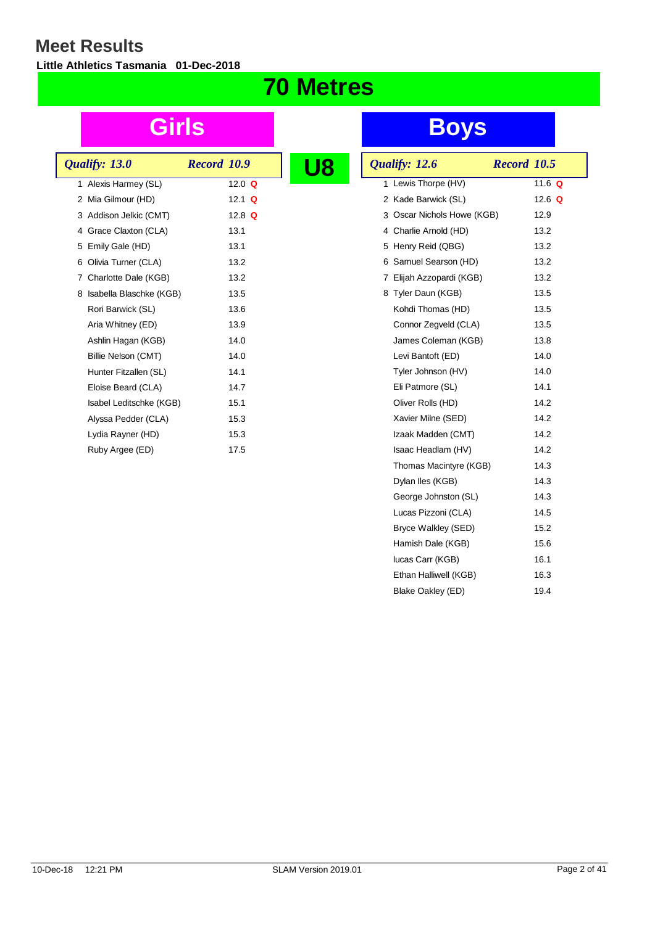**Little Athletics Tasmania 01-Dec-2018**

## **70 Metres**

|  | Qualify: 13.0             | Record 10.9 |          |  |
|--|---------------------------|-------------|----------|--|
|  | 1 Alexis Harmey (SL)      |             | 12.0 $Q$ |  |
|  | 2 Mia Gilmour (HD)        |             | 12.1 $Q$ |  |
|  | 3 Addison Jelkic (CMT)    |             | 12.8 $Q$ |  |
|  | 4 Grace Claxton (CLA)     |             | 13.1     |  |
|  | 5 Emily Gale (HD)         |             | 13.1     |  |
|  | 6 Olivia Turner (CLA)     |             | 13.2     |  |
|  | 7 Charlotte Dale (KGB)    |             | 13.2     |  |
|  | 8 Isabella Blaschke (KGB) |             | 13.5     |  |
|  | Rori Barwick (SL)         |             | 13.6     |  |
|  | Aria Whitney (ED)         |             | 13.9     |  |
|  | Ashlin Hagan (KGB)        |             | 14.0     |  |
|  | Billie Nelson (CMT)       |             | 14.0     |  |
|  | Hunter Fitzallen (SL)     |             | 14.1     |  |
|  | Eloise Beard (CLA)        |             | 14.7     |  |
|  | Isabel Leditschke (KGB)   |             | 15.1     |  |
|  | Alyssa Pedder (CLA)       |             | 15.3     |  |
|  | Lydia Rayner (HD)         |             | 15.3     |  |
|  | Ruby Argee (ED)           |             | 17.5     |  |
|  |                           |             |          |  |

| Qualify: 12.6              | Record 10.5 |
|----------------------------|-------------|
| 1 Lewis Thorpe (HV)        | 11.6 Q      |
| 2 Kade Barwick (SL)        | 12.6 $Q$    |
| 3 Oscar Nichols Howe (KGB) | 12.9        |
| 4 Charlie Arnold (HD)      | 13.2        |
| 5 Henry Reid (QBG)         | 13.2        |
| 6 Samuel Searson (HD)      | 13.2        |
| 7 Elijah Azzopardi (KGB)   | 13.2        |
| 8 Tyler Daun (KGB)         | 13.5        |
| Kohdi Thomas (HD)          | 13.5        |
| Connor Zegveld (CLA)       | 13.5        |
| James Coleman (KGB)        | 13.8        |
| Levi Bantoft (ED)          | 14.0        |
| Tyler Johnson (HV)         | 14.0        |
| Eli Patmore (SL)           | 14.1        |
| Oliver Rolls (HD)          | 14.2        |
| Xavier Milne (SED)         | 14.2        |
| Izaak Madden (CMT)         | 14.2        |
| Isaac Headlam (HV)         | 14.2        |
| Thomas Macintyre (KGB)     | 14.3        |
| Dylan Iles (KGB)           | 14.3        |
| George Johnston (SL)       | 14.3        |
| Lucas Pizzoni (CLA)        | 14.5        |
| Bryce Walkley (SED)        | 15.2        |
| Hamish Dale (KGB)          | 15.6        |
| lucas Carr (KGB)           | 16.1        |
| Ethan Halliwell (KGB)      | 16.3        |
| Blake Oakley (ED)          | 19.4        |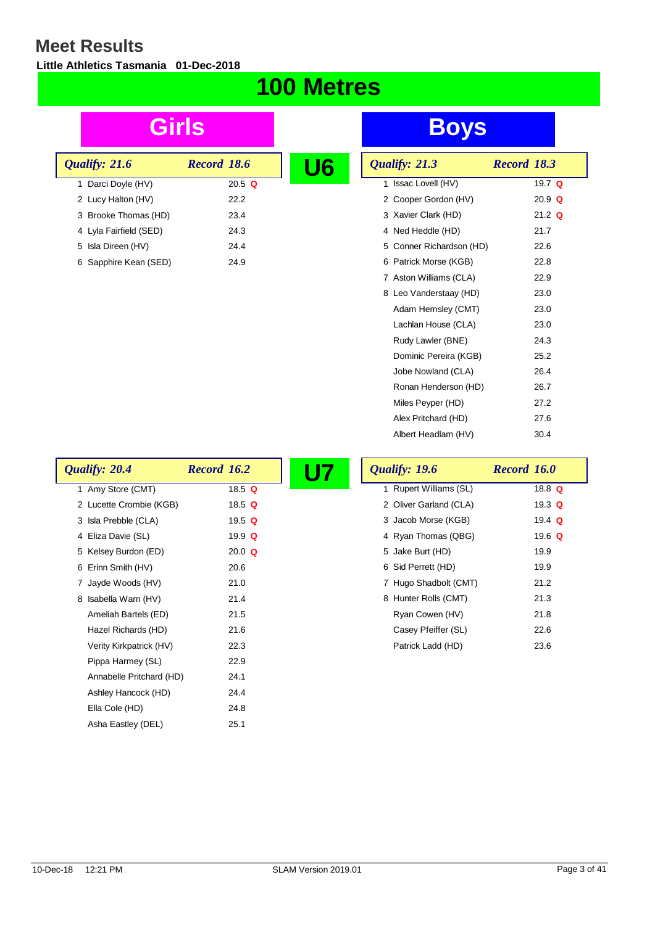$\lceil$ 

**Little Athletics Tasmania 01-Dec-2018**

### **100 Metres**

| Qualify: 21.6          | Record 18.6 | U 6 |
|------------------------|-------------|-----|
| 1 Darci Doyle (HV)     | 20.5 $Q$    |     |
| 2 Lucy Halton (HV)     | 22.2        |     |
| 3 Brooke Thomas (HD)   | 23.4        |     |
| 4 Lyla Fairfield (SED) | 24.3        |     |
| 5 Isla Direen (HV)     | 24.4        |     |
| 6 Sapphire Kean (SED)  | 24.9        |     |

| <u>U6</u> |   | Qualify: 21.3            | Record 18.3 |          |
|-----------|---|--------------------------|-------------|----------|
|           |   | 1 Issac Lovell (HV)      |             | 19.7 $Q$ |
|           |   | 2 Cooper Gordon (HV)     |             | $20.9$ Q |
|           |   | 3 Xavier Clark (HD)      |             | $21.2$ Q |
|           |   | 4 Ned Heddle (HD)        |             | 21.7     |
|           |   | 5 Conner Richardson (HD) |             | 22.6     |
|           | 6 | Patrick Morse (KGB)      |             | 22.8     |
|           |   | 7 Aston Williams (CLA)   |             | 22.9     |
|           |   | 8 Leo Vanderstaay (HD)   |             | 23.0     |
|           |   | Adam Hemsley (CMT)       |             | 23.0     |
|           |   | Lachlan House (CLA)      |             | 23.0     |
|           |   | Rudy Lawler (BNE)        |             | 24.3     |
|           |   | Dominic Pereira (KGB)    |             | 25.2     |
|           |   | Jobe Nowland (CLA)       |             | 26.4     |
|           |   | Ronan Henderson (HD)     |             | 26.7     |
|           |   | Miles Peyper (HD)        |             | 27.2     |
|           |   | Alex Pritchard (HD)      |             | 27.6     |
|           |   | Albert Headlam (HV)      |             | 30.4     |

| Qualify: 20.4            | <b>Record 16.2</b> | Qualify: 19.6          | Record 16.0 |
|--------------------------|--------------------|------------------------|-------------|
| 1 Amy Store (CMT)        | 18.5 $Q$           | 1 Rupert Williams (SL) | 18.8 $Q$    |
| 2 Lucette Crombie (KGB)  | 18.5 $Q$           | 2 Oliver Garland (CLA) | 19.3 $Q$    |
| 3 Isla Prebble (CLA)     | 19.5 $Q$           | 3 Jacob Morse (KGB)    | 19.4 $Q$    |
| 4 Eliza Davie (SL)       | 19.9 $Q$           | 4 Ryan Thomas (QBG)    | 19.6 $Q$    |
| 5 Kelsey Burdon (ED)     | 20.0 $Q$           | 5 Jake Burt (HD)       | 19.9        |
| 6 Erinn Smith (HV)       | 20.6               | 6 Sid Perrett (HD)     | 19.9        |
| 7 Jayde Woods (HV)       | 21.0               | 7 Hugo Shadbolt (CMT)  | 21.2        |
| 8 Isabella Warn (HV)     | 21.4               | 8 Hunter Rolls (CMT)   | 21.3        |
| Ameliah Bartels (ED)     | 21.5               | Ryan Cowen (HV)        | 21.8        |
| Hazel Richards (HD)      | 21.6               | Casey Pfeiffer (SL)    | 22.6        |
| Verity Kirkpatrick (HV)  | 22.3               | Patrick Ladd (HD)      | 23.6        |
| Pippa Harmey (SL)        | 22.9               |                        |             |
| Annabelle Pritchard (HD) | 24.1               |                        |             |
| Ashley Hancock (HD)      | 24.4               |                        |             |
| Ella Cole (HD)           | 24.8               |                        |             |
| Asha Eastley (DEL)       | 25.1               |                        |             |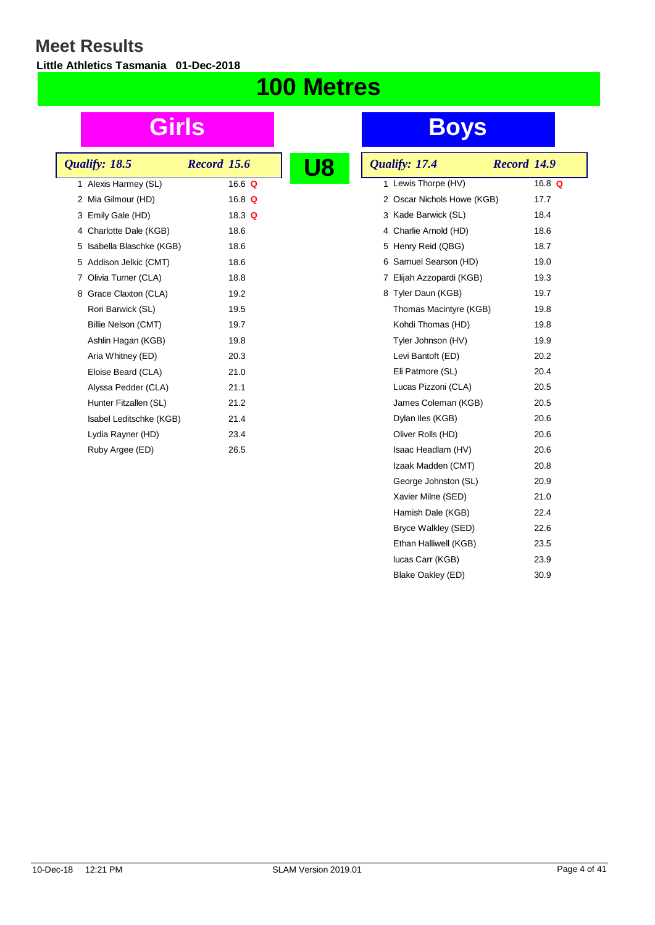**Little Athletics Tasmania 01-Dec-2018**

## **100 Metres**

| Qualify: 18.5             | <b>Record 15.6</b> |  |
|---------------------------|--------------------|--|
| 1 Alexis Harmey (SL)      | 16.6 $Q$           |  |
| 2 Mia Gilmour (HD)        | 16.8 $Q$           |  |
| 3 Emily Gale (HD)         | 18.3 $Q$           |  |
| 4 Charlotte Dale (KGB)    | 18.6               |  |
| 5 Isabella Blaschke (KGB) | 18.6               |  |
| 5 Addison Jelkic (CMT)    | 18.6               |  |
| 7 Olivia Turner (CLA)     | 18.8               |  |
| 8 Grace Claxton (CLA)     | 19.2               |  |
| Rori Barwick (SL)         | 19.5               |  |
| Billie Nelson (CMT)       | 19.7               |  |
| Ashlin Hagan (KGB)        | 19.8               |  |
| Aria Whitney (ED)         | 20.3               |  |
| Eloise Beard (CLA)        | 21.0               |  |
| Alyssa Pedder (CLA)       | 21.1               |  |
| Hunter Fitzallen (SL)     | 21.2               |  |
| Isabel Leditschke (KGB)   | 21.4               |  |
| Lydia Rayner (HD)         | 23.4               |  |
| Ruby Argee (ED)           | 26.5               |  |
|                           |                    |  |

| 18 | Qualify: 17.4              | Record 14.9 |          |
|----|----------------------------|-------------|----------|
|    | 1 Lewis Thorpe (HV)        |             | 16.8 $Q$ |
|    | 2 Oscar Nichols Howe (KGB) |             | 17.7     |
|    | 3 Kade Barwick (SL)        |             | 18.4     |
|    | 4 Charlie Arnold (HD)      |             | 18.6     |
|    | 5 Henry Reid (QBG)         |             | 18.7     |
|    | 6 Samuel Searson (HD)      |             | 19.0     |
|    | 7 Elijah Azzopardi (KGB)   |             | 19.3     |
|    | 8 Tyler Daun (KGB)         |             | 19.7     |
|    | Thomas Macintyre (KGB)     |             | 19.8     |
|    | Kohdi Thomas (HD)          |             | 19.8     |
|    | Tyler Johnson (HV)         |             | 19.9     |
|    | Levi Bantoft (ED)          |             | 20.2     |
|    | Eli Patmore (SL)           |             | 20.4     |
|    | Lucas Pizzoni (CLA)        |             | 20.5     |
|    | James Coleman (KGB)        |             | 20.5     |
|    | Dylan Iles (KGB)           |             | 20.6     |
|    | Oliver Rolls (HD)          |             | 20.6     |
|    | Isaac Headlam (HV)         |             | 20.6     |
|    | Izaak Madden (CMT)         |             | 20.8     |
|    | George Johnston (SL)       |             | 20.9     |
|    | Xavier Milne (SED)         |             | 21.0     |
|    | Hamish Dale (KGB)          |             | 22.4     |
|    | Bryce Walkley (SED)        |             | 22.6     |
|    | Ethan Halliwell (KGB)      |             | 23.5     |
|    | lucas Carr (KGB)           |             | 23.9     |
|    | Blake Oakley (ED)          |             | 30.9     |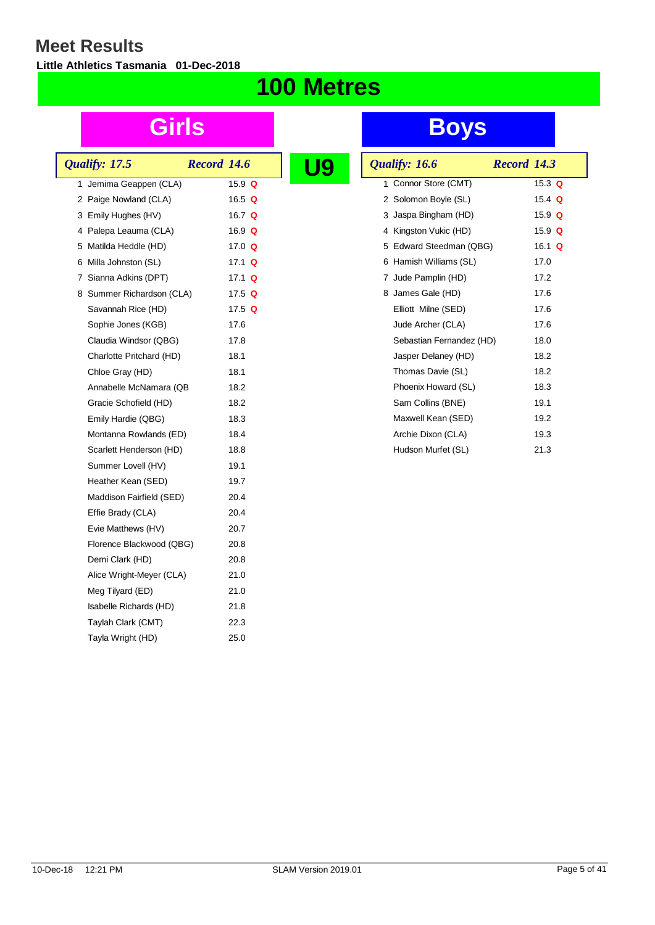**Little Athletics Tasmania 01-Dec-2018**

## **100 Metres**

|  | Qualify: 17.5             | <b>Record 14.6</b> |               |  |
|--|---------------------------|--------------------|---------------|--|
|  | 1 Jemima Geappen (CLA)    |                    | 15.9 $Q$      |  |
|  | 2 Paige Nowland (CLA)     |                    | 16.5 $Q$      |  |
|  | 3 Emily Hughes (HV)       |                    | 16.7 $Q$      |  |
|  | 4 Palepa Leauma (CLA)     |                    | 16.9 $Q$      |  |
|  | 5 Matilda Heddle (HD)     |                    | 17.0 $Q$      |  |
|  | 6 Milla Johnston (SL)     |                    | 17.1 $\Omega$ |  |
|  | 7 Sianna Adkins (DPT)     |                    | 17.1 $Q$      |  |
|  | 8 Summer Richardson (CLA) |                    | 17.5 $Q$      |  |
|  | Savannah Rice (HD)        |                    | 17.5 $Q$      |  |
|  | Sophie Jones (KGB)        |                    | 17.6          |  |
|  | Claudia Windsor (QBG)     |                    | 17.8          |  |
|  | Charlotte Pritchard (HD)  |                    | 18.1          |  |
|  | Chloe Gray (HD)           |                    | 18.1          |  |
|  | Annabelle McNamara (QB    |                    | 18.2          |  |
|  | Gracie Schofield (HD)     |                    | 18.2          |  |
|  | Emily Hardie (QBG)        |                    | 18.3          |  |
|  | Montanna Rowlands (ED)    |                    | 18.4          |  |
|  | Scarlett Henderson (HD)   |                    | 18.8          |  |
|  | Summer Lovell (HV)        |                    | 19.1          |  |
|  | Heather Kean (SED)        |                    | 19.7          |  |
|  | Maddison Fairfield (SED)  |                    | 20.4          |  |
|  | Effie Brady (CLA)         |                    | 20.4          |  |
|  | Evie Matthews (HV)        |                    | 20.7          |  |
|  | Florence Blackwood (QBG)  |                    | 20.8          |  |
|  | Demi Clark (HD)           |                    | 20.8          |  |
|  | Alice Wright-Meyer (CLA)  |                    | 21.0          |  |
|  | Meg Tilyard (ED)          |                    | 21.0          |  |
|  | Isabelle Richards (HD)    |                    | 21.8          |  |
|  | Taylah Clark (CMT)        |                    | 22.3          |  |
|  | Tayla Wright (HD)         |                    | 25.0          |  |
|  |                           |                    |               |  |

| Qualify: 16.6            | Record 14.3 |  |
|--------------------------|-------------|--|
| 1 Connor Store (CMT)     | 15.3 $Q$    |  |
| 2 Solomon Boyle (SL)     | 15.4 $Q$    |  |
| 3 Jaspa Bingham (HD)     | 15.9 $Q$    |  |
| 4 Kingston Vukic (HD)    | 15.9 $Q$    |  |
| 5 Edward Steedman (QBG)  | 16.1 $Q$    |  |
| 6 Hamish Williams (SL)   | 17.0        |  |
| 7 Jude Pamplin (HD)      | 17.2        |  |
| 8 James Gale (HD)        | 17.6        |  |
| Elliott Milne (SED)      | 17.6        |  |
| Jude Archer (CLA)        | 17.6        |  |
| Sebastian Fernandez (HD) | 18.0        |  |
| Jasper Delaney (HD)      | 18.2        |  |
| Thomas Davie (SL)        | 18.2        |  |
| Phoenix Howard (SL)      | 18.3        |  |
| Sam Collins (BNE)        | 19.1        |  |
| Maxwell Kean (SED)       | 19.2        |  |
| Archie Dixon (CLA)       | 19.3        |  |
| Hudson Murfet (SL)       | 21.3        |  |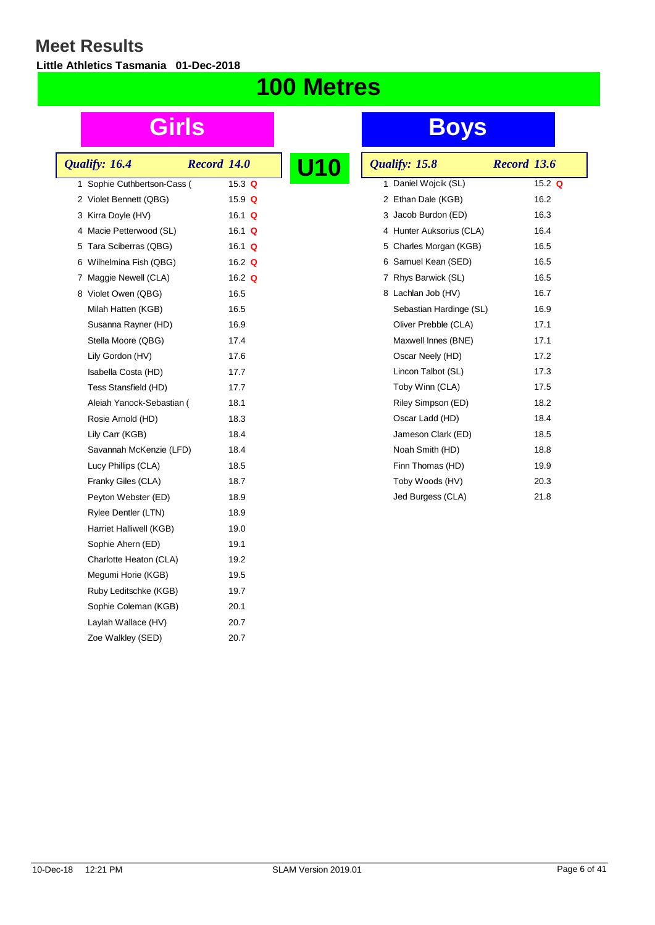**Little Athletics Tasmania 01-Dec-2018**

## **100 Metres**

|    | Qualify: 16.4             | <b>Record 14.0</b> |               |  |
|----|---------------------------|--------------------|---------------|--|
| 1. | Sophie Cuthbertson-Cass ( |                    | 15.3 Q        |  |
|    | 2 Violet Bennett (QBG)    |                    | 15.9 Q        |  |
|    | 3 Kirra Doyle (HV)        |                    | 16.1 $\Omega$ |  |
|    | 4 Macie Petterwood (SL)   |                    | 16.1 Q        |  |
|    | 5 Tara Sciberras (QBG)    |                    | 16.1 Q        |  |
|    | 6 Wilhelmina Fish (QBG)   |                    | 16.2 $Q$      |  |
|    | 7 Maggie Newell (CLA)     |                    | 16.2 $\Omega$ |  |
|    | 8 Violet Owen (QBG)       |                    | 16.5          |  |
|    | Milah Hatten (KGB)        |                    | 16.5          |  |
|    | Susanna Rayner (HD)       |                    | 16.9          |  |
|    | Stella Moore (QBG)        |                    | 17.4          |  |
|    | Lily Gordon (HV)          |                    | 17.6          |  |
|    | Isabella Costa (HD)       |                    | 17.7          |  |
|    | Tess Stansfield (HD)      |                    | 17.7          |  |
|    | Aleiah Yanock-Sebastian ( |                    | 18.1          |  |
|    | Rosie Arnold (HD)         |                    | 18.3          |  |
|    | Lily Carr (KGB)           |                    | 18.4          |  |
|    | Savannah McKenzie (LFD)   |                    | 18.4          |  |
|    | Lucy Phillips (CLA)       |                    | 18.5          |  |
|    | Franky Giles (CLA)        |                    | 18.7          |  |
|    | Peyton Webster (ED)       |                    | 18.9          |  |
|    | Rylee Dentler (LTN)       |                    | 18.9          |  |
|    | Harriet Halliwell (KGB)   |                    | 19.0          |  |
|    | Sophie Ahern (ED)         |                    | 19.1          |  |
|    | Charlotte Heaton (CLA)    |                    | 19.2          |  |
|    | Megumi Horie (KGB)        |                    | 19.5          |  |
|    | Ruby Leditschke (KGB)     |                    | 19.7          |  |
|    | Sophie Coleman (KGB)      |                    | 20.1          |  |
|    | Laylah Wallace (HV)       |                    | 20.7          |  |
|    | Zoe Walkley (SED)         |                    | 20.7          |  |
|    |                           |                    |               |  |

| U10 | Qualify: 15.8            | <b>Record 13.6</b> |
|-----|--------------------------|--------------------|
|     | Daniel Wojcik (SL)<br>1  | 15.2 $Q$           |
|     | Ethan Dale (KGB)<br>2    | 16.2               |
|     | 3 Jacob Burdon (ED)      | 16.3               |
|     | 4 Hunter Auksorius (CLA) | 16.4               |
|     | 5 Charles Morgan (KGB)   | 16.5               |
|     | Samuel Kean (SED)<br>6   | 16.5               |
|     | Rhys Barwick (SL)<br>7   | 16.5               |
|     | Lachlan Job (HV)<br>8    | 16.7               |
|     | Sebastian Hardinge (SL)  | 16.9               |
|     | Oliver Prebble (CLA)     | 17.1               |
|     | Maxwell Innes (BNE)      | 17.1               |
|     | Oscar Neely (HD)         | 17.2               |
|     | Lincon Talbot (SL)       | 17.3               |
|     | Toby Winn (CLA)          | 17.5               |
|     | Riley Simpson (ED)       | 18.2               |
|     | Oscar Ladd (HD)          | 18.4               |
|     | Jameson Clark (ED)       | 18.5               |
|     | Noah Smith (HD)          | 18.8               |
|     | Finn Thomas (HD)         | 19.9               |
|     | Toby Woods (HV)          | 20.3               |
|     | Jed Burgess (CLA)        | 21.8               |
|     |                          |                    |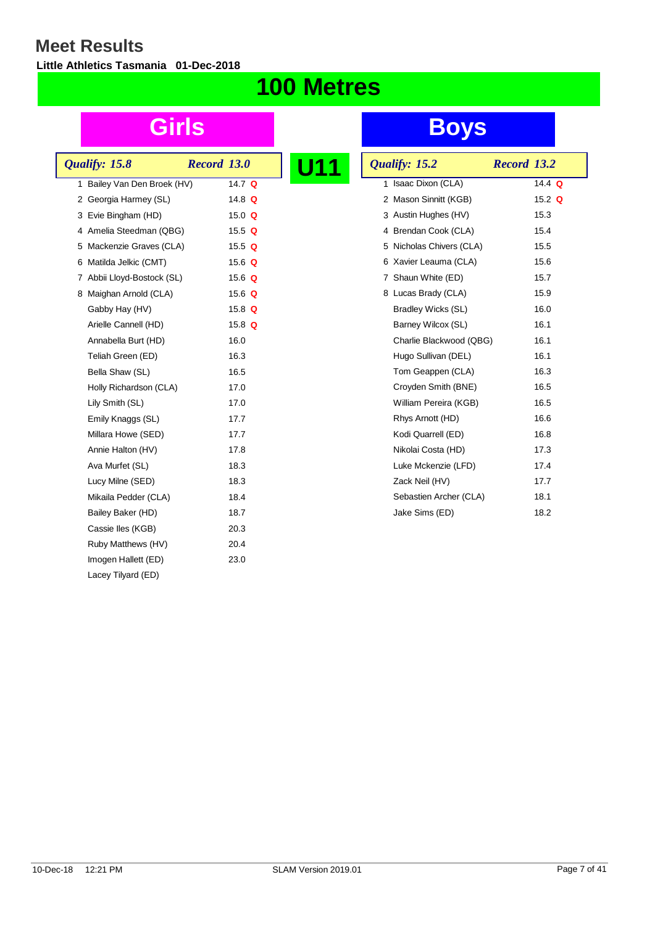**Little Athletics Tasmania 01-Dec-2018**

## **100 Metres**

| Qualify: 15.8               | Record 13.0 |          |  |
|-----------------------------|-------------|----------|--|
| 1 Bailey Van Den Broek (HV) |             | 14.7 $Q$ |  |
| 2 Georgia Harmey (SL)       |             | 14.8 $Q$ |  |
| 3 Evie Bingham (HD)         |             | 15.0 $Q$ |  |
| 4 Amelia Steedman (QBG)     |             | 15.5 $Q$ |  |
| 5 Mackenzie Graves (CLA)    |             | 15.5 $Q$ |  |
| 6 Matilda Jelkic (CMT)      |             | 15.6 $Q$ |  |
| 7 Abbii Lloyd-Bostock (SL)  |             | 15.6 $Q$ |  |
| 8 Maighan Arnold (CLA)      |             | 15.6 $Q$ |  |
| Gabby Hay (HV)              |             | 15.8 $Q$ |  |
| Arielle Cannell (HD)        |             | 15.8 $Q$ |  |
| Annabella Burt (HD)         |             | 16.0     |  |
| Teliah Green (ED)           |             | 16.3     |  |
| Bella Shaw (SL)             |             | 16.5     |  |
| Holly Richardson (CLA)      |             | 17.0     |  |
| Lily Smith (SL)             |             | 17.0     |  |
| Emily Knaggs (SL)           |             | 17.7     |  |
| Millara Howe (SED)          |             | 17.7     |  |
| Annie Halton (HV)           |             | 17.8     |  |
| Ava Murfet (SL)             |             | 18.3     |  |
| Lucy Milne (SED)            |             | 18.3     |  |
| Mikaila Pedder (CLA)        |             | 18.4     |  |
| Bailey Baker (HD)           |             | 18.7     |  |
| Cassie Iles (KGB)           |             | 20.3     |  |
| Ruby Matthews (HV)          |             | 20.4     |  |
| Imogen Hallett (ED)         |             | 23.0     |  |
| Lacey Tilyard (ED)          |             |          |  |

| Qualify: 15.2               | Record 13.2 |
|-----------------------------|-------------|
| Isaac Dixon (CLA)<br>1      | 14.4 Q      |
| Mason Sinnitt (KGB)<br>2    | 15.2 $Q$    |
| 3 Austin Hughes (HV)        | 15.3        |
| 4 Brendan Cook (CLA)        | 15.4        |
| Nicholas Chivers (CLA)<br>5 | 15.5        |
| Xavier Leauma (CLA)<br>6    | 15.6        |
| 7 Shaun White (ED)          | 15.7        |
| 8 Lucas Brady (CLA)         | 15.9        |
| Bradley Wicks (SL)          | 16.0        |
| Barney Wilcox (SL)          | 16.1        |
| Charlie Blackwood (QBG)     | 16.1        |
| Hugo Sullivan (DEL)         | 16.1        |
| Tom Geappen (CLA)           | 16.3        |
| Croyden Smith (BNE)         | 16.5        |
| William Pereira (KGB)       | 16.5        |
| Rhys Arnott (HD)            | 16.6        |
| Kodi Quarrell (ED)          | 16.8        |
| Nikolai Costa (HD)          | 17.3        |
| Luke Mckenzie (LFD)         | 17.4        |
| Zack Neil (HV)              | 17.7        |
| Sebastien Archer (CLA)      | 18.1        |
| Jake Sims (ED)              | 18.2        |
|                             |             |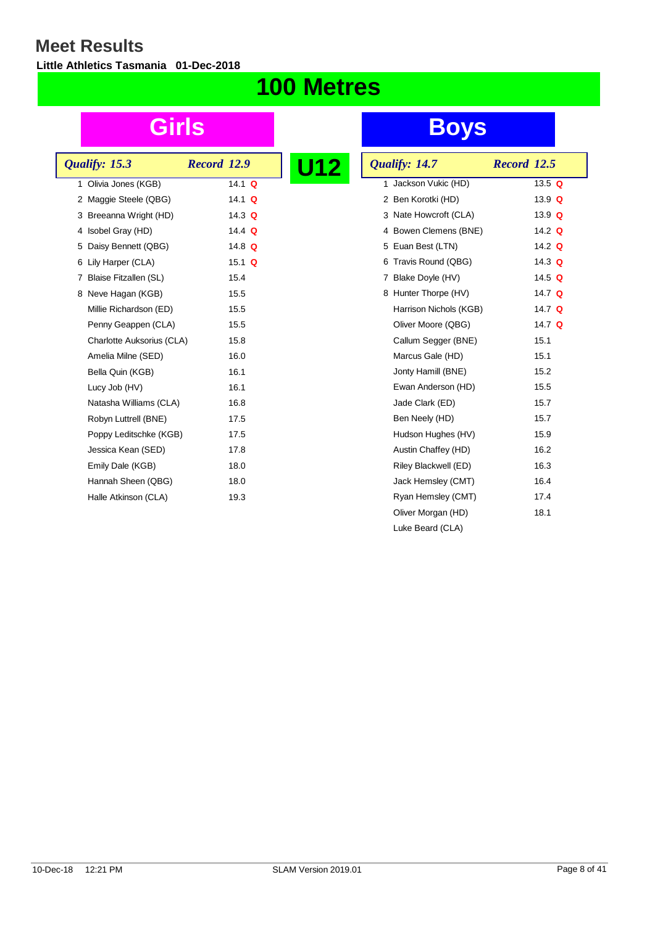**Little Athletics Tasmania 01-Dec-2018**

## **100 Metres**

|  | Qualify: 15.3             | Record 12.9 |               | U12 |
|--|---------------------------|-------------|---------------|-----|
|  | 1 Olivia Jones (KGB)      |             | 14.1 $Q$      |     |
|  | 2 Maggie Steele (QBG)     |             | 14.1 $Q$      |     |
|  | 3 Breeanna Wright (HD)    |             | 14.3 $Q$      |     |
|  | 4 Isobel Gray (HD)        |             | 14.4 $\Omega$ |     |
|  | 5 Daisy Bennett (QBG)     |             | 14.8 $Q$      |     |
|  | 6 Lily Harper (CLA)       |             | 15.1 $\Omega$ |     |
|  | 7 Blaise Fitzallen (SL)   |             | 15.4          |     |
|  | 8 Neve Hagan (KGB)        |             | 15.5          |     |
|  | Millie Richardson (ED)    |             | 15.5          |     |
|  | Penny Geappen (CLA)       |             | 15.5          |     |
|  | Charlotte Auksorius (CLA) |             | 15.8          |     |
|  | Amelia Milne (SED)        |             | 16.0          |     |
|  | Bella Quin (KGB)          |             | 16.1          |     |
|  | Lucy Job (HV)             |             | 16.1          |     |
|  | Natasha Williams (CLA)    |             | 16.8          |     |
|  | Robyn Luttrell (BNE)      |             | 17.5          |     |
|  | Poppy Leditschke (KGB)    |             | 17.5          |     |
|  | Jessica Kean (SED)        |             | 17.8          |     |
|  | Emily Dale (KGB)          |             | 18.0          |     |
|  | Hannah Sheen (QBG)        |             | 18.0          |     |
|  | Halle Atkinson (CLA)      |             | 19.3          |     |
|  |                           |             |               |     |

| U12 | Qualify: 14.7           | <b>Record 12.5</b> |
|-----|-------------------------|--------------------|
|     | Jackson Vukic (HD)<br>1 | 13.5 Q             |
|     | 2 Ben Korotki (HD)      | 13.9 $Q$           |
|     | 3 Nate Howcroft (CLA)   | 13.9 $Q$           |
|     | 4 Bowen Clemens (BNE)   | 14.2 $Q$           |
|     | 5 Euan Best (LTN)       | 14.2 Q             |
|     | 6 Travis Round (QBG)    | 14.3 $Q$           |
|     | 7 Blake Doyle (HV)      | 14.5 $Q$           |
|     | 8 Hunter Thorpe (HV)    | 14.7 $Q$           |
|     | Harrison Nichols (KGB)  | 14.7 $Q$           |
|     | Oliver Moore (QBG)      | 14.7 $Q$           |
|     | Callum Segger (BNE)     | 15.1               |
|     | Marcus Gale (HD)        | 15.1               |
|     | Jonty Hamill (BNE)      | 15.2               |
|     | Ewan Anderson (HD)      | 15.5               |
|     | Jade Clark (ED)         | 15.7               |
|     | Ben Neely (HD)          | 15.7               |
|     | Hudson Hughes (HV)      | 15.9               |
|     | Austin Chaffey (HD)     | 16.2               |
|     | Riley Blackwell (ED)    | 16.3               |
|     | Jack Hemsley (CMT)      | 16.4               |
|     | Ryan Hemsley (CMT)      | 17.4               |
|     | Oliver Morgan (HD)      | 18.1               |
|     | Luke Beard (CLA)        |                    |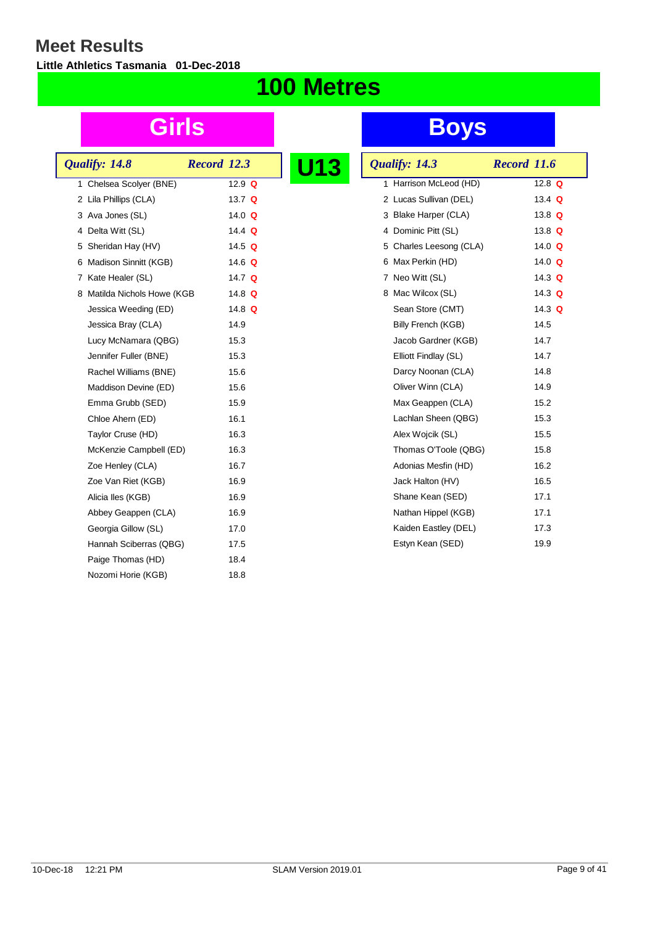**Little Athletics Tasmania 01-Dec-2018**

## **100 Metres**

|  | Qualify: 14.8               | Record 12.3 |               |  |
|--|-----------------------------|-------------|---------------|--|
|  | 1 Chelsea Scolyer (BNE)     |             | 12.9 $Q$      |  |
|  | 2 Lila Phillips (CLA)       |             | 13.7 $Q$      |  |
|  | 3 Ava Jones (SL)            |             | 14.0 $\Omega$ |  |
|  | 4 Delta Witt (SL)           |             | 14.4 $Q$      |  |
|  | 5 Sheridan Hay (HV)         |             | 14.5 $Q$      |  |
|  | 6 Madison Sinnitt (KGB)     |             | 14.6 $Q$      |  |
|  | 7 Kate Healer (SL)          |             | 14.7 $Q$      |  |
|  | 8 Matilda Nichols Howe (KGB |             | 14.8 $Q$      |  |
|  | Jessica Weeding (ED)        |             | 14.8 $Q$      |  |
|  | Jessica Bray (CLA)          |             | 14.9          |  |
|  | Lucy McNamara (QBG)         |             | 15.3          |  |
|  | Jennifer Fuller (BNE)       |             | 15.3          |  |
|  | Rachel Williams (BNE)       |             | 15.6          |  |
|  | Maddison Devine (ED)        |             | 15.6          |  |
|  | Emma Grubb (SED)            |             | 15.9          |  |
|  | Chloe Ahern (ED)            |             | 16.1          |  |
|  | Taylor Cruse (HD)           |             | 16.3          |  |
|  | McKenzie Campbell (ED)      |             | 16.3          |  |
|  | Zoe Henley (CLA)            |             | 16.7          |  |
|  | Zoe Van Riet (KGB)          |             | 16.9          |  |
|  | Alicia lles (KGB)           |             | 16.9          |  |
|  | Abbey Geappen (CLA)         |             | 16.9          |  |
|  | Georgia Gillow (SL)         |             | 17.0          |  |
|  | Hannah Sciberras (QBG)      |             | 17.5          |  |
|  | Paige Thomas (HD)           |             | 18.4          |  |
|  | Nozomi Horie (KGB)          |             | 18.8          |  |
|  |                             |             |               |  |

| 13 | Qualify: 14.3             | Record 11.6 |
|----|---------------------------|-------------|
|    | Harrison McLeod (HD)<br>1 | 12.8 $Q$    |
|    | 2 Lucas Sullivan (DEL)    | 13.4 $Q$    |
|    | 3 Blake Harper (CLA)      | 13.8 $Q$    |
|    | 4 Dominic Pitt (SL)       | 13.8 $Q$    |
|    | 5 Charles Leesong (CLA)   | 14.0 $Q$    |
|    | 6 Max Perkin (HD)         | 14.0 $Q$    |
|    | 7 Neo Witt (SL)           | 14.3 $Q$    |
|    | 8 Mac Wilcox (SL)         | 14.3 Q      |
|    | Sean Store (CMT)          | 14.3 $Q$    |
|    | Billy French (KGB)        | 14.5        |
|    | Jacob Gardner (KGB)       | 14.7        |
|    | Elliott Findlay (SL)      | 14.7        |
|    | Darcy Noonan (CLA)        | 14.8        |
|    | Oliver Winn (CLA)         | 14.9        |
|    | Max Geappen (CLA)         | 15.2        |
|    | Lachlan Sheen (QBG)       | 15.3        |
|    | Alex Wojcik (SL)          | 15.5        |
|    | Thomas O'Toole (QBG)      | 15.8        |
|    | Adonias Mesfin (HD)       | 16.2        |
|    | Jack Halton (HV)          | 16.5        |
|    | Shane Kean (SED)          | 17.1        |
|    | Nathan Hippel (KGB)       | 17.1        |
|    | Kaiden Eastley (DEL)      | 17.3        |
|    | Estyn Kean (SED)          | 19.9        |
|    |                           |             |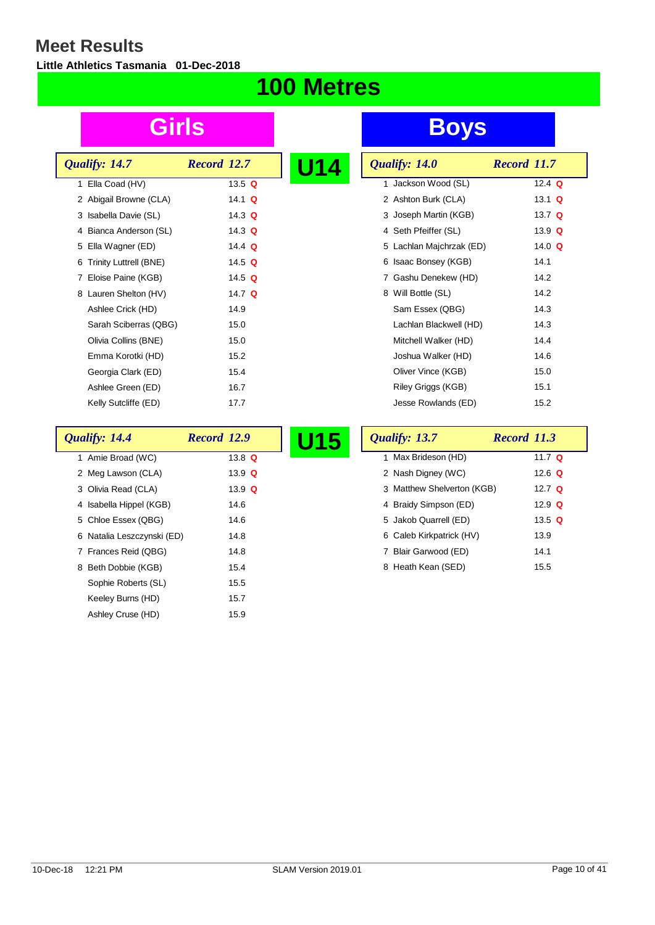$\lceil$ 

**Little Athletics Tasmania 01-Dec-2018**

## **100 Metres**

|   | Qualify: 14.7            | Record 12.7   | U1 |
|---|--------------------------|---------------|----|
|   | 1 Ella Coad (HV)         | 13.5 $Q$      |    |
|   | 2 Abigail Browne (CLA)   | 14.1 <b>Q</b> |    |
|   | 3 Isabella Davie (SL)    | 14.3 $\Omega$ |    |
|   | 4 Bianca Anderson (SL)   | 14.3 $Q$      |    |
|   | 5 Ella Wagner (ED)       | 14.4 $Q$      |    |
|   | 6 Trinity Luttrell (BNE) | 14.5 $Q$      |    |
| 7 | Eloise Paine (KGB)       | 14.5 $Q$      |    |
|   | 8 Lauren Shelton (HV)    | 14.7 $Q$      |    |
|   | Ashlee Crick (HD)        | 14.9          |    |
|   | Sarah Sciberras (QBG)    | 15.0          |    |
|   | Olivia Collins (BNE)     | 15.0          |    |
|   | Emma Korotki (HD)        | 15.2          |    |
|   | Georgia Clark (ED)       | 15.4          |    |
|   | Ashlee Green (ED)        | 16.7          |    |
|   | Kelly Sutcliffe (ED)     | 17.7          |    |
|   |                          |               |    |

| U14 | Qualify: 14.0            | Record 11.7 |
|-----|--------------------------|-------------|
|     | 1 Jackson Wood (SL)      | 12.4 $Q$    |
|     | 2 Ashton Burk (CLA)      | 13.1 $Q$    |
|     | 3 Joseph Martin (KGB)    | 13.7 $Q$    |
|     | 4 Seth Pfeiffer (SL)     | 13.9 $Q$    |
|     | 5 Lachlan Majchrzak (ED) | 14.0 $Q$    |
|     | Isaac Bonsey (KGB)<br>6  | 14.1        |
|     | Gashu Denekew (HD)<br>7  | 14.2        |
|     | 8 Will Bottle (SL)       | 14.2        |
|     | Sam Essex (QBG)          | 14.3        |
|     | Lachlan Blackwell (HD)   | 14.3        |
|     | Mitchell Walker (HD)     | 14.4        |
|     | Joshua Walker (HD)       | 14.6        |
|     | Oliver Vince (KGB)       | 15.0        |
|     | Riley Griggs (KGB)       | 15.1        |
|     | Jesse Rowlands (ED)      | 15.2        |

| Qualify: 14.4              | Record 12.9 | U15 | Qualify: 13.7              | Record 11.3 |
|----------------------------|-------------|-----|----------------------------|-------------|
| 1 Amie Broad (WC)          | 13.8 $Q$    |     | Max Brideson (HD)          | 11.7 $Q$    |
| 2 Meg Lawson (CLA)         | 13.9 $Q$    |     | 2 Nash Digney (WC)         | 12.6 $Q$    |
| 3 Olivia Read (CLA)        | 13.9 $Q$    |     | 3 Matthew Shelverton (KGB) | 12.7 $Q$    |
| 4 Isabella Hippel (KGB)    | 14.6        |     | 4 Braidy Simpson (ED)      | 12.9 $Q$    |
| 5 Chloe Essex (QBG)        | 14.6        |     | 5 Jakob Quarrell (ED)      | 13.5 $Q$    |
| 6 Natalia Leszczynski (ED) | 14.8        |     | 6 Caleb Kirkpatrick (HV)   | 13.9        |
| 7 Frances Reid (QBG)       | 14.8        |     | Blair Garwood (ED)         | 14.1        |
| 8 Beth Dobbie (KGB)        | 15.4        |     | 8 Heath Kean (SED)         | 15.5        |
| Sophie Roberts (SL)        | 15.5        |     |                            |             |
| Keeley Burns (HD)          | 15.7        |     |                            |             |
| Ashley Cruse (HD)          | 15.9        |     |                            |             |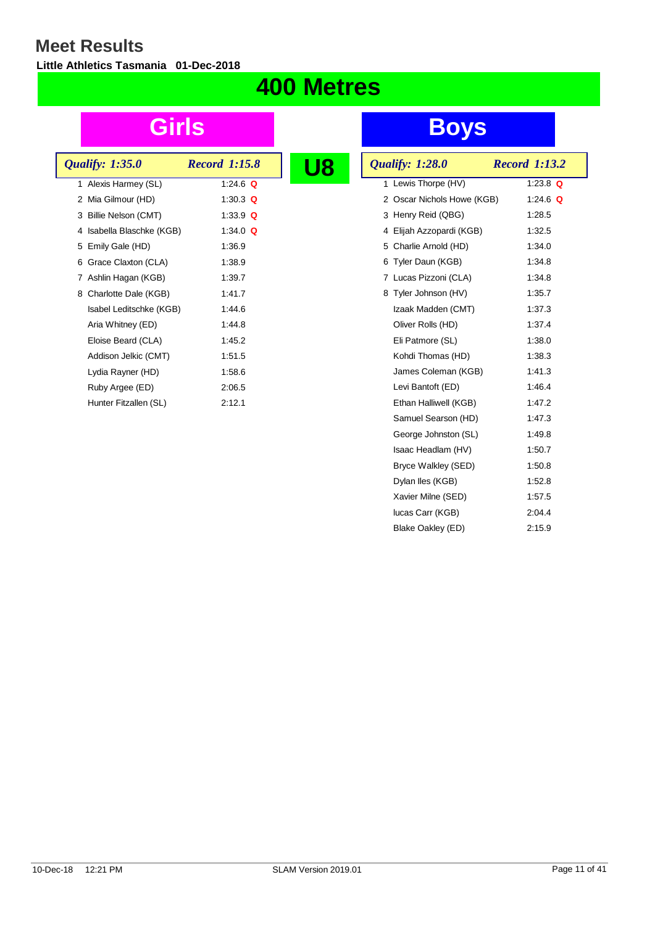**Little Athletics Tasmania 01-Dec-2018**

### **400 Metres**

| <b>Qualify: 1:35.0</b>    | <b>Record 1:15.8</b> |  |
|---------------------------|----------------------|--|
| 1 Alexis Harmey (SL)      | 1:24.6 $\Omega$      |  |
| 2 Mia Gilmour (HD)        | 1:30.3 Q             |  |
| 3 Billie Nelson (CMT)     | 1:33.9 $Q$           |  |
| 4 Isabella Blaschke (KGB) | 1:34.0 $\Omega$      |  |
| 5 Emily Gale (HD)         | 1:36.9               |  |
| 6 Grace Claxton (CLA)     | 1:38.9               |  |
| 7 Ashlin Hagan (KGB)      | 1:39.7               |  |
| 8 Charlotte Dale (KGB)    | 1:41.7               |  |
| Isabel Leditschke (KGB)   | 1:44.6               |  |
| Aria Whitney (ED)         | 1:44.8               |  |
| Eloise Beard (CLA)        | 1:45.2               |  |
| Addison Jelkic (CMT)      | 1:51.5               |  |
| Lydia Rayner (HD)         | 1:58.6               |  |
| Ruby Argee (ED)           | 2:06.5               |  |
| Hunter Fitzallen (SL)     | 2:12.1               |  |

| <b>Qualify: 1:28.0</b>     | <b>Record 1:13.2</b> |
|----------------------------|----------------------|
| 1 Lewis Thorpe (HV)        | 1:23.8 $Q$           |
| 2 Oscar Nichols Howe (KGB) | 1:24.6 $Q$           |
| 3 Henry Reid (QBG)         | 1:28.5               |
| 4 Elijah Azzopardi (KGB)   | 1:32.5               |
| 5 Charlie Arnold (HD)      | 1:34.0               |
| 6 Tyler Daun (KGB)         | 1:34.8               |
| 7 Lucas Pizzoni (CLA)      | 1:34.8               |
| 8 Tyler Johnson (HV)       | 1:35.7               |
| Izaak Madden (CMT)         | 1:37.3               |
| Oliver Rolls (HD)          | 1:37.4               |
| Eli Patmore (SL)           | 1:38.0               |
| Kohdi Thomas (HD)          | 1:38.3               |
| James Coleman (KGB)        | 1:41.3               |
| Levi Bantoft (ED)          | 1:46.4               |
| Ethan Halliwell (KGB)      | 1:47.2               |
| Samuel Searson (HD)        | 1:47.3               |
| George Johnston (SL)       | 1:49.8               |
| Isaac Headlam (HV)         | 1:50.7               |
| Bryce Walkley (SED)        | 1:50.8               |
| Dylan Iles (KGB)           | 1:52.8               |
| Xavier Milne (SED)         | 1:57.5               |
| lucas Carr (KGB)           | 2:04.4               |
| Blake Oakley (ED)          | 2:15.9               |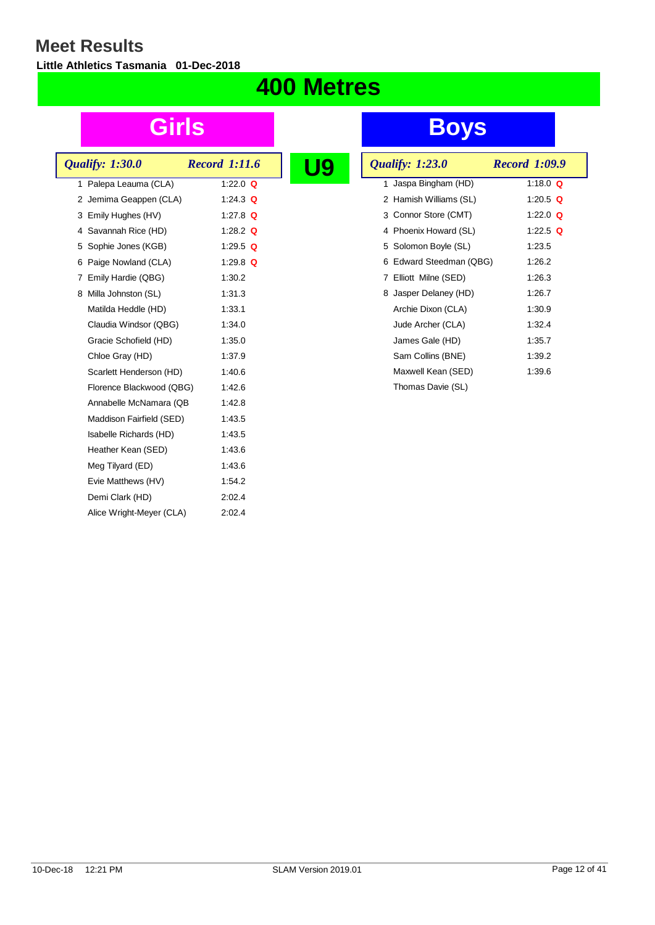**Little Athletics Tasmania 01-Dec-2018**

## **400 Metres**

| <b>Qualify: 1:30.0</b>   | <b>Record 1:11.6</b> |  |
|--------------------------|----------------------|--|
| 1 Palepa Leauma (CLA)    | 1:22.0 $\Omega$      |  |
| 2 Jemima Geappen (CLA)   | 1:24.3 $Q$           |  |
| 3 Emily Hughes (HV)      | 1:27.8 $\Omega$      |  |
| 4 Savannah Rice (HD)     | 1:28.2 $Q$           |  |
| 5 Sophie Jones (KGB)     | 1:29.5 $\Omega$      |  |
| 6 Paige Nowland (CLA)    | 1:29.8 $\Omega$      |  |
| 7 Emily Hardie (QBG)     | 1:30.2               |  |
| 8 Milla Johnston (SL)    | 1:31.3               |  |
| Matilda Heddle (HD)      | 1:33.1               |  |
| Claudia Windsor (QBG)    | 1:34.0               |  |
| Gracie Schofield (HD)    | 1:35.0               |  |
| Chloe Gray (HD)          | 1:37.9               |  |
| Scarlett Henderson (HD)  | 1:40.6               |  |
| Florence Blackwood (QBG) | 1:42.6               |  |
| Annabelle McNamara (QB   | 1:42.8               |  |
| Maddison Fairfield (SED) | 1:43.5               |  |
| Isabelle Richards (HD)   | 1:43.5               |  |
| Heather Kean (SED)       | 1:43.6               |  |
| Meg Tilyard (ED)         | 1:43.6               |  |
| Evie Matthews (HV)       | 1:54.2               |  |
| Demi Clark (HD)          | 2:02.4               |  |
| Alice Wright-Meyer (CLA) | 2:02.4               |  |
|                          |                      |  |

|  | <b>Qualify: 1:23.0</b>  | <b>Record 1:09.9</b> |            |
|--|-------------------------|----------------------|------------|
|  | 1 Jaspa Bingham (HD)    |                      | 1:18.0 $Q$ |
|  | 2 Hamish Williams (SL)  |                      | 1:20.5 Q   |
|  | 3 Connor Store (CMT)    |                      | 1:22.0 $Q$ |
|  | 4 Phoenix Howard (SL)   |                      | 1:22.5 $Q$ |
|  | 5 Solomon Boyle (SL)    | 1:23.5               |            |
|  | 6 Edward Steedman (QBG) | 1:26.2               |            |
|  | 7 Elliott Milne (SED)   | 1:26.3               |            |
|  | 8 Jasper Delaney (HD)   | 1:26.7               |            |
|  | Archie Dixon (CLA)      | 1:30.9               |            |
|  | Jude Archer (CLA)       | 1:32.4               |            |
|  | James Gale (HD)         | 1:35.7               |            |
|  | Sam Collins (BNE)       | 1:39.2               |            |
|  | Maxwell Kean (SED)      | 1:39.6               |            |
|  | Thomas Davie (SL)       |                      |            |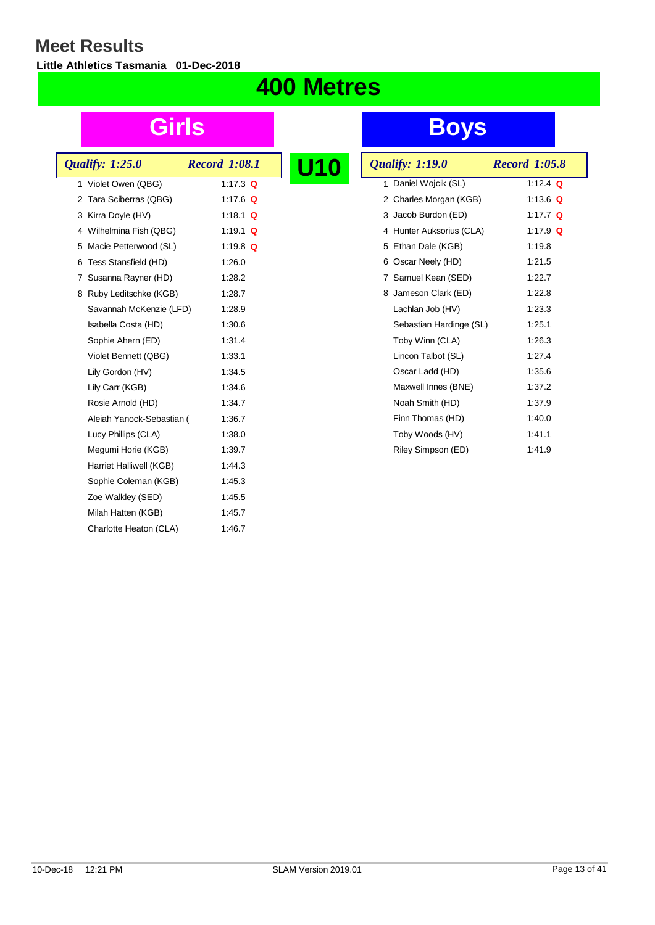**Little Athletics Tasmania 01-Dec-2018**

### **400 Metres**

| <b>Qualify: 1:25.0</b>    | <b>Record 1:08.1</b> |  |
|---------------------------|----------------------|--|
| 1 Violet Owen (QBG)       | 1:17.3 $Q$           |  |
| 2 Tara Sciberras (QBG)    | 1:17.6 $Q$           |  |
| 3 Kirra Doyle (HV)        | 1:18.1 $\Omega$      |  |
| 4 Wilhelmina Fish (QBG)   | 1:19.1 Q             |  |
| 5 Macie Petterwood (SL)   | 1:19.8 $Q$           |  |
| 6 Tess Stansfield (HD)    | 1:26.0               |  |
| 7 Susanna Rayner (HD)     | 1:28.2               |  |
| 8 Ruby Leditschke (KGB)   | 1:28.7               |  |
| Savannah McKenzie (LFD)   | 1:28.9               |  |
| Isabella Costa (HD)       | 1:30.6               |  |
| Sophie Ahern (ED)         | 1:31.4               |  |
| Violet Bennett (QBG)      | 1:33.1               |  |
| Lily Gordon (HV)          | 1:34.5               |  |
| Lily Carr (KGB)           | 1:34.6               |  |
| Rosie Arnold (HD)         | 1:34.7               |  |
| Aleiah Yanock-Sebastian ( | 1:36.7               |  |
| Lucy Phillips (CLA)       | 1:38.0               |  |
| Megumi Horie (KGB)        | 1:39.7               |  |
| Harriet Halliwell (KGB)   | 1:44.3               |  |
| Sophie Coleman (KGB)      | 1:45.3               |  |
| Zoe Walkley (SED)         | 1:45.5               |  |
| Milah Hatten (KGB)        | 1:45.7               |  |
| Charlotte Heaton (CLA)    | 1:46.7               |  |
|                           |                      |  |

| <b>U10</b> | <b>Qualify: 1:19.0</b>   | <b>Record 1:05.8</b> |
|------------|--------------------------|----------------------|
|            | 1 Daniel Wojcik (SL)     | 1:12.4 $Q$           |
|            | 2 Charles Morgan (KGB)   | 1:13.6 $Q$           |
|            | 3 Jacob Burdon (ED)      | 1:17.7 $Q$           |
|            | 4 Hunter Auksorius (CLA) | 1:17.9 $Q$           |
|            | 5 Ethan Dale (KGB)       | 1:19.8               |
|            | 6 Oscar Neely (HD)       | 1:21.5               |
|            | 7 Samuel Kean (SED)      | 1:22.7               |
|            | 8 Jameson Clark (ED)     | 1:22.8               |
|            | Lachlan Job (HV)         | 1:23.3               |
|            | Sebastian Hardinge (SL)  | 1:25.1               |
|            | Toby Winn (CLA)          | 1:26.3               |
|            | Lincon Talbot (SL)       | 1:27.4               |
|            | Oscar Ladd (HD)          | 1:35.6               |
|            | Maxwell Innes (BNE)      | 1:37.2               |
|            | Noah Smith (HD)          | 1:37.9               |
|            | Finn Thomas (HD)         | 1:40.0               |
|            | Toby Woods (HV)          | 1:41.1               |
|            | Riley Simpson (ED)       | 1:41.9               |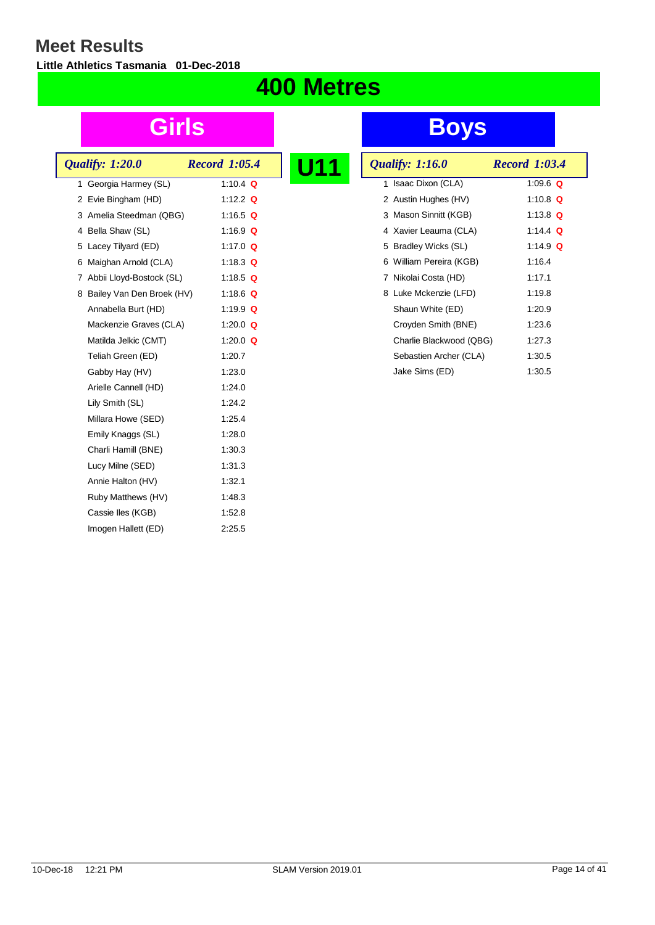**Little Athletics Tasmania 01-Dec-2018**

### **400 Metres**

| <b>Qualify: 1:20.0</b>      | <b>Record 1:05.4</b> |  |
|-----------------------------|----------------------|--|
| 1 Georgia Harmey (SL)       | 1:10.4 Q             |  |
| 2 Evie Bingham (HD)         | 1:12.2 $\Omega$      |  |
| 3 Amelia Steedman (QBG)     | 1:16.5 $Q$           |  |
| 4 Bella Shaw (SL)           | 1:16.9 $Q$           |  |
| 5 Lacey Tilyard (ED)        | 1:17.0 $Q$           |  |
| 6 Maighan Arnold (CLA)      | 1:18.3 $Q$           |  |
| 7 Abbii Lloyd-Bostock (SL)  | 1:18.5 $Q$           |  |
| 8 Bailey Van Den Broek (HV) | 1:18.6 Q             |  |
| Annabella Burt (HD)         | 1:19.9 $Q$           |  |
| Mackenzie Graves (CLA)      | 1:20.0 $\Omega$      |  |
| Matilda Jelkic (CMT)        | 1:20.0 $Q$           |  |
| Teliah Green (ED)           | 1:20.7               |  |
| Gabby Hay (HV)              | 1:23.0               |  |
| Arielle Cannell (HD)        | 1.24.0               |  |
| Lily Smith (SL)             | 1:24.2               |  |
| Millara Howe (SED)          | 1:25.4               |  |
| Emily Knaggs (SL)           | 1:28.0               |  |
| Charli Hamill (BNE)         | 1:30.3               |  |
| Lucy Milne (SED)            | 1:31.3               |  |
| Annie Halton (HV)           | 1:32.1               |  |
| Ruby Matthews (HV)          | 1:48.3               |  |
| Cassie Iles (KGB)           | 1:52.8               |  |
| Imogen Hallett (ED)         | 2:25.5               |  |

| U11 | <b>Qualify: 1:16.0</b>  | <b>Record 1:03.4</b> |
|-----|-------------------------|----------------------|
|     | 1 Isaac Dixon (CLA)     | 1:09.6 $Q$           |
|     | 2 Austin Hughes (HV)    | 1:10.8 $Q$           |
|     | 3 Mason Sinnitt (KGB)   | 1:13.8 $Q$           |
|     | 4 Xavier Leauma (CLA)   | 1:14.4 $Q$           |
|     | 5 Bradley Wicks (SL)    | 1:14.9 $Q$           |
|     | 6 William Pereira (KGB) | 1:16.4               |
|     | Nikolai Costa (HD)<br>7 | 1:17.1               |
|     | 8 Luke Mckenzie (LFD)   | 1:19.8               |
|     | Shaun White (ED)        | 1:20.9               |
|     | Croyden Smith (BNE)     | 1:23.6               |
|     | Charlie Blackwood (QBG) | 1:27.3               |
|     | Sebastien Archer (CLA)  | 1:30.5               |
|     | Jake Sims (ED)          | 1:30.5               |
|     |                         |                      |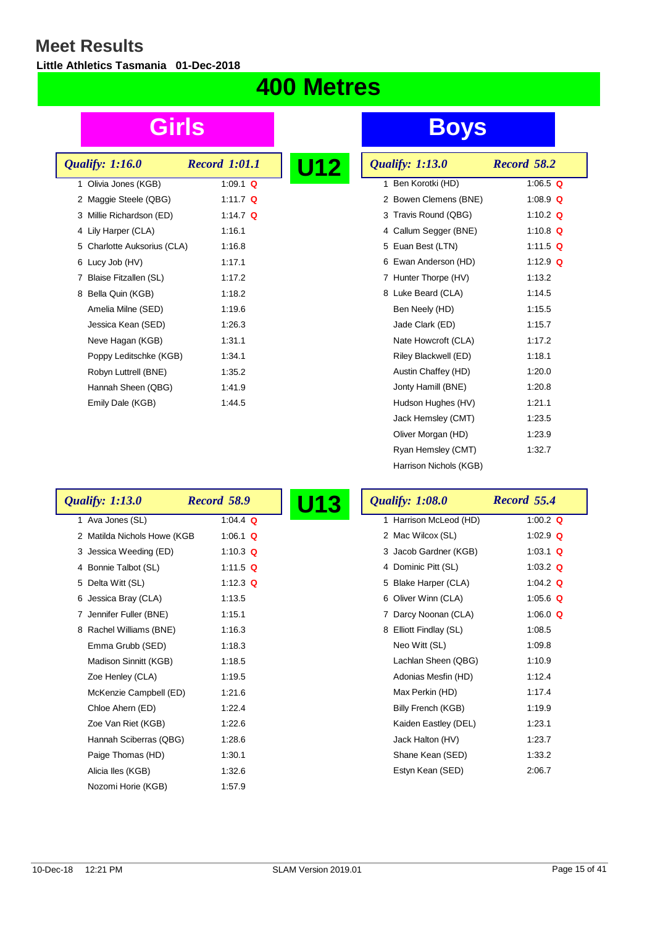$\overline{\phantom{a}}$ 

**Little Athletics Tasmania 01-Dec-2018**

## **400 Metres**

| <b>Record 1:01.1</b> | U12                                                   |
|----------------------|-------------------------------------------------------|
| 1:09.1 $\Omega$      |                                                       |
| 1:11.7 $Q$           |                                                       |
| 1:14.7 $\Omega$      |                                                       |
| 1:16.1               |                                                       |
| 1:16.8               |                                                       |
| 1:17.1               |                                                       |
| 1:17.2               |                                                       |
| 1:18.2               |                                                       |
| 1:19.6               |                                                       |
| 1:26.3               |                                                       |
| 1:31.1               |                                                       |
| 1:34.1               |                                                       |
| 1:35.2               |                                                       |
| 1:41.9               |                                                       |
| 1:44.5               |                                                       |
|                      | 5 Charlotte Auksorius (CLA)<br>Poppy Leditschke (KGB) |

| U12 | <b>Qualify: 1:13.0</b>  | Record 58.2 |
|-----|-------------------------|-------------|
|     | Ben Korotki (HD)<br>1.  | 1:06.5 $Q$  |
|     | 2 Bowen Clemens (BNE)   | 1:08.9 $Q$  |
|     | 3 Travis Round (QBG)    | 1:10.2 $Q$  |
|     | 4 Callum Segger (BNE)   | 1:10.8 $Q$  |
|     | 5 Euan Best (LTN)       | 1:11.5 Q    |
|     | 6 Ewan Anderson (HD)    | 1:12.9 $Q$  |
|     | Hunter Thorpe (HV)<br>7 | 1:13.2      |
|     | 8 Luke Beard (CLA)      | 1:14.5      |
|     | Ben Neely (HD)          | 1:15.5      |
|     | Jade Clark (ED)         | 1:15.7      |
|     | Nate Howcroft (CLA)     | 1:17.2      |
|     | Riley Blackwell (ED)    | 1:18.1      |
|     | Austin Chaffey (HD)     | 1:20.0      |
|     | Jonty Hamill (BNE)      | 1:20.8      |
|     | Hudson Hughes (HV)      | 1:21.1      |
|     | Jack Hemsley (CMT)      | 1:23.5      |
|     | Oliver Morgan (HD)      | 1:23.9      |
|     | Ryan Hemsley (CMT)      | 1:32.7      |
|     | Harrison Nichols (KGB)  |             |

| <b>Qualify: 1:13.0</b>      | Record 58.9 | <b>U13</b> | <b>Qualify: 1:08.0</b> | Record 55.4 |
|-----------------------------|-------------|------------|------------------------|-------------|
| 1 Ava Jones (SL)            | 1:04.4 $Q$  |            | 1 Harrison McLeod (HD) | 1:00.2 $Q$  |
| 2 Matilda Nichols Howe (KGB | 1:06.1 $Q$  |            | 2 Mac Wilcox (SL)      | 1:02.9 $Q$  |
| 3 Jessica Weeding (ED)      | 1:10.3 $Q$  |            | 3 Jacob Gardner (KGB)  | 1:03.1 $Q$  |
| 4 Bonnie Talbot (SL)        | 1:11.5 $Q$  |            | 4 Dominic Pitt (SL)    | 1:03.2 $Q$  |
| 5 Delta Witt (SL)           | 1:12.3 $Q$  |            | 5 Blake Harper (CLA)   | 1:04.2 $Q$  |
| 6 Jessica Bray (CLA)        | 1:13.5      |            | 6 Oliver Winn (CLA)    | 1:05.6 $Q$  |
| 7 Jennifer Fuller (BNE)     | 1:15.1      |            | 7 Darcy Noonan (CLA)   | 1:06.0 $Q$  |
| 8 Rachel Williams (BNE)     | 1:16.3      |            | 8 Elliott Findlay (SL) | 1:08.5      |
| Emma Grubb (SED)            | 1:18.3      |            | Neo Witt (SL)          | 1:09.8      |
| Madison Sinnitt (KGB)       | 1:18.5      |            | Lachlan Sheen (QBG)    | 1:10.9      |
| Zoe Henley (CLA)            | 1:19.5      |            | Adonias Mesfin (HD)    | 1:12.4      |
| McKenzie Campbell (ED)      | 1:21.6      |            | Max Perkin (HD)        | 1:17.4      |
| Chloe Ahern (ED)            | 1:22.4      |            | Billy French (KGB)     | 1:19.9      |
| Zoe Van Riet (KGB)          | 1:22.6      |            | Kaiden Eastley (DEL)   | 1:23.1      |
| Hannah Sciberras (QBG)      | 1:28.6      |            | Jack Halton (HV)       | 1:23.7      |
| Paige Thomas (HD)           | 1:30.1      |            | Shane Kean (SED)       | 1:33.2      |
| Alicia Iles (KGB)           | 1:32.6      |            | Estyn Kean (SED)       | 2:06.7      |
| Nozomi Horie (KGB)          | 1:57.9      |            |                        |             |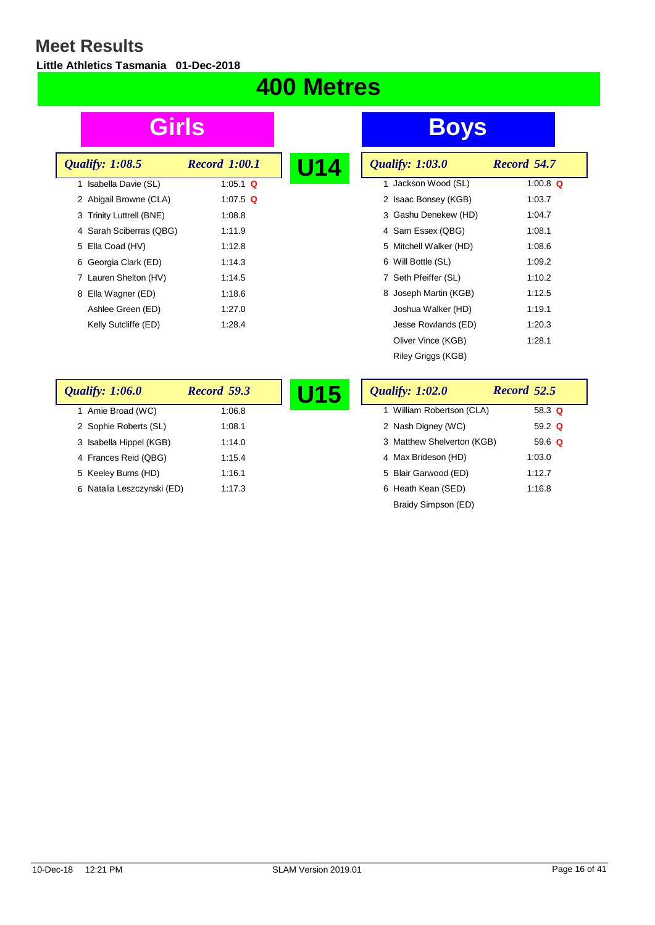$\overline{\phantom{a}}$ 

**Little Athletics Tasmania 01-Dec-2018**

## **400 Metres**

| <b>Qualify: 1:08.5</b>   | <b>Record 1:00.1</b> | U1 |
|--------------------------|----------------------|----|
| 1 Isabella Davie (SL)    | 1:05.1 $\Omega$      |    |
| 2 Abigail Browne (CLA)   | 1:07.5 $Q$           |    |
| 3 Trinity Luttrell (BNE) | 1:08.8               |    |
| 4 Sarah Sciberras (QBG)  | 1:11.9               |    |
| 5 Ella Coad (HV)         | 1:12.8               |    |
| 6 Georgia Clark (ED)     | 1:14.3               |    |
| 7 Lauren Shelton (HV)    | 1:14.5               |    |
| 8 Ella Wagner (ED)       | 1:18.6               |    |
| Ashlee Green (ED)        | 1:27.0               |    |
| Kelly Sutcliffe (ED)     | 1:28.4               |    |

| U14 | <b>Qualify: 1:03.0</b> | Record 54.7 |
|-----|------------------------|-------------|
|     | 1 Jackson Wood (SL)    | 1:00.8 $Q$  |
|     | 2 Isaac Bonsey (KGB)   | 1:03.7      |
|     | 3 Gashu Denekew (HD)   | 1:04.7      |
|     | 4 Sam Essex (QBG)      | 1:08.1      |
|     | 5 Mitchell Walker (HD) | 1:08.6      |
|     | 6 Will Bottle (SL)     | 1:09.2      |
|     | 7 Seth Pfeiffer (SL)   | 1:10.2      |
|     | 8 Joseph Martin (KGB)  | 1:12.5      |
|     | Joshua Walker (HD)     | 1:19.1      |
|     | Jesse Rowlands (ED)    | 1:20.3      |
|     | Oliver Vince (KGB)     | 1:28.1      |
|     | Riley Griggs (KGB)     |             |

| <b>Qualify: 1:06.0</b>     | Record 59.3 | J15 | <b>Qualify: 1:02.0</b>     | Record 52.5 |
|----------------------------|-------------|-----|----------------------------|-------------|
| Amie Broad (WC)            | 1:06.8      |     | 1 William Robertson (CLA)  | 58.3 $Q$    |
| 2 Sophie Roberts (SL)      | 1:08.1      |     | 2 Nash Digney (WC)         | 59.2 $Q$    |
| 3 Isabella Hippel (KGB)    | 1:14.0      |     | 3 Matthew Shelverton (KGB) | 59.6 $Q$    |
| 4 Frances Reid (QBG)       | 1:15.4      |     | 4 Max Brideson (HD)        | 1:03.0      |
| 5 Keeley Burns (HD)        | 1:16.1      |     | 5 Blair Garwood (ED)       | 1:12.7      |
| 6 Natalia Leszczynski (ED) | 1:17.3      |     | 6 Heath Kean (SED)         | 1:16.8      |
|                            |             |     | Braidy Simpson (ED)        |             |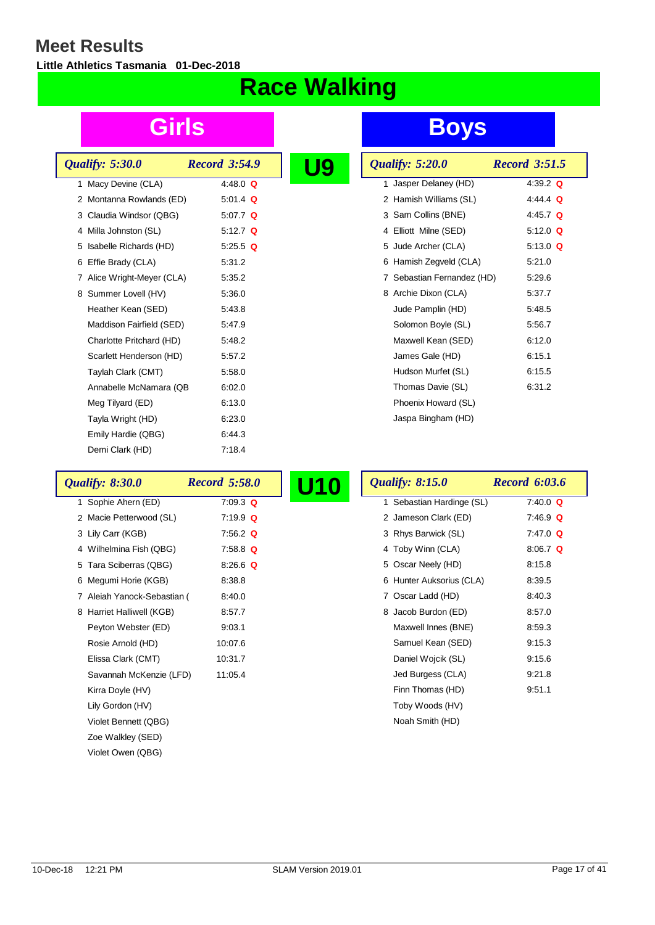**Little Athletics Tasmania 01-Dec-2018**

# **Race Walking**

| <b>Qualify: 5:30.0</b>     | <b>Record 3:54.9</b> |  |
|----------------------------|----------------------|--|
| 1 Macy Devine (CLA)        | 4:48.0 $\Omega$      |  |
| 2 Montanna Rowlands (ED)   | 5:01.4 $Q$           |  |
| 3 Claudia Windsor (QBG)    | 5:07.7 $Q$           |  |
| 4 Milla Johnston (SL)      | 5:12.7 $Q$           |  |
| 5 Isabelle Richards (HD)   | 5:25.5 Q             |  |
| 6 Effie Brady (CLA)        | 5.31.2               |  |
| 7 Alice Wright-Meyer (CLA) | 5:35.2               |  |
| 8 Summer Lovell (HV)       | 5.36.0               |  |
| Heather Kean (SED)         | 5.43.8               |  |
| Maddison Fairfield (SED)   | 5.47.9               |  |
| Charlotte Pritchard (HD)   | 5.48.2               |  |
| Scarlett Henderson (HD)    | 5:57.2               |  |
| Taylah Clark (CMT)         | 5:58.0               |  |
| Annabelle McNamara (QB     | 6:02.0               |  |
| Meg Tilyard (ED)           | 6:13.0               |  |
| Tayla Wright (HD)          | 6.23.0               |  |
| Emily Hardie (QBG)         | 6:44.3               |  |
| Demi Clark (HD)            | 7:18.4               |  |

## **Girls Boys**

|  | <b>Qualify: 5:20.0</b>     | <b>Record 3:51.5</b> |
|--|----------------------------|----------------------|
|  | 1 Jasper Delaney (HD)      | 4:39.2 $Q$           |
|  | 2 Hamish Williams (SL)     | 4:44.4 Q             |
|  | 3 Sam Collins (BNE)        | 4:45.7 $Q$           |
|  | 4 Elliott Milne (SED)      | 5:12.0 $Q$           |
|  | 5 Jude Archer (CLA)        | 5:13.0 $Q$           |
|  | 6 Hamish Zegveld (CLA)     | 5:21.0               |
|  | 7 Sebastian Fernandez (HD) | 5:29.6               |
|  | 8 Archie Dixon (CLA)       | 5:37.7               |
|  | Jude Pamplin (HD)          | 5:48.5               |
|  | Solomon Boyle (SL)         | 5:56.7               |
|  | Maxwell Kean (SED)         | 6:12.0               |
|  | James Gale (HD)            | 6:15.1               |
|  | Hudson Murfet (SL)         | 6:15.5               |
|  | Thomas Davie (SL)          | 6:31.2               |
|  | Phoenix Howard (SL)        |                      |
|  | Jaspa Bingham (HD)         |                      |

| <b>Qualify: 8:30.0</b>      | <b>Record 5:58.0</b> | U10 | <b>Qualify: 8:15.0</b>    | <b>Record 6:03.6</b> |
|-----------------------------|----------------------|-----|---------------------------|----------------------|
| 1 Sophie Ahern (ED)         | $7:09.3$ Q           |     | 1 Sebastian Hardinge (SL) | $7:40.0$ Q           |
| 2 Macie Petterwood (SL)     | $7:19.9$ Q           |     | 2 Jameson Clark (ED)      | $7.46.9$ Q           |
| 3 Lily Carr (KGB)           | 7:56.2 $Q$           |     | 3 Rhys Barwick (SL)       | $7.47.0$ Q           |
| 4 Wilhelmina Fish (QBG)     | $7:58.8$ Q           |     | 4 Toby Winn (CLA)         | 8:06.7 $Q$           |
| 5 Tara Sciberras (QBG)      | $8.26.6$ Q           |     | 5 Oscar Neely (HD)        | 8:15.8               |
| 6 Megumi Horie (KGB)        | 8:38.8               |     | 6 Hunter Auksorius (CLA)  | 8:39.5               |
| 7 Aleiah Yanock-Sebastian ( | 8:40.0               |     | 7 Oscar Ladd (HD)         | 8:40.3               |
| 8 Harriet Halliwell (KGB)   | 8:57.7               |     | 8 Jacob Burdon (ED)       | 8:57.0               |
| Peyton Webster (ED)         | 9:03.1               |     | Maxwell Innes (BNE)       | 8:59.3               |
| Rosie Arnold (HD)           | 10:07.6              |     | Samuel Kean (SED)         | 9.15.3               |
| Elissa Clark (CMT)          | 10:31.7              |     | Daniel Wojcik (SL)        | 9.15.6               |
| Savannah McKenzie (LFD)     | 11:05.4              |     | Jed Burgess (CLA)         | 9.21.8               |
| Kirra Doyle (HV)            |                      |     | Finn Thomas (HD)          | 9:51.1               |
| Lily Gordon (HV)            |                      |     | Toby Woods (HV)           |                      |
| Violet Bennett (QBG)        |                      |     | Noah Smith (HD)           |                      |
| Zoe Walkley (SED)           |                      |     |                           |                      |

Violet Owen (QBG)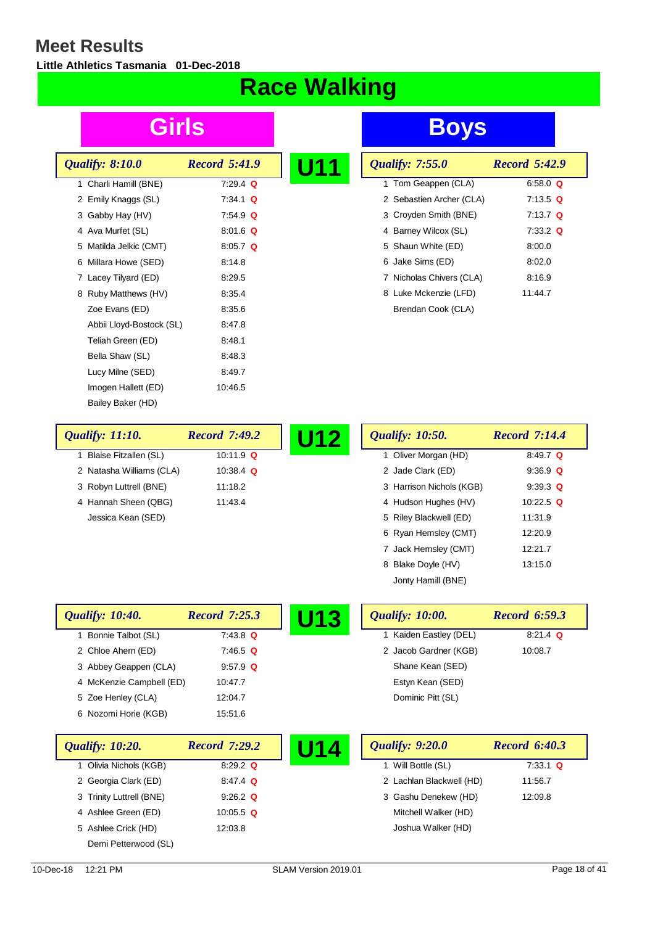$\overline{\phantom{a}}$ 

**Little Athletics Tasmania 01-Dec-2018**

# **Race Walking**

| <b>Qualify: 8:10.0</b>   | <b>Record 5:41.9</b> |  |
|--------------------------|----------------------|--|
| 1 Charli Hamill (BNE)    | $7:29.4$ Q           |  |
| 2 Emily Knaggs (SL)      | $7:34.1$ Q           |  |
| 3 Gabby Hay (HV)         | $7.54.9$ Q           |  |
| 4 Ava Murfet (SL)        | $8.01.6$ Q           |  |
| 5 Matilda Jelkic (CMT)   | $8.05.7$ Q           |  |
| 6 Millara Howe (SED)     | 8:14.8               |  |
| 7 Lacey Tilyard (ED)     | 8:29.5               |  |
| 8 Ruby Matthews (HV)     | 8:35.4               |  |
| Zoe Evans (ED)           | 8:35.6               |  |
| Abbii Lloyd-Bostock (SL) | 8:47.8               |  |
| Teliah Green (ED)        | 8:48.1               |  |
| Bella Shaw (SL)          | 8:48.3               |  |
| Lucy Milne (SED)         | 8:49.7               |  |
| Imogen Hallett (ED)      | 10:46.5              |  |
| Bailey Baker (HD)        |                      |  |

## **Girls Boys**

| U11 | <b>Qualify: 7:55.0</b>   | <b>Record 5:42.9</b> |
|-----|--------------------------|----------------------|
|     | 1 Tom Geappen (CLA)      | 6:58.0 $Q$           |
|     | 2 Sebastien Archer (CLA) | $7:13.5$ Q           |
|     | 3 Croyden Smith (BNE)    | $7:13.7$ Q           |
|     | 4 Barney Wilcox (SL)     | $7:33.2$ Q           |
|     | 5 Shaun White (ED)       | 8:00.0               |
|     | 6 Jake Sims (ED)         | 8:02.0               |
|     | 7 Nicholas Chivers (CLA) | 8:16.9               |
|     | 8 Luke Mckenzie (LFD)    | 11:44.7              |
|     | Brendan Cook (CLA)       |                      |

8 Blake Doyle (HV) 13:15.0

| <b>Qualify: 11:10.</b>   | <b>Record 7:49.2</b> | U12 | <b>Qualify: 10:50.</b>   | <b>Record 7:14.4</b> |
|--------------------------|----------------------|-----|--------------------------|----------------------|
| Blaise Fitzallen (SL)    | 10:11.9 $\Omega$     |     | 1 Oliver Morgan (HD)     | 8:49.7 $Q$           |
| 2 Natasha Williams (CLA) | 10:38.4 $\Omega$     |     | 2 Jade Clark (ED)        | $9.36.9$ Q           |
| 3 Robyn Luttrell (BNE)   | 11:18.2              |     | 3 Harrison Nichols (KGB) | $9:39.3$ Q           |
| 4 Hannah Sheen (QBG)     | 11:43.4              |     | 4 Hudson Hughes (HV)     | 10:22.5 $Q$          |
| Jessica Kean (SED)       |                      |     | 5 Riley Blackwell (ED)   | 11:31.9              |
|                          |                      |     | 6 Ryan Hemsley (CMT)     | 12:20.9              |
|                          |                      |     | 7 Jack Hemsley (CMT)     | 12:21.7              |

|                               |                      |                               | Jonty Hamill (BNE)       |                      |
|-------------------------------|----------------------|-------------------------------|--------------------------|----------------------|
| <i><b>Qualify: 10:40.</b></i> | <b>Record 7:25.3</b> | <b>Qualify: 10:00.</b><br>U13 |                          | <b>Record 6:59.3</b> |
| 1 Bonnie Talbot (SL)          | $7:43.8$ Q           |                               | 1 Kaiden Eastley (DEL)   | $8:21.4$ Q           |
| 2 Chloe Ahern (ED)            | $7.46.5$ Q           |                               | 2 Jacob Gardner (KGB)    | 10:08.7              |
| 3 Abbey Geappen (CLA)         | $9.57.9$ Q           |                               | Shane Kean (SED)         |                      |
| 4 McKenzie Campbell (ED)      | 10:47.7              |                               | Estyn Kean (SED)         |                      |
| 5 Zoe Henley (CLA)            | 12:04.7              |                               | Dominic Pitt (SL)        |                      |
| 6 Nozomi Horie (KGB)          | 15:51.6              |                               |                          |                      |
| <i><b>Qualify: 10:20.</b></i> | <b>Record 7:29.2</b> | <b>Qualify: 9:20.0</b><br>U14 |                          | <b>Record 6:40.3</b> |
| 1 Olivia Nichols (KGB)        | 8:29.2 $Q$           |                               | Will Bottle (SL)         | $7:33.1$ Q           |
| 2 Georgia Clark (ED)          | $8.47.4$ Q           |                               | 2 Lachlan Blackwell (HD) | 11:56.7              |
| 3 Trinity Luttrell (BNE)      | $9:26.2$ Q           |                               | 3 Gashu Denekew (HD)     | 12:09.8              |
| 4 Ashlee Green (ED)           | 10:05.5 $Q$          |                               | Mitchell Walker (HD)     |                      |
| 5 Ashlee Crick (HD)           | 12:03.8              |                               | Joshua Walker (HD)       |                      |

Demi Petterwood (SL)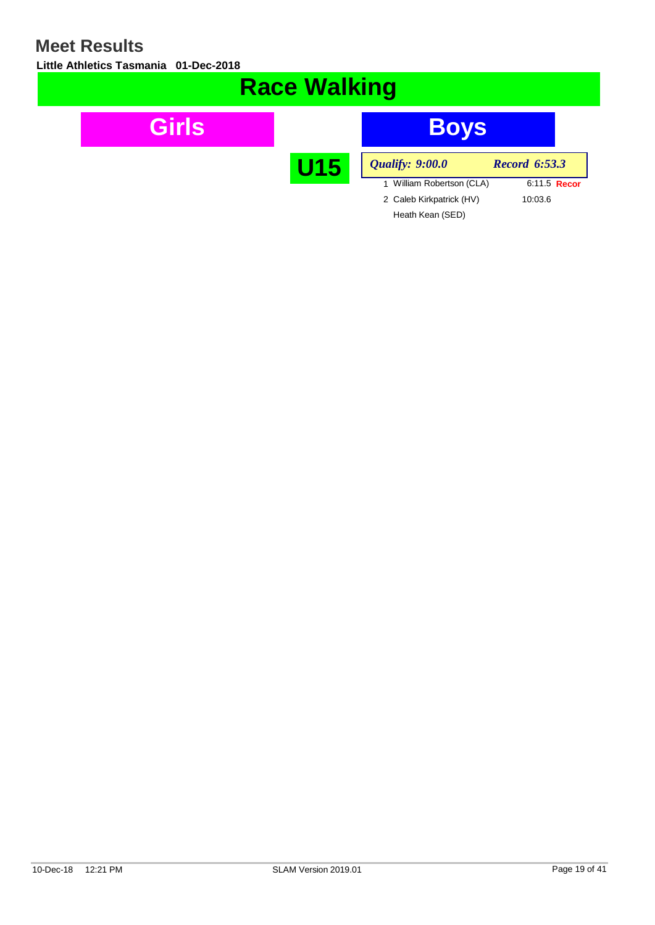**Little Athletics Tasmania 01-Dec-2018**

| <b>Race Walking</b> |            |                           |                      |  |  |
|---------------------|------------|---------------------------|----------------------|--|--|
| Girls               |            | <b>Boys</b>               |                      |  |  |
|                     | <b>U15</b> | <b>Qualify: 9:00.0</b>    | <b>Record 6:53.3</b> |  |  |
|                     |            | 1 William Robertson (CLA) | 6:11.5 Recor         |  |  |
|                     |            | 2 Caleb Kirkpatrick (HV)  | 10:03.6              |  |  |
|                     |            | Heath Kean (SED)          |                      |  |  |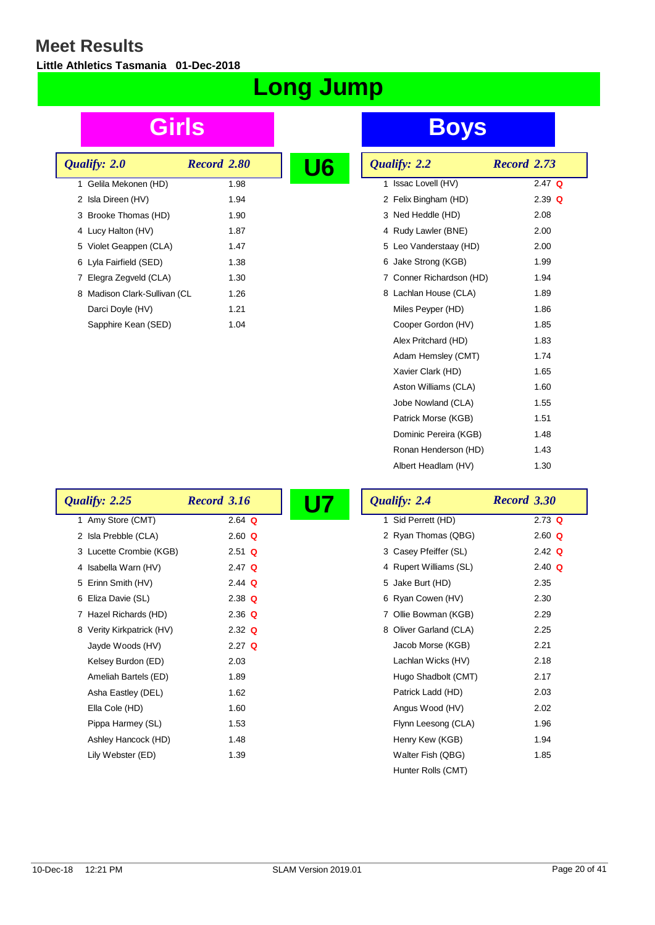**Little Athletics Tasmania 01-Dec-2018**

# **Long Jump**

| Qualify: 2.0 |                              | Record 2.80 |  |
|--------------|------------------------------|-------------|--|
|              | 1 Gelila Mekonen (HD)        | 1.98        |  |
|              | 2 Isla Direen (HV)           | 1.94        |  |
|              | 3 Brooke Thomas (HD)         | 1.90        |  |
|              | 4 Lucy Halton (HV)           | 1.87        |  |
|              | 5 Violet Geappen (CLA)       | 1.47        |  |
|              | 6 Lyla Fairfield (SED)       | 1.38        |  |
|              | 7 Elegra Zegveld (CLA)       | 1.30        |  |
|              | 8 Madison Clark-Sullivan (CL | 1.26        |  |
|              | Darci Doyle (HV)             | 1.21        |  |
|              | Sapphire Kean (SED)          | 1.04        |  |

## **Girls Boys**

| Qualify: 2.2             | Record 2.73 |
|--------------------------|-------------|
| Issac Lovell (HV)<br>1   | $2.47$ Q    |
| 2 Felix Bingham (HD)     | $2.39$ Q    |
| 3 Ned Heddle (HD)        | 2.08        |
| 4 Rudy Lawler (BNE)      | 2.00        |
| 5 Leo Vanderstaay (HD)   | 2.00        |
| 6 Jake Strong (KGB)      | 1.99        |
| 7 Conner Richardson (HD) | 1.94        |
| 8 Lachlan House (CLA)    | 1.89        |
| Miles Peyper (HD)        | 1.86        |
| Cooper Gordon (HV)       | 1.85        |
| Alex Pritchard (HD)      | 1.83        |
| Adam Hemsley (CMT)       | 1.74        |
| Xavier Clark (HD)        | 1.65        |
| Aston Williams (CLA)     | 1.60        |
| Jobe Nowland (CLA)       | 1.55        |
| Patrick Morse (KGB)      | 1.51        |
| Dominic Pereira (KGB)    | 1.48        |
| Ronan Henderson (HD)     | 1.43        |
| Albert Headlam (HV)      | 1.30        |

| Qualify: 2.25             | <b>Record 3.16</b> | U7 | Qualify: 2.4           | Record 3.30 |
|---------------------------|--------------------|----|------------------------|-------------|
| 1 Amy Store (CMT)         | $2.64$ Q           |    | 1 Sid Perrett (HD)     | $2.73$ Q    |
| 2 Isla Prebble (CLA)      | $2.60$ Q           |    | 2 Ryan Thomas (QBG)    | 2.60 $Q$    |
| 3 Lucette Crombie (KGB)   | $2.51$ Q           |    | 3 Casey Pfeiffer (SL)  | 2.42 $Q$    |
| 4 Isabella Warn (HV)      | $2.47$ Q           |    | 4 Rupert Williams (SL) | $2.40$ Q    |
| 5 Erinn Smith (HV)        | 2.44 $Q$           |    | 5 Jake Burt (HD)       | 2.35        |
| 6 Eliza Davie (SL)        | $2.38$ Q           |    | 6 Ryan Cowen (HV)      | 2.30        |
| 7 Hazel Richards (HD)     | $2.36$ Q           |    | 7 Ollie Bowman (KGB)   | 2.29        |
| 8 Verity Kirkpatrick (HV) | $2.32$ Q           |    | 8 Oliver Garland (CLA) | 2.25        |
| Jayde Woods (HV)          | $2.27$ Q           |    | Jacob Morse (KGB)      | 2.21        |
| Kelsey Burdon (ED)        | 2.03               |    | Lachlan Wicks (HV)     | 2.18        |
| Ameliah Bartels (ED)      | 1.89               |    | Hugo Shadbolt (CMT)    | 2.17        |
| Asha Eastley (DEL)        | 1.62               |    | Patrick Ladd (HD)      | 2.03        |
| Ella Cole (HD)            | 1.60               |    | Angus Wood (HV)        | 2.02        |
| Pippa Harmey (SL)         | 1.53               |    | Flynn Leesong (CLA)    | 1.96        |
| Ashley Hancock (HD)       | 1.48               |    | Henry Kew (KGB)        | 1.94        |
| Lily Webster (ED)         | 1.39               |    | Walter Fish (QBG)      | 1.85        |

Hunter Rolls (CMT)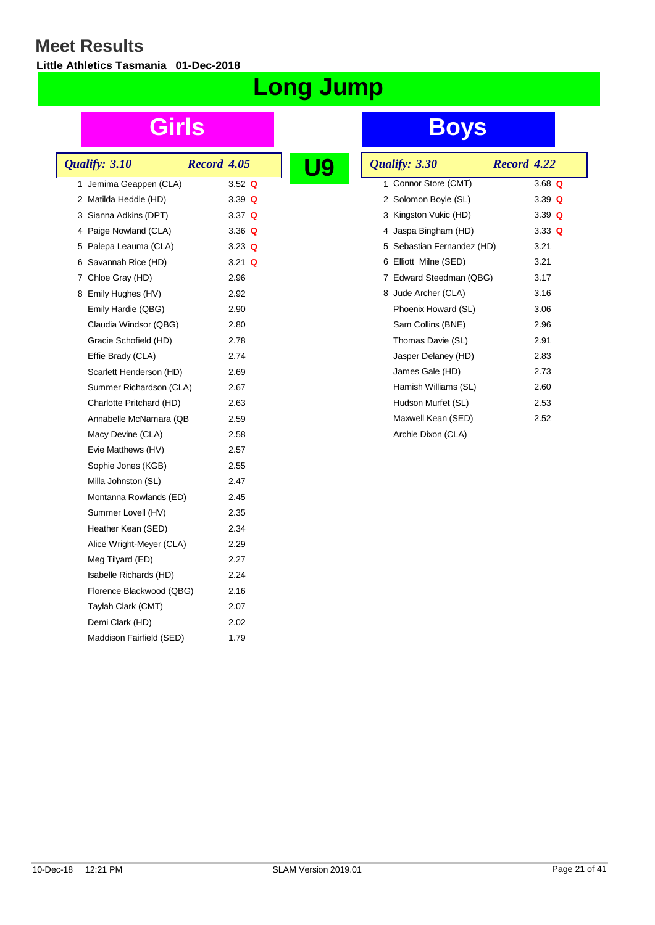**Little Athletics Tasmania 01-Dec-2018**

# **Long Jump**

|  | Qualify: 3.10            | Record 4.05 |          |  |  |
|--|--------------------------|-------------|----------|--|--|
|  | 1 Jemima Geappen (CLA)   |             | 3.52 Q   |  |  |
|  | 2 Matilda Heddle (HD)    |             | 3.39 $Q$ |  |  |
|  | 3 Sianna Adkins (DPT)    |             | 3.37 $Q$ |  |  |
|  | 4 Paige Nowland (CLA)    |             | 3.36 Q   |  |  |
|  | 5 Palepa Leauma (CLA)    |             | 3.23 $Q$ |  |  |
|  | 6 Savannah Rice (HD)     |             | 3.21 $Q$ |  |  |
|  | 7 Chloe Gray (HD)        |             | 2.96     |  |  |
|  | 8 Emily Hughes (HV)      |             | 2.92     |  |  |
|  | Emily Hardie (QBG)       |             | 2.90     |  |  |
|  | Claudia Windsor (QBG)    |             | 2.80     |  |  |
|  | Gracie Schofield (HD)    |             | 2.78     |  |  |
|  | Effie Brady (CLA)        |             | 2.74     |  |  |
|  | Scarlett Henderson (HD)  |             | 2.69     |  |  |
|  | Summer Richardson (CLA)  |             | 2.67     |  |  |
|  | Charlotte Pritchard (HD) |             | 2.63     |  |  |
|  | Annabelle McNamara (QB   |             | 2.59     |  |  |
|  | Macy Devine (CLA)        |             | 2.58     |  |  |
|  | Evie Matthews (HV)       |             | 2.57     |  |  |
|  | Sophie Jones (KGB)       |             | 2.55     |  |  |
|  | Milla Johnston (SL)      |             | 2.47     |  |  |
|  | Montanna Rowlands (ED)   |             | 2.45     |  |  |
|  | Summer Lovell (HV)       |             | 2.35     |  |  |
|  | Heather Kean (SED)       |             | 2.34     |  |  |
|  | Alice Wright-Meyer (CLA) |             | 2.29     |  |  |
|  | Meg Tilyard (ED)         |             | 2.27     |  |  |
|  | Isabelle Richards (HD)   |             | 2.24     |  |  |
|  | Florence Blackwood (QBG) |             | 2.16     |  |  |
|  | Taylah Clark (CMT)       |             | 2.07     |  |  |
|  | Demi Clark (HD)          |             | 2.02     |  |  |
|  | Maddison Fairfield (SED) |             | 1.79     |  |  |
|  |                          |             |          |  |  |

| g | Qualify: 3.30              | Record 4.22 |          |  |
|---|----------------------------|-------------|----------|--|
|   | 1 Connor Store (CMT)       |             | 3.68 $Q$ |  |
|   | 2 Solomon Boyle (SL)       |             | 3.39 $Q$ |  |
|   | 3 Kingston Vukic (HD)      |             | 3.39 $Q$ |  |
|   | 4 Jaspa Bingham (HD)       |             | 3.33 $Q$ |  |
|   | 5 Sebastian Fernandez (HD) |             | 3.21     |  |
|   | 6 Elliott Milne (SED)      |             | 3.21     |  |
|   | 7 Edward Steedman (QBG)    |             | 3.17     |  |
|   | 8 Jude Archer (CLA)        |             | 3.16     |  |
|   | Phoenix Howard (SL)        |             | 3.06     |  |
|   | Sam Collins (BNE)          |             | 2.96     |  |
|   | Thomas Davie (SL)          |             | 2.91     |  |
|   | Jasper Delaney (HD)        |             | 2.83     |  |
|   | James Gale (HD)            |             | 2.73     |  |
|   | Hamish Williams (SL)       |             | 2.60     |  |
|   | Hudson Murfet (SL)         |             | 2.53     |  |
|   | Maxwell Kean (SED)         |             | 2.52     |  |
|   | Archie Dixon (CLA)         |             |          |  |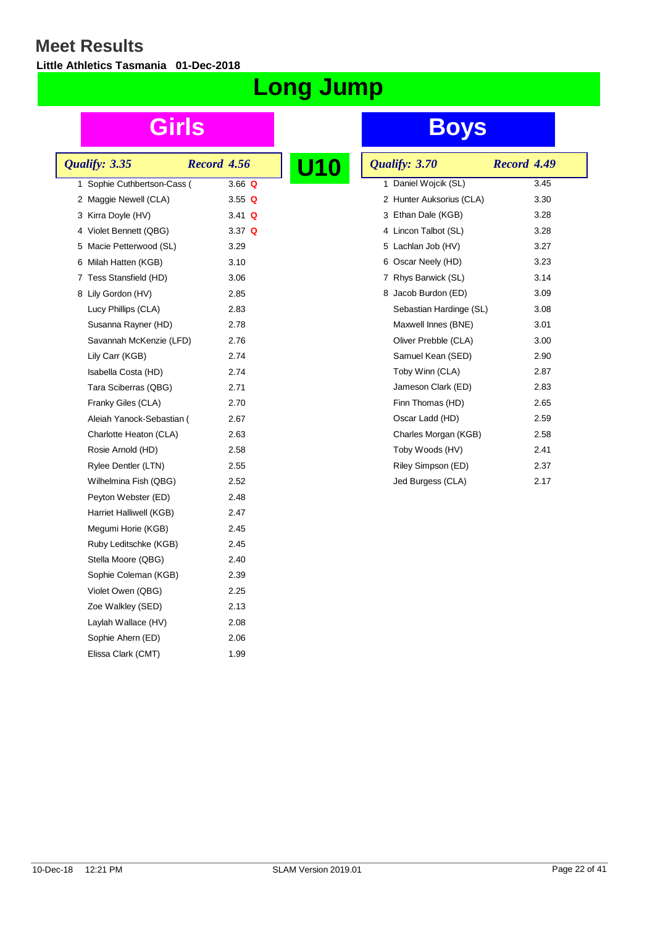**Little Athletics Tasmania 01-Dec-2018**

# **Long Jump**

|  | Qualify: 3.35               | Record 4.56 |          |  |
|--|-----------------------------|-------------|----------|--|
|  | 1 Sophie Cuthbertson-Cass ( |             | 3.66 $Q$ |  |
|  | 2 Maggie Newell (CLA)       |             | 3.55 $Q$ |  |
|  | 3 Kirra Doyle (HV)          |             | 3.41 $Q$ |  |
|  | 4 Violet Bennett (QBG)      |             | 3.37 $Q$ |  |
|  | 5 Macie Petterwood (SL)     |             | 3.29     |  |
|  | 6 Milah Hatten (KGB)        |             | 3.10     |  |
|  | 7 Tess Stansfield (HD)      |             | 3.06     |  |
|  | 8 Lily Gordon (HV)          |             | 2.85     |  |
|  | Lucy Phillips (CLA)         |             | 2.83     |  |
|  | Susanna Rayner (HD)         |             | 2.78     |  |
|  | Savannah McKenzie (LFD)     |             | 2.76     |  |
|  | Lily Carr (KGB)             |             | 2.74     |  |
|  | Isabella Costa (HD)         |             | 2.74     |  |
|  | Tara Sciberras (QBG)        |             | 2.71     |  |
|  | Franky Giles (CLA)          |             | 2.70     |  |
|  | Aleiah Yanock-Sebastian (   |             | 2.67     |  |
|  | Charlotte Heaton (CLA)      |             | 2.63     |  |
|  | Rosie Arnold (HD)           |             | 2.58     |  |
|  | Rylee Dentler (LTN)         |             | 2.55     |  |
|  | Wilhelmina Fish (QBG)       |             | 2.52     |  |
|  | Peyton Webster (ED)         |             | 2.48     |  |
|  | Harriet Halliwell (KGB)     |             | 2.47     |  |
|  | Megumi Horie (KGB)          |             | 2.45     |  |
|  | Ruby Leditschke (KGB)       |             | 2.45     |  |
|  | Stella Moore (QBG)          |             | 2.40     |  |
|  | Sophie Coleman (KGB)        |             | 2.39     |  |
|  | Violet Owen (QBG)           |             | 2.25     |  |
|  | Zoe Walkley (SED)           |             | 2.13     |  |
|  | Laylah Wallace (HV)         |             | 2.08     |  |
|  | Sophie Ahern (ED)           |             | 2.06     |  |
|  | Elissa Clark (CMT)          |             | 1.99     |  |
|  |                             |             |          |  |

| 0 | Qualify: 3.70               | Record 4.49 |
|---|-----------------------------|-------------|
|   | 1 Daniel Wojcik (SL)        | 3.45        |
|   | Hunter Auksorius (CLA)<br>2 | 3.30        |
|   | 3 Ethan Dale (KGB)          | 3.28        |
|   | 4 Lincon Talbot (SL)        | 3.28        |
|   | Lachlan Job (HV)<br>5       | 3.27        |
|   | Oscar Neely (HD)<br>6       | 3.23        |
|   | Rhys Barwick (SL)<br>7      | 3.14        |
|   | Jacob Burdon (ED)<br>8      | 3.09        |
|   | Sebastian Hardinge (SL)     | 3.08        |
|   | Maxwell Innes (BNE)         | 3.01        |
|   | Oliver Prebble (CLA)        | 3.00        |
|   | Samuel Kean (SED)           | 2.90        |
|   | Toby Winn (CLA)             | 2.87        |
|   | Jameson Clark (ED)          | 2.83        |
|   | Finn Thomas (HD)            | 2.65        |
|   | Oscar Ladd (HD)             | 2.59        |
|   | Charles Morgan (KGB)        | 2.58        |
|   | Toby Woods (HV)             | 2.41        |
|   | Riley Simpson (ED)          | 2.37        |
|   | Jed Burgess (CLA)           | 2.17        |
|   |                             |             |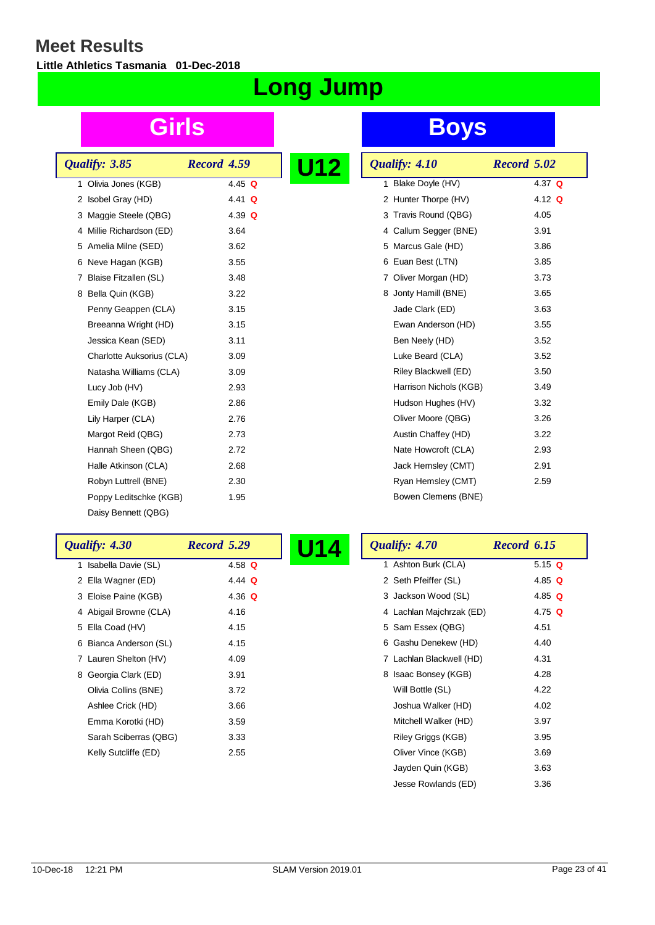**Little Athletics Tasmania 01-Dec-2018**

# **Long Jump**

| Qualify: 3.85                        | Record 4.59 |  |
|--------------------------------------|-------------|--|
| Olivia Jones (KGB)<br>1              | 4.45 Q      |  |
| Isobel Gray (HD)<br>2                | 4.41 Q      |  |
| 3 Maggie Steele (QBG)                | 4.39 $Q$    |  |
| 4 Millie Richardson (ED)             | 3.64        |  |
| 5 Amelia Milne (SED)                 | 3.62        |  |
| Neve Hagan (KGB)<br>6                | 3.55        |  |
| Blaise Fitzallen (SL)<br>$7^{\circ}$ | 3.48        |  |
| 8 Bella Quin (KGB)                   | 3.22        |  |
| Penny Geappen (CLA)                  | 3.15        |  |
| Breeanna Wright (HD)                 | 3.15        |  |
| Jessica Kean (SED)                   | 3.11        |  |
| Charlotte Auksorius (CLA)            | 3.09        |  |
| Natasha Williams (CLA)               | 3.09        |  |
| Lucy Job (HV)                        | 2.93        |  |
| Emily Dale (KGB)                     | 2.86        |  |
| Lily Harper (CLA)                    | 2.76        |  |
| Margot Reid (QBG)                    | 2.73        |  |
| Hannah Sheen (QBG)                   | 2.72        |  |
| Halle Atkinson (CLA)                 | 2.68        |  |
| Robyn Luttrell (BNE)                 | 2.30        |  |
| Poppy Leditschke (KGB)               | 1.95        |  |
| Daisy Bennett (QBG)                  |             |  |

| <u> 12</u> | Qualify: 4.10                              | Record 5.02 |
|------------|--------------------------------------------|-------------|
|            | Blake Doyle (HV)<br>1                      | 4.37 $Q$    |
|            | Hunter Thorpe (HV)<br>$\mathbf{2}^{\circ}$ | 4.12 $Q$    |
|            | 3 Travis Round (QBG)                       | 4.05        |
|            | 4 Callum Segger (BNE)                      | 3.91        |
|            | Marcus Gale (HD)<br>5                      | 3.86        |
|            | 6 Euan Best (LTN)                          | 3.85        |
|            | Oliver Morgan (HD)<br>7                    | 3.73        |
|            | 8 Jonty Hamill (BNE)                       | 3.65        |
|            | Jade Clark (ED)                            | 3.63        |
|            | Ewan Anderson (HD)                         | 3.55        |
|            | Ben Neely (HD)                             | 3.52        |
|            | Luke Beard (CLA)                           | 3.52        |
|            | Riley Blackwell (ED)                       | 3.50        |
|            | Harrison Nichols (KGB)                     | 3.49        |
|            | Hudson Hughes (HV)                         | 3.32        |
|            | Oliver Moore (QBG)                         | 3.26        |
|            | Austin Chaffey (HD)                        | 3.22        |
|            | Nate Howcroft (CLA)                        | 2.93        |
|            | Jack Hemsley (CMT)                         | 2.91        |
|            | Ryan Hemsley (CMT)                         | 2.59        |
|            | Bowen Clemens (BNE)                        |             |

| Qualify: 4.30          | Record 5.29 | U14 | Qualify: 4.70            | Record 6.15 |
|------------------------|-------------|-----|--------------------------|-------------|
| 1 Isabella Davie (SL)  | 4.58 $Q$    |     | 1 Ashton Burk (CLA)      | 5.15 $Q$    |
| 2 Ella Wagner (ED)     | 4.44 $Q$    |     | 2 Seth Pfeiffer (SL)     | 4.85 $Q$    |
| 3 Eloise Paine (KGB)   | 4.36 $Q$    |     | 3 Jackson Wood (SL)      | 4.85 $Q$    |
| 4 Abigail Browne (CLA) | 4.16        |     | 4 Lachlan Majchrzak (ED) | 4.75 $Q$    |
| 5 Ella Coad (HV)       | 4.15        |     | 5 Sam Essex (QBG)        | 4.51        |
| 6 Bianca Anderson (SL) | 4.15        |     | 6 Gashu Denekew (HD)     | 4.40        |
| 7 Lauren Shelton (HV)  | 4.09        |     | 7 Lachlan Blackwell (HD) | 4.31        |
| 8 Georgia Clark (ED)   | 3.91        |     | 8 Isaac Bonsey (KGB)     | 4.28        |
| Olivia Collins (BNE)   | 3.72        |     | Will Bottle (SL)         | 4.22        |
| Ashlee Crick (HD)      | 3.66        |     | Joshua Walker (HD)       | 4.02        |
| Emma Korotki (HD)      | 3.59        |     | Mitchell Walker (HD)     | 3.97        |
| Sarah Sciberras (QBG)  | 3.33        |     | Riley Griggs (KGB)       | 3.95        |
| Kelly Sutcliffe (ED)   | 2.55        |     | Oliver Vince (KGB)       | 3.69        |
|                        |             |     | Jayden Quin (KGB)        | 3.63        |
|                        |             |     | Jesse Rowlands (ED)      | 3.36        |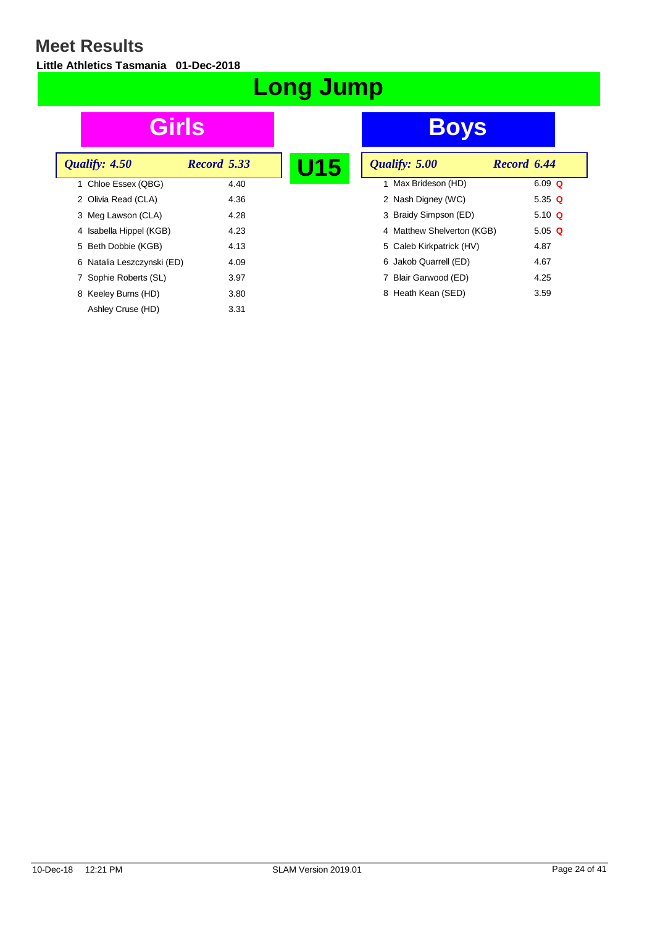**Little Athletics Tasmania 01-Dec-2018**

# **Long Jump**

| Qualify: 4.50              | Record 5.33 |      |  |
|----------------------------|-------------|------|--|
| 1 Chloe Essex (QBG)        |             | 4.40 |  |
| 2 Olivia Read (CLA)        |             | 4.36 |  |
| 3 Meg Lawson (CLA)         |             | 4.28 |  |
| 4 Isabella Hippel (KGB)    |             | 4.23 |  |
| 5 Beth Dobbie (KGB)        |             | 4.13 |  |
| 6 Natalia Leszczynski (ED) |             | 4.09 |  |
| 7 Sophie Roberts (SL)      |             | 3.97 |  |
| 8 Keeley Burns (HD)        |             | 3.80 |  |
| Ashley Cruse (HD)          |             | 3.31 |  |

| U15 | Qualify: 5.00              | Record 6.44 |
|-----|----------------------------|-------------|
|     | 1 Max Brideson (HD)        | $6.09$ Q    |
|     | 2 Nash Digney (WC)         | 5.35 Q      |
|     | 3 Braidy Simpson (ED)      | 5.10 $Q$    |
|     | 4 Matthew Shelverton (KGB) | 5.05 Q      |
|     | 5 Caleb Kirkpatrick (HV)   | 4.87        |
|     | 6 Jakob Quarrell (ED)      | 4.67        |
|     | Blair Garwood (ED)         | 4.25        |
|     | 8 Heath Kean (SED)         | 3.59        |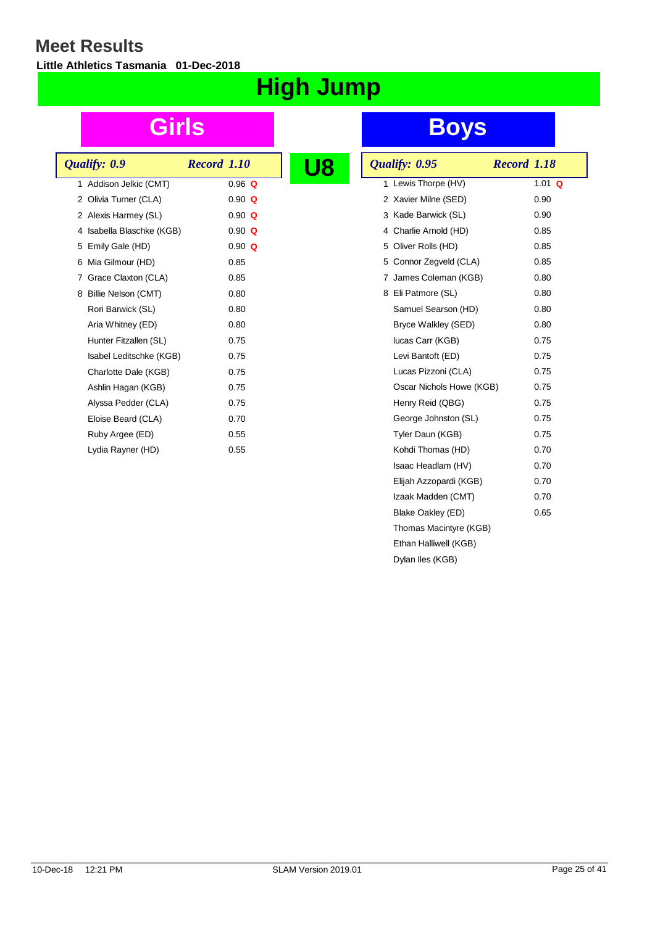**Little Athletics Tasmania 01-Dec-2018**

# **High Jump**

| Qualify: 0.9              | <b>Record 1.10</b> |  |
|---------------------------|--------------------|--|
| 1 Addison Jelkic (CMT)    | $0.96$ Q           |  |
| 2 Olivia Turner (CLA)     | $0.90 \Omega$      |  |
| 2 Alexis Harmey (SL)      | $0.90 \Omega$      |  |
| 4 Isabella Blaschke (KGB) | $0.90 \Omega$      |  |
| 5 Emily Gale (HD)         | $0.90 \Omega$      |  |
| 6 Mia Gilmour (HD)        | 0.85               |  |
| 7 Grace Claxton (CLA)     | 0.85               |  |
| 8 Billie Nelson (CMT)     | 0.80               |  |
| Rori Barwick (SL)         | 0.80               |  |
| Aria Whitney (ED)         | 0.80               |  |
| Hunter Fitzallen (SL)     | 0.75               |  |
| Isabel Leditschke (KGB)   | 0.75               |  |
| Charlotte Dale (KGB)      | 0.75               |  |
| Ashlin Hagan (KGB)        | 0.75               |  |
| Alyssa Pedder (CLA)       | 0.75               |  |
| Eloise Beard (CLA)        | 0.70               |  |
| Ruby Argee (ED)           | 0.55               |  |
| Lydia Rayner (HD)         | 0.55               |  |
|                           |                    |  |

| Qualify: 0.95            | Record 1.18 |
|--------------------------|-------------|
| 1 Lewis Thorpe (HV)      | 1.01 $Q$    |
| 2 Xavier Milne (SED)     | 0.90        |
| 3 Kade Barwick (SL)      | 0.90        |
| 4 Charlie Arnold (HD)    | 0.85        |
| 5 Oliver Rolls (HD)      | 0.85        |
| 5 Connor Zegveld (CLA)   | 0.85        |
| 7 James Coleman (KGB)    | 0.80        |
| 8 Eli Patmore (SL)       | 0.80        |
| Samuel Searson (HD)      | 0.80        |
| Bryce Walkley (SED)      | 0.80        |
| lucas Carr (KGB)         | 0.75        |
| Levi Bantoft (ED)        | 0.75        |
| Lucas Pizzoni (CLA)      | 0.75        |
| Oscar Nichols Howe (KGB) | 0.75        |
| Henry Reid (QBG)         | 0.75        |
| George Johnston (SL)     | 0.75        |
| Tyler Daun (KGB)         | 0.75        |
| Kohdi Thomas (HD)        | 0.70        |
| Isaac Headlam (HV)       | 0.70        |
| Elijah Azzopardi (KGB)   | 0.70        |
| Izaak Madden (CMT)       | 0.70        |
| Blake Oakley (ED)        | 0.65        |
| Thomas Macintyre (KGB)   |             |
| Ethan Halliwell (KGB)    |             |
| Dylan Iles (KGB)         |             |
|                          |             |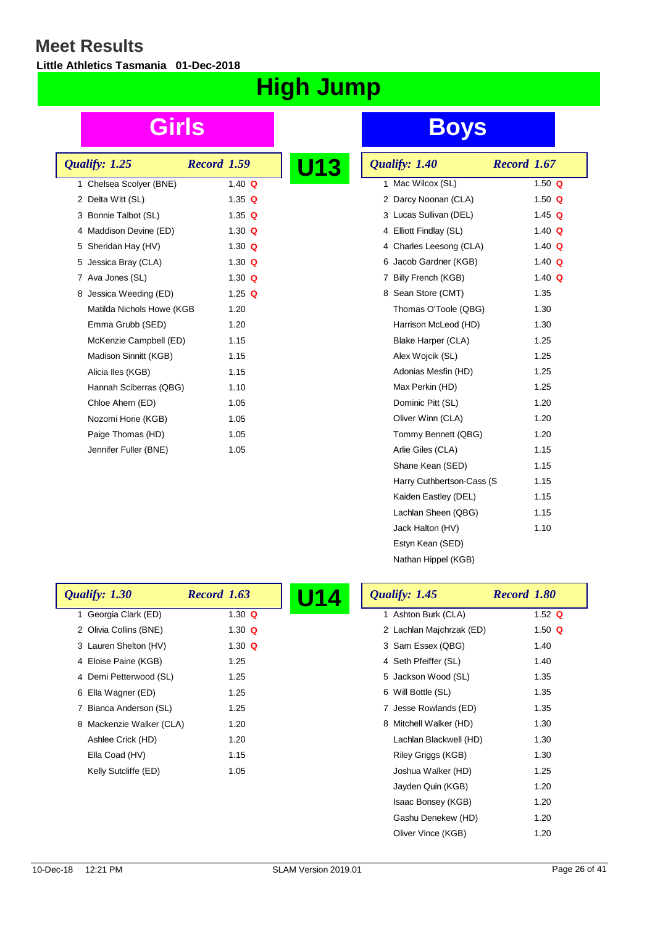L

**Little Athletics Tasmania 01-Dec-2018**

# **High Jump**

| Qualify: 1.25             | <b>Record 1.59</b> |  |
|---------------------------|--------------------|--|
| 1 Chelsea Scolver (BNE)   | 1.40 $\Omega$      |  |
| 2 Delta Witt (SL)         | 1.35 $Q$           |  |
| 3 Bonnie Talbot (SL)      | 1.35 $Q$           |  |
| 4 Maddison Devine (ED)    | 1.30 $Q$           |  |
| 5 Sheridan Hay (HV)       | 1.30 $Q$           |  |
| 5 Jessica Bray (CLA)      | 1.30 $Q$           |  |
| 7 Ava Jones (SL)          | 1.30 $Q$           |  |
| 8 Jessica Weeding (ED)    | 1.25 $Q$           |  |
| Matilda Nichols Howe (KGB | 1.20               |  |
| Emma Grubb (SED)          | 1.20               |  |
| McKenzie Campbell (ED)    | 1.15               |  |
| Madison Sinnitt (KGB)     | 1.15               |  |
| Alicia lles (KGB)         | 1.15               |  |
| Hannah Sciberras (QBG)    | 1.10               |  |
| Chloe Ahern (ED)          | 1.05               |  |
| Nozomi Horie (KGB)        | 1.05               |  |
| Paige Thomas (HD)         | 1.05               |  |
| Jennifer Fuller (BNE)     | 1.05               |  |
|                           |                    |  |

## **Girls Boys**

| <b>13</b> | Qualify: 1.40             | Record 1.67   |
|-----------|---------------------------|---------------|
|           | 1 Mac Wilcox (SL)         | 1.50 $Q$      |
|           | 2 Darcy Noonan (CLA)      | 1.50 $Q$      |
|           | 3 Lucas Sullivan (DEL)    | 1.45 $Q$      |
|           | 4 Elliott Findlay (SL)    | 1.40 $Q$      |
|           | 4 Charles Leesong (CLA)   | 1.40 $Q$      |
|           | 6 Jacob Gardner (KGB)     | 1.40 $Q$      |
|           | 7 Billy French (KGB)      | 1.40 $\Omega$ |
|           | 8 Sean Store (CMT)        | 1.35          |
|           | Thomas O'Toole (QBG)      | 1.30          |
|           | Harrison McLeod (HD)      | 1.30          |
|           | Blake Harper (CLA)        | 1.25          |
|           | Alex Wojcik (SL)          | 1.25          |
|           | Adonias Mesfin (HD)       | 1.25          |
|           | Max Perkin (HD)           | 1.25          |
|           | Dominic Pitt (SL)         | 1.20          |
|           | Oliver Winn (CLA)         | 1.20          |
|           | Tommy Bennett (QBG)       | 1.20          |
|           | Arlie Giles (CLA)         | 1.15          |
|           | Shane Kean (SED)          | 1.15          |
|           | Harry Cuthbertson-Cass (S | 1.15          |
|           | Kaiden Eastley (DEL)      | 1.15          |
|           | Lachlan Sheen (QBG)       | 1.15          |
|           | Jack Halton (HV)          | 1.10          |
|           | Estyn Kean (SED)          |               |
|           | Nathan Hippel (KGB)       |               |

Oliver Vince (KGB) 1.20

| Qualify: 1.30            | <b>Record 1.63</b> | Qualify: 1.45<br>U14 |                          | Record 1.80 |
|--------------------------|--------------------|----------------------|--------------------------|-------------|
| Georgia Clark (ED)       | 1.30 $Q$           |                      | 1 Ashton Burk (CLA)      | 1.52 $Q$    |
| 2 Olivia Collins (BNE)   | 1.30 $Q$           |                      | 2 Lachlan Majchrzak (ED) | 1.50 $Q$    |
| 3 Lauren Shelton (HV)    | 1.30 $Q$           |                      | 3 Sam Essex (QBG)        | 1.40        |
| 4 Eloise Paine (KGB)     | 1.25               |                      | 4 Seth Pfeiffer (SL)     | 1.40        |
| 4 Demi Petterwood (SL)   | 1.25               |                      | 5 Jackson Wood (SL)      | 1.35        |
| 6 Ella Wagner (ED)       | 1.25               |                      | 6 Will Bottle (SL)       | 1.35        |
| 7 Bianca Anderson (SL)   | 1.25               |                      | 7 Jesse Rowlands (ED)    | 1.35        |
| 8 Mackenzie Walker (CLA) | 1.20               |                      | 8 Mitchell Walker (HD)   | 1.30        |
| Ashlee Crick (HD)        | 1.20               |                      | Lachlan Blackwell (HD)   | 1.30        |
| Ella Coad (HV)           | 1.15               |                      | Riley Griggs (KGB)       | 1.30        |
| Kelly Sutcliffe (ED)     | 1.05               |                      | Joshua Walker (HD)       | 1.25        |
|                          |                    |                      | Jayden Quin (KGB)        | 1.20        |
|                          |                    |                      | Isaac Bonsey (KGB)       | 1.20        |
|                          |                    |                      | Gashu Denekew (HD)       | 1.20        |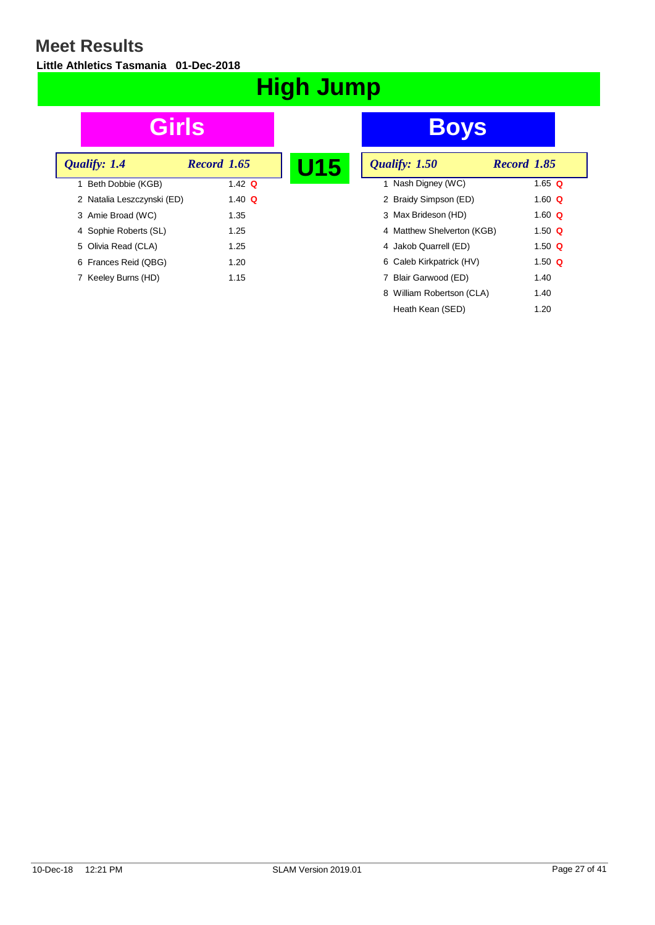**Little Athletics Tasmania 01-Dec-2018**

# **High Jump**

| Qualify: 1.4               | <b>Record 1.65</b> | U15 |
|----------------------------|--------------------|-----|
| 1 Beth Dobbie (KGB)        | 1.42 $\Omega$      |     |
| 2 Natalia Leszczynski (ED) | 1.40 $\Omega$      |     |
| 3 Amie Broad (WC)          | 1.35               |     |
| 4 Sophie Roberts (SL)      | 1.25               |     |
| 5 Olivia Read (CLA)        | 1.25               |     |
| 6 Frances Reid (QBG)       | 1.20               |     |
| 7 Keeley Burns (HD)        | 1.15               |     |

| U15 | Qualify: 1.50              | Record 1.85 |  |
|-----|----------------------------|-------------|--|
|     | 1 Nash Digney (WC)         | 1.65 Q      |  |
|     | 2 Braidy Simpson (ED)      | 1.60 $Q$    |  |
|     | 3 Max Brideson (HD)        | 1.60 $Q$    |  |
|     | 4 Matthew Shelverton (KGB) | 1.50 $Q$    |  |
|     | 4 Jakob Quarrell (ED)      | 1.50 $Q$    |  |
|     | 6 Caleb Kirkpatrick (HV)   | 1.50 $Q$    |  |
|     | Blair Garwood (ED)         | 1.40        |  |
|     | 8 William Robertson (CLA)  | 1.40        |  |
|     | Heath Kean (SED)           | 1.20        |  |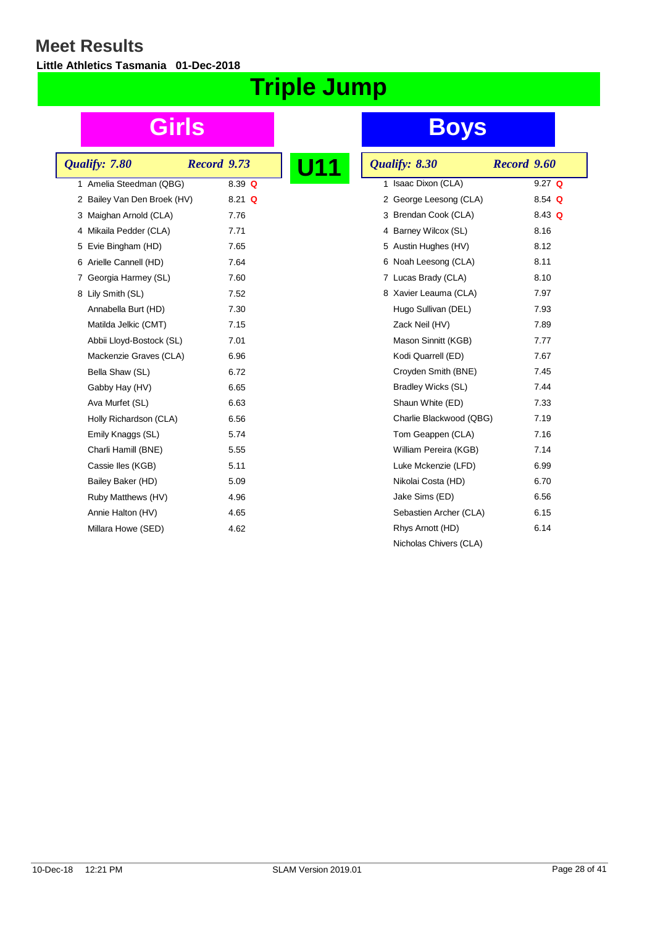**Little Athletics Tasmania 01-Dec-2018**

# **Triple Jump**

|   | Qualify: 7.80               | <b>Record</b> 9.73 |          |  |
|---|-----------------------------|--------------------|----------|--|
| 1 | Amelia Steedman (QBG)       |                    | $8.39$ Q |  |
|   | 2 Bailey Van Den Broek (HV) |                    | $8.21$ Q |  |
|   | 3 Maighan Arnold (CLA)      |                    | 7.76     |  |
|   | 4 Mikaila Pedder (CLA)      |                    | 7.71     |  |
|   | 5 Evie Bingham (HD)         |                    | 7.65     |  |
|   | 6 Arielle Cannell (HD)      |                    | 7.64     |  |
| 7 | Georgia Harmey (SL)         |                    | 7.60     |  |
|   | 8 Lily Smith (SL)           |                    | 7.52     |  |
|   | Annabella Burt (HD)         |                    | 7.30     |  |
|   | Matilda Jelkic (CMT)        |                    | 7.15     |  |
|   | Abbii Lloyd-Bostock (SL)    |                    | 7.01     |  |
|   | Mackenzie Graves (CLA)      |                    | 6.96     |  |
|   | Bella Shaw (SL)             |                    | 6.72     |  |
|   | Gabby Hay (HV)              |                    | 6.65     |  |
|   | Ava Murfet (SL)             |                    | 6.63     |  |
|   | Holly Richardson (CLA)      |                    | 6.56     |  |
|   | Emily Knaggs (SL)           |                    | 5.74     |  |
|   | Charli Hamill (BNE)         |                    | 5.55     |  |
|   | Cassie Iles (KGB)           |                    | 5.11     |  |
|   | Bailey Baker (HD)           |                    | 5.09     |  |
|   | Ruby Matthews (HV)          |                    | 4.96     |  |
|   | Annie Halton (HV)           |                    | 4.65     |  |
|   | Millara Howe (SED)          |                    | 4.62     |  |

| Qualify: 8.30           | Record 9.60 |
|-------------------------|-------------|
| Isaac Dixon (CLA)<br>1. | $9.27$ Q    |
| 2 George Leesong (CLA)  | 8.54 $Q$    |
| 3 Brendan Cook (CLA)    | 8.43 $Q$    |
| 4 Barney Wilcox (SL)    | 8.16        |
| 5 Austin Hughes (HV)    | 8.12        |
| 6 Noah Leesong (CLA)    | 8.11        |
| 7 Lucas Brady (CLA)     | 8.10        |
| 8 Xavier Leauma (CLA)   | 7.97        |
| Hugo Sullivan (DEL)     | 7.93        |
| Zack Neil (HV)          | 7.89        |
| Mason Sinnitt (KGB)     | 7.77        |
| Kodi Quarrell (ED)      | 7.67        |
| Croyden Smith (BNE)     | 7.45        |
| Bradley Wicks (SL)      | 7.44        |
| Shaun White (ED)        | 7.33        |
| Charlie Blackwood (QBG) | 7.19        |
| Tom Geappen (CLA)       | 7.16        |
| William Pereira (KGB)   | 7.14        |
| Luke Mckenzie (LFD)     | 6.99        |
| Nikolai Costa (HD)      | 6.70        |
| Jake Sims (ED)          | 6.56        |
| Sebastien Archer (CLA)  | 6.15        |
| Rhys Arnott (HD)        | 6.14        |
| Nicholas Chivers (CLA)  |             |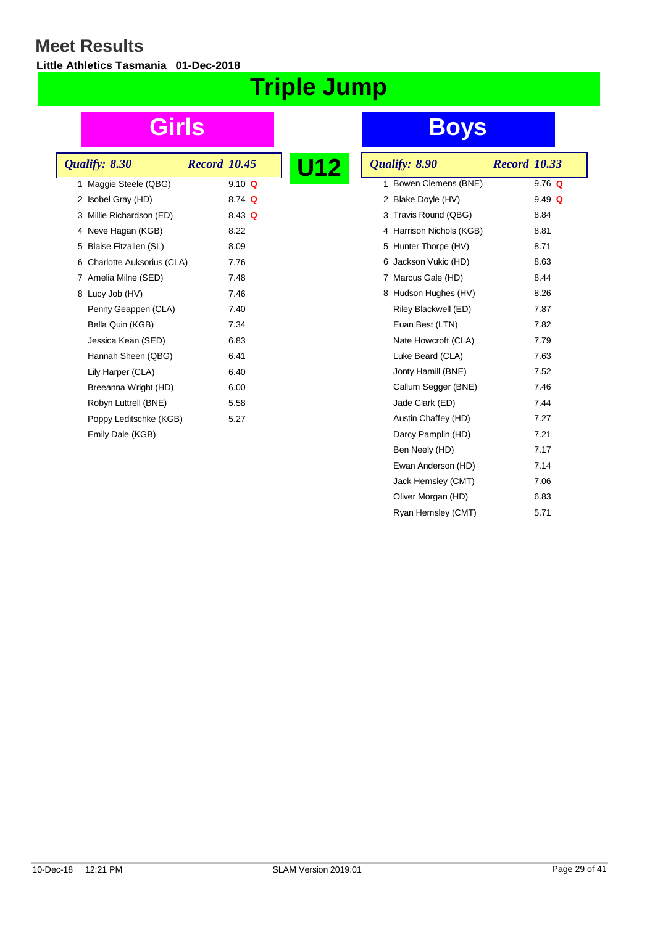**Little Athletics Tasmania 01-Dec-2018**

# **Triple Jump**

| Qualify: 8.30               | <b>Record 10.45</b> | U12 |
|-----------------------------|---------------------|-----|
| 1 Maggie Steele (QBG)       | $9.10 \Omega$       |     |
| 2 Isobel Gray (HD)          | 8.74 Q              |     |
| 3 Millie Richardson (ED)    | 8.43 $Q$            |     |
| 4 Neve Hagan (KGB)          | 8.22                |     |
| 5 Blaise Fitzallen (SL)     | 8.09                |     |
| 6 Charlotte Auksorius (CLA) | 7.76                |     |
| 7 Amelia Milne (SED)        | 7.48                |     |
| 8 Lucy Job (HV)             | 7.46                |     |
| Penny Geappen (CLA)         | 7.40                |     |
| Bella Quin (KGB)            | 7.34                |     |
| Jessica Kean (SED)          | 6.83                |     |
| Hannah Sheen (QBG)          | 6.41                |     |
| Lily Harper (CLA)           | 6.40                |     |
| Breeanna Wright (HD)        | 6.00                |     |
| Robyn Luttrell (BNE)        | 5.58                |     |
| Poppy Leditschke (KGB)      | 5.27                |     |
| Emily Dale (KGB)            |                     |     |
|                             |                     |     |

| <u> 12</u> | Qualify: 8.90            | <b>Record 10.33</b> |
|------------|--------------------------|---------------------|
|            | Bowen Clemens (BNE)<br>1 | $9.76$ Q            |
|            | 2 Blake Doyle (HV)       | $9.49$ Q            |
|            | 3 Travis Round (QBG)     | 8.84                |
|            | 4 Harrison Nichols (KGB) | 8.81                |
|            | 5 Hunter Thorpe (HV)     | 8.71                |
|            | Jackson Vukic (HD)<br>6  | 8.63                |
|            | 7 Marcus Gale (HD)       | 8.44                |
|            | 8 Hudson Hughes (HV)     | 8.26                |
|            | Riley Blackwell (ED)     | 7.87                |
|            | Euan Best (LTN)          | 7.82                |
|            | Nate Howcroft (CLA)      | 7.79                |
|            | Luke Beard (CLA)         | 7.63                |
|            | Jonty Hamill (BNE)       | 7.52                |
|            | Callum Segger (BNE)      | 7.46                |
|            | Jade Clark (ED)          | 7.44                |
|            | Austin Chaffey (HD)      | 7.27                |
|            | Darcy Pamplin (HD)       | 7.21                |
|            | Ben Neely (HD)           | 7.17                |
|            | Ewan Anderson (HD)       | 7.14                |
|            | Jack Hemsley (CMT)       | 7.06                |
|            | Oliver Morgan (HD)       | 6.83                |
|            | Ryan Hemsley (CMT)       | 5.71                |
|            |                          |                     |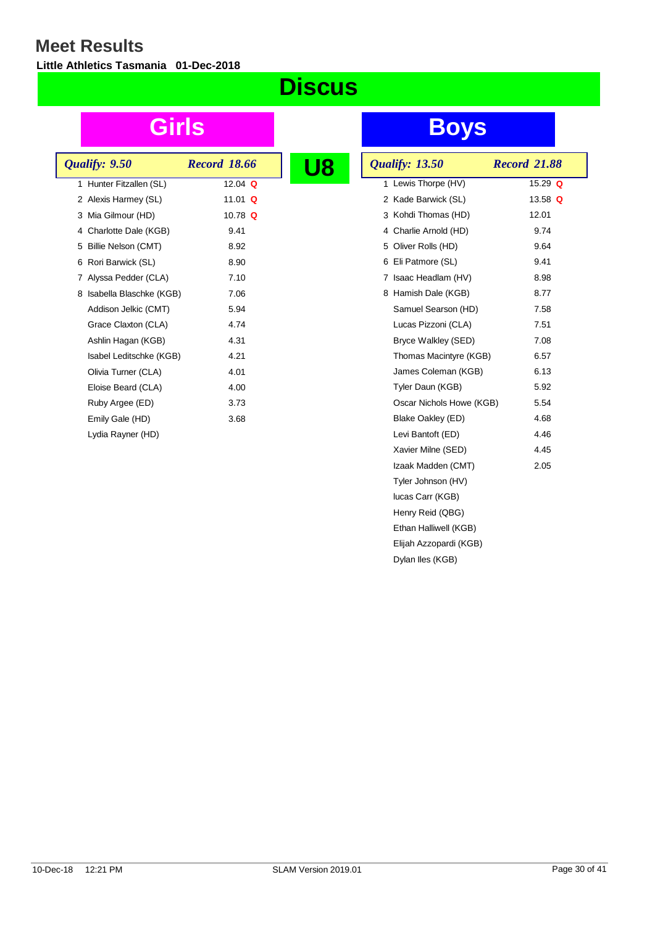**Little Athletics Tasmania 01-Dec-2018**

## **Discus**

| Qualify: 9.50                | <b>Record 18.66</b> |  |
|------------------------------|---------------------|--|
| Hunter Fitzallen (SL)<br>1   | 12.04 $\Omega$      |  |
| 2 Alexis Harmey (SL)         | 11.01 Q             |  |
| 3 Mia Gilmour (HD)           | 10.78 $Q$           |  |
| 4 Charlotte Dale (KGB)       | 9.41                |  |
| 5 Billie Nelson (CMT)        | 8.92                |  |
| Rori Barwick (SL)<br>6       | 8.90                |  |
| Alyssa Pedder (CLA)<br>7     | 7.10                |  |
| Isabella Blaschke (KGB)<br>8 | 7.06                |  |
| Addison Jelkic (CMT)         | 5.94                |  |
| Grace Claxton (CLA)          | 4.74                |  |
| Ashlin Hagan (KGB)           | 4.31                |  |
| Isabel Leditschke (KGB)      | 4.21                |  |
| Olivia Turner (CLA)          | 4.01                |  |
| Eloise Beard (CLA)           | 4.00                |  |
| Ruby Argee (ED)              | 3.73                |  |
| Emily Gale (HD)              | 3.68                |  |
| Lydia Rayner (HD)            |                     |  |
|                              |                     |  |

| <b>Qualify: 13.50</b>    | <b>Record 21.88</b> |
|--------------------------|---------------------|
| 1 Lewis Thorpe (HV)      | 15.29 $Q$           |
| 2 Kade Barwick (SL)      | 13.58 Q             |
| 3 Kohdi Thomas (HD)      | 12.01               |
| 4 Charlie Arnold (HD)    | 9.74                |
| 5 Oliver Rolls (HD)      | 9.64                |
| 6 Eli Patmore (SL)       | 9.41                |
| 7 Isaac Headlam (HV)     | 8.98                |
| 8 Hamish Dale (KGB)      | 8.77                |
| Samuel Searson (HD)      | 7.58                |
| Lucas Pizzoni (CLA)      | 7.51                |
| Bryce Walkley (SED)      | 7.08                |
| Thomas Macintyre (KGB)   | 6.57                |
| James Coleman (KGB)      | 6.13                |
| Tyler Daun (KGB)         | 5.92                |
| Oscar Nichols Howe (KGB) | 5.54                |
| Blake Oakley (ED)        | 4.68                |
| Levi Bantoft (ED)        | 4.46                |
| Xavier Milne (SED)       | 4.45                |
| Izaak Madden (CMT)       | 2.05                |
| Tyler Johnson (HV)       |                     |
| lucas Carr (KGB)         |                     |
| Henry Reid (QBG)         |                     |
| Ethan Halliwell (KGB)    |                     |
| Elijah Azzopardi (KGB)   |                     |
| Dylan Iles (KGB)         |                     |
|                          |                     |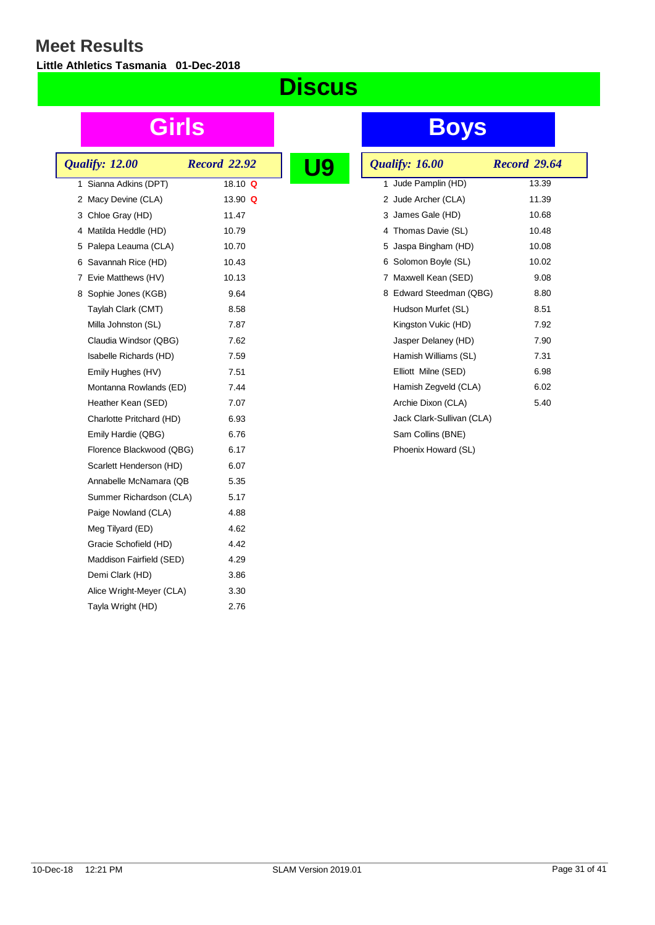**Little Athletics Tasmania 01-Dec-2018**

## **Discus**

|  | Qualify: 12.00           | <b>Record 22.92</b> |  |
|--|--------------------------|---------------------|--|
|  | 1 Sianna Adkins (DPT)    | 18.10 $Q$           |  |
|  | 2 Macy Devine (CLA)      | 13.90 Q             |  |
|  | 3 Chloe Gray (HD)        | 11.47               |  |
|  | 4 Matilda Heddle (HD)    | 10.79               |  |
|  | 5 Palepa Leauma (CLA)    | 10.70               |  |
|  | 6 Savannah Rice (HD)     | 10.43               |  |
|  | 7 Evie Matthews (HV)     | 10.13               |  |
|  | 8 Sophie Jones (KGB)     | 9.64                |  |
|  | Taylah Clark (CMT)       | 8.58                |  |
|  | Milla Johnston (SL)      | 7.87                |  |
|  | Claudia Windsor (QBG)    | 7.62                |  |
|  | Isabelle Richards (HD)   | 7.59                |  |
|  | Emily Hughes (HV)        | 7.51                |  |
|  | Montanna Rowlands (ED)   | 7.44                |  |
|  | Heather Kean (SED)       | 7.07                |  |
|  | Charlotte Pritchard (HD) | 6.93                |  |
|  | Emily Hardie (QBG)       | 6.76                |  |
|  | Florence Blackwood (QBG) | 6.17                |  |
|  | Scarlett Henderson (HD)  | 6.07                |  |
|  | Annabelle McNamara (QB   | 5.35                |  |
|  | Summer Richardson (CLA)  | 5.17                |  |
|  | Paige Nowland (CLA)      | 4.88                |  |
|  | Meg Tilyard (ED)         | 4.62                |  |
|  | Gracie Schofield (HD)    | 4.42                |  |
|  | Maddison Fairfield (SED) | 4.29                |  |
|  | Demi Clark (HD)          | 3.86                |  |
|  | Alice Wright-Meyer (CLA) | 3.30                |  |
|  | Tayla Wright (HD)        | 2.76                |  |
|  |                          |                     |  |

| <b>Qualify: 16.00</b>     | <b>Record 29.64</b> |
|---------------------------|---------------------|
| 1 Jude Pamplin (HD)       | 13.39               |
| 2 Jude Archer (CLA)       | 11.39               |
| 3 James Gale (HD)         | 10.68               |
| 4 Thomas Davie (SL)       | 10.48               |
| 5 Jaspa Bingham (HD)      | 10.08               |
| 6 Solomon Boyle (SL)      | 10.02               |
| 7 Maxwell Kean (SED)      | 9.08                |
| 8 Edward Steedman (QBG)   | 8.80                |
| Hudson Murfet (SL)        | 8.51                |
| Kingston Vukic (HD)       | 7.92                |
| Jasper Delaney (HD)       | 7.90                |
| Hamish Williams (SL)      | 7.31                |
| Elliott Milne (SED)       | 6.98                |
| Hamish Zegveld (CLA)      | 6.02                |
| Archie Dixon (CLA)        | 5.40                |
| Jack Clark-Sullivan (CLA) |                     |
| Sam Collins (BNE)         |                     |
| Phoenix Howard (SL)       |                     |
|                           |                     |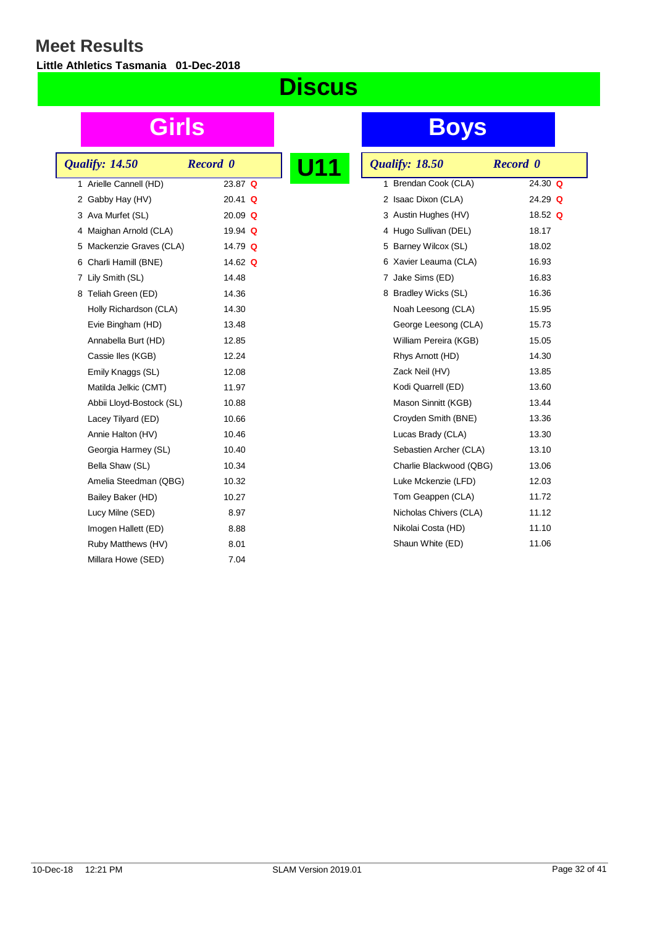**Little Athletics Tasmania 01-Dec-2018**

## **Discus**

|  | <b>Qualify: 14.50</b>    | <b>Record</b> 0 |  |
|--|--------------------------|-----------------|--|
|  | 1 Arielle Cannell (HD)   | $23.87$ Q       |  |
|  | 2 Gabby Hay (HV)         | $20.41$ Q       |  |
|  | 3 Ava Murfet (SL)        | 20.09 Q         |  |
|  | 4 Maighan Arnold (CLA)   | 19.94 $Q$       |  |
|  | 5 Mackenzie Graves (CLA) | 14.79 $Q$       |  |
|  | 6 Charli Hamill (BNE)    | 14.62 $\Omega$  |  |
|  | 7 Lily Smith (SL)        | 14.48           |  |
|  | 8 Teliah Green (ED)      | 14.36           |  |
|  | Holly Richardson (CLA)   | 14.30           |  |
|  | Evie Bingham (HD)        | 13.48           |  |
|  | Annabella Burt (HD)      | 12.85           |  |
|  | Cassie Iles (KGB)        | 12.24           |  |
|  | Emily Knaggs (SL)        | 12.08           |  |
|  | Matilda Jelkic (CMT)     | 11.97           |  |
|  | Abbii Lloyd-Bostock (SL) | 10.88           |  |
|  | Lacey Tilyard (ED)       | 10.66           |  |
|  | Annie Halton (HV)        | 10.46           |  |
|  | Georgia Harmey (SL)      | 10.40           |  |
|  | Bella Shaw (SL)          | 10.34           |  |
|  | Amelia Steedman (QBG)    | 10.32           |  |
|  | Bailey Baker (HD)        | 10.27           |  |
|  | Lucy Milne (SED)         | 8.97            |  |
|  | Imogen Hallett (ED)      | 8.88            |  |
|  | Ruby Matthews (HV)       | 8.01            |  |
|  | Millara Howe (SED)       | 7.04            |  |
|  |                          |                 |  |

| <b>Qualify: 18.50</b>    | <b>Record</b> 0 |
|--------------------------|-----------------|
| Brendan Cook (CLA)<br>1. | 24.30 $Q$       |
| 2 Isaac Dixon (CLA)      | 24.29 $Q$       |
| 3 Austin Hughes (HV)     | 18.52 $Q$       |
| 4 Hugo Sullivan (DEL)    | 18.17           |
| 5 Barney Wilcox (SL)     | 18.02           |
| Xavier Leauma (CLA)<br>6 | 16.93           |
| 7 Jake Sims (ED)         | 16.83           |
| 8 Bradley Wicks (SL)     | 16.36           |
| Noah Leesong (CLA)       | 15.95           |
| George Leesong (CLA)     | 15.73           |
| William Pereira (KGB)    | 15.05           |
| Rhys Arnott (HD)         | 14.30           |
| Zack Neil (HV)           | 13.85           |
| Kodi Quarrell (ED)       | 13.60           |
| Mason Sinnitt (KGB)      | 13.44           |
| Croyden Smith (BNE)      | 13.36           |
| Lucas Brady (CLA)        | 13.30           |
| Sebastien Archer (CLA)   | 13.10           |
| Charlie Blackwood (QBG)  | 13.06           |
| Luke Mckenzie (LFD)      | 12.03           |
| Tom Geappen (CLA)        | 11.72           |
| Nicholas Chivers (CLA)   | 11.12           |
| Nikolai Costa (HD)       | 11.10           |
| Shaun White (ED)         | 11.06           |
|                          |                 |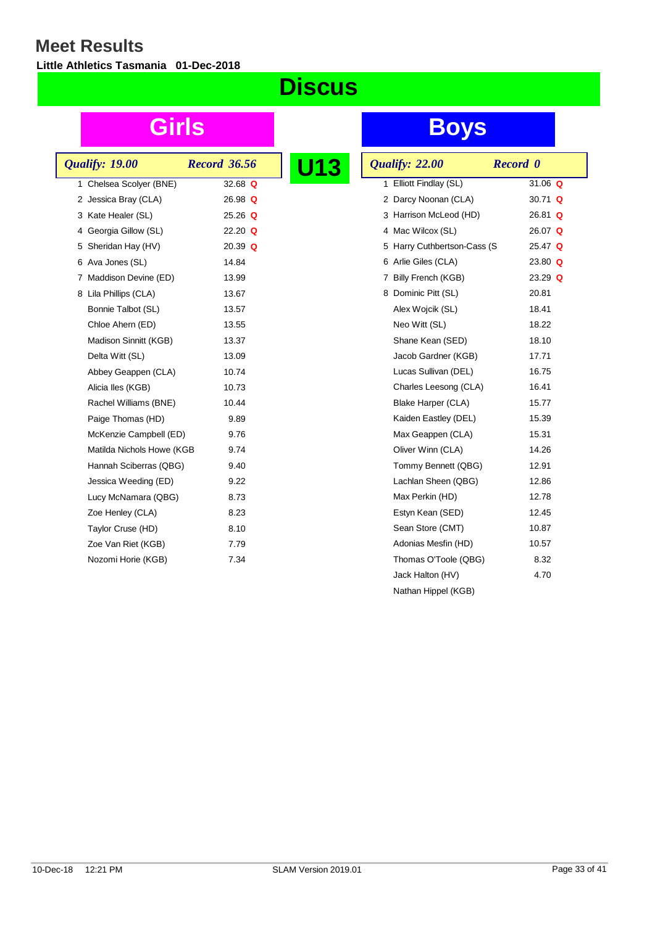**Little Athletics Tasmania 01-Dec-2018**

## **Discus**

| <b>Qualify: 19.00</b>     | <b>Record 36.56</b> |  |
|---------------------------|---------------------|--|
| 1 Chelsea Scolyer (BNE)   | 32.68 $Q$           |  |
| 2 Jessica Bray (CLA)      | $26.98$ Q           |  |
| 3 Kate Healer (SL)        | $25.26$ Q           |  |
| 4 Georgia Gillow (SL)     | $22.20$ Q           |  |
| 5 Sheridan Hay (HV)       | 20.39 $Q$           |  |
| 6 Ava Jones (SL)          | 14.84               |  |
| 7 Maddison Devine (ED)    | 13.99               |  |
| 8 Lila Phillips (CLA)     | 13.67               |  |
| Bonnie Talbot (SL)        | 13.57               |  |
| Chloe Ahern (ED)          | 13.55               |  |
| Madison Sinnitt (KGB)     | 13.37               |  |
| Delta Witt (SL)           | 13.09               |  |
| Abbey Geappen (CLA)       | 10.74               |  |
| Alicia lles (KGB)         | 10.73               |  |
| Rachel Williams (BNE)     | 10.44               |  |
| Paige Thomas (HD)         | 9.89                |  |
| McKenzie Campbell (ED)    | 9.76                |  |
| Matilda Nichols Howe (KGB | 9.74                |  |
| Hannah Sciberras (QBG)    | 9.40                |  |
| Jessica Weeding (ED)      | 9.22                |  |
| Lucy McNamara (QBG)       | 8.73                |  |
| Zoe Henley (CLA)          | 8.23                |  |
| Taylor Cruse (HD)         | 8.10                |  |
| Zoe Van Riet (KGB)        | 7.79                |  |
| Nozomi Horie (KGB)        | 7.34                |  |
|                           |                     |  |

| <b>U13</b> | Qualify: 22.00              | <b>Record</b> 0 |
|------------|-----------------------------|-----------------|
|            | 1 Elliott Findlay (SL)      | 31.06 $Q$       |
|            | 2 Darcy Noonan (CLA)        | 30.71 $Q$       |
|            | 3 Harrison McLeod (HD)      | $26.81$ Q       |
|            | 4 Mac Wilcox (SL)           | 26.07 $Q$       |
|            | 5 Harry Cuthbertson-Cass (S | $25.47$ Q       |
|            | 6 Arlie Giles (CLA)         | 23.80 $Q$       |
|            | 7 Billy French (KGB)        | 23.29 $Q$       |
|            | 8 Dominic Pitt (SL)         | 20.81           |
|            | Alex Wojcik (SL)            | 18.41           |
|            | Neo Witt (SL)               | 18.22           |
|            | Shane Kean (SED)            | 18.10           |
|            | Jacob Gardner (KGB)         | 17.71           |
|            | Lucas Sullivan (DEL)        | 16.75           |
|            | Charles Leesong (CLA)       | 16.41           |
|            | Blake Harper (CLA)          | 15.77           |
|            | Kaiden Eastley (DEL)        | 15.39           |
|            | Max Geappen (CLA)           | 15.31           |
|            | Oliver Winn (CLA)           | 14.26           |
|            | Tommy Bennett (QBG)         | 12.91           |
|            | Lachlan Sheen (QBG)         | 12.86           |
|            | Max Perkin (HD)             | 12.78           |
|            | Estyn Kean (SED)            | 12.45           |
|            | Sean Store (CMT)            | 10.87           |
|            | Adonias Mesfin (HD)         | 10.57           |
|            | Thomas O'Toole (QBG)        | 8.32            |
|            | Jack Halton (HV)            | 4.70            |
|            | Nathan Hippel (KGB)         |                 |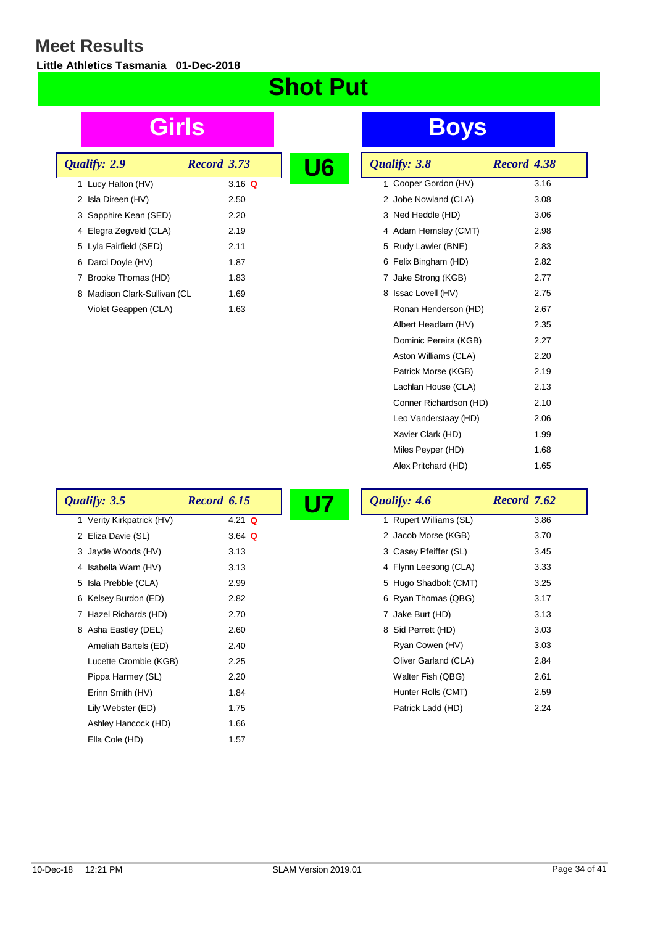$\lceil$ 

**Little Athletics Tasmania 01-Dec-2018**

### **Shot Put**

| Qualify: 2.9                 | <b>Record</b> 3.73 | U6 |
|------------------------------|--------------------|----|
| 1 Lucy Halton (HV)           | 3.16 Q             |    |
| 2 Isla Direen (HV)           | 2.50               |    |
| 3 Sapphire Kean (SED)        | 2.20               |    |
| 4 Elegra Zegveld (CLA)       | 2.19               |    |
| 5 Lyla Fairfield (SED)       | 2.11               |    |
| 6 Darci Doyle (HV)           | 1.87               |    |
| 7 Brooke Thomas (HD)         | 1.83               |    |
| 8 Madison Clark-Sullivan (CL | 1.69               |    |
| Violet Geappen (CLA)         | 1.63               |    |

## **Girls Boys**

| 6 | Qualify: 3.8           | Record 4.38 |      |
|---|------------------------|-------------|------|
|   | 1 Cooper Gordon (HV)   |             | 3.16 |
|   | 2 Jobe Nowland (CLA)   |             | 3.08 |
|   | 3 Ned Heddle (HD)      |             | 3.06 |
|   | 4 Adam Hemsley (CMT)   |             | 2.98 |
|   | 5 Rudy Lawler (BNE)    |             | 2.83 |
|   | 6 Felix Bingham (HD)   |             | 2.82 |
|   | 7 Jake Strong (KGB)    |             | 2.77 |
|   | 8 Issac Lovell (HV)    |             | 2.75 |
|   | Ronan Henderson (HD)   |             | 2.67 |
|   | Albert Headlam (HV)    |             | 2.35 |
|   | Dominic Pereira (KGB)  |             | 2.27 |
|   | Aston Williams (CLA)   |             | 2.20 |
|   | Patrick Morse (KGB)    |             | 2.19 |
|   | Lachlan House (CLA)    |             | 2.13 |
|   | Conner Richardson (HD) |             | 2.10 |
|   | Leo Vanderstaay (HD)   |             | 2.06 |
|   | Xavier Clark (HD)      |             | 1.99 |
|   | Miles Peyper (HD)      |             | 1.68 |
|   | Alex Pritchard (HD)    |             | 1.65 |

| Qualify: 3.5              | Record 6.15 | Qualify: 4.6           | Record 7.62 |
|---------------------------|-------------|------------------------|-------------|
| 1 Verity Kirkpatrick (HV) | 4.21 $Q$    | 1 Rupert Williams (SL) | 3.86        |
| 2 Eliza Davie (SL)        | 3.64 $Q$    | 2 Jacob Morse (KGB)    | 3.70        |
| 3 Jayde Woods (HV)        | 3.13        | 3 Casey Pfeiffer (SL)  | 3.45        |
| 4 Isabella Warn (HV)      | 3.13        | 4 Flynn Leesong (CLA)  | 3.33        |
| 5 Isla Prebble (CLA)      | 2.99        | 5 Hugo Shadbolt (CMT)  | 3.25        |
| 6 Kelsey Burdon (ED)      | 2.82        | 6 Ryan Thomas (QBG)    | 3.17        |
| 7 Hazel Richards (HD)     | 2.70        | 7 Jake Burt (HD)       | 3.13        |
| 8 Asha Eastley (DEL)      | 2.60        | 8 Sid Perrett (HD)     | 3.03        |
| Ameliah Bartels (ED)      | 2.40        | Ryan Cowen (HV)        | 3.03        |
| Lucette Crombie (KGB)     | 2.25        | Oliver Garland (CLA)   | 2.84        |
| Pippa Harmey (SL)         | 2.20        | Walter Fish (QBG)      | 2.61        |
| Erinn Smith (HV)          | 1.84        | Hunter Rolls (CMT)     | 2.59        |
| Lily Webster (ED)         | 1.75        | Patrick Ladd (HD)      | 2.24        |
| Ashley Hancock (HD)       | 1.66        |                        |             |
| Ella Cole (HD)            | 1.57        |                        |             |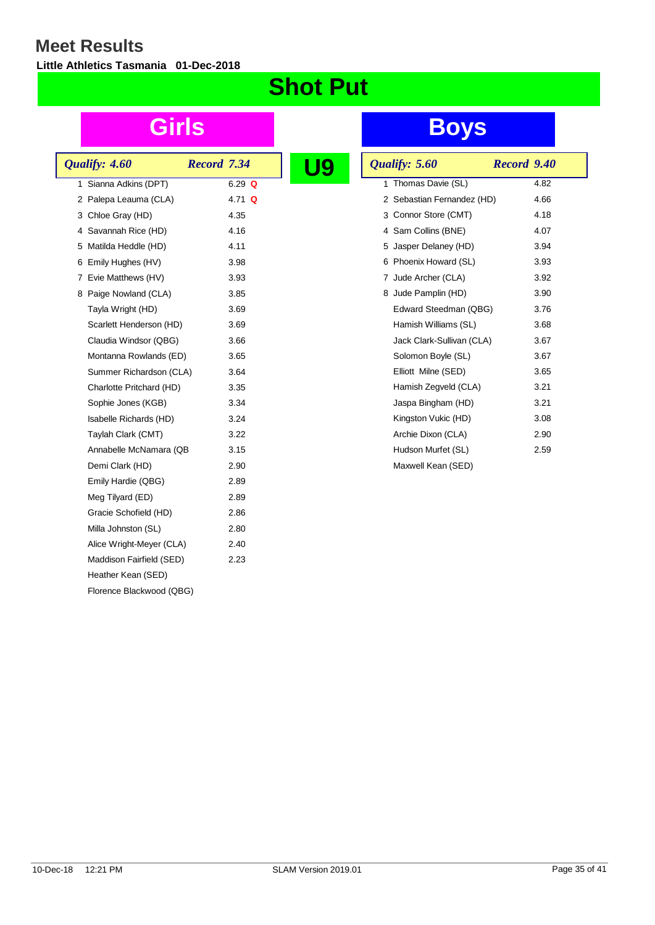**Little Athletics Tasmania 01-Dec-2018**

## **Shot Put**

| Qualify: 4.60            | <b>Record 7.34</b> |  |
|--------------------------|--------------------|--|
|                          |                    |  |
| 1 Sianna Adkins (DPT)    | $6.29$ Q           |  |
| 2 Palepa Leauma (CLA)    | 4.71 Q             |  |
| 3 Chloe Gray (HD)        | 4.35               |  |
| 4 Savannah Rice (HD)     | 4.16               |  |
| 5 Matilda Heddle (HD)    | 4.11               |  |
| 6 Emily Hughes (HV)      | 3.98               |  |
| 7 Evie Matthews (HV)     | 3.93               |  |
| 8 Paige Nowland (CLA)    | 3.85               |  |
| Tayla Wright (HD)        | 3.69               |  |
| Scarlett Henderson (HD)  | 3.69               |  |
| Claudia Windsor (QBG)    | 3.66               |  |
| Montanna Rowlands (ED)   | 3.65               |  |
| Summer Richardson (CLA)  | 3.64               |  |
| Charlotte Pritchard (HD) | 3.35               |  |
| Sophie Jones (KGB)       | 3.34               |  |
| Isabelle Richards (HD)   | 3.24               |  |
| Taylah Clark (CMT)       | 3.22               |  |
| Annabelle McNamara (QB   | 3.15               |  |
| Demi Clark (HD)          | 2.90               |  |
| Emily Hardie (QBG)       | 2.89               |  |
| Meg Tilyard (ED)         | 2.89               |  |
| Gracie Schofield (HD)    | 2.86               |  |
| Milla Johnston (SL)      | 2.80               |  |
| Alice Wright-Meyer (CLA) | 2.40               |  |
| Maddison Fairfield (SED) | 2.23               |  |
| Heather Kean (SED)       |                    |  |
| Florence Blackwood (QBG) |                    |  |
|                          |                    |  |

|  | Qualify: 5.60              | Record 9.40 |      |
|--|----------------------------|-------------|------|
|  | 1 Thomas Davie (SL)        |             | 4.82 |
|  | 2 Sebastian Fernandez (HD) |             | 4.66 |
|  | 3 Connor Store (CMT)       |             | 4.18 |
|  | 4 Sam Collins (BNE)        |             | 4.07 |
|  | 5 Jasper Delaney (HD)      |             | 3.94 |
|  | 6 Phoenix Howard (SL)      |             | 3.93 |
|  | 7 Jude Archer (CLA)        |             | 3.92 |
|  | 8 Jude Pamplin (HD)        |             | 3.90 |
|  | Edward Steedman (QBG)      |             | 3.76 |
|  | Hamish Williams (SL)       |             | 3.68 |
|  | Jack Clark-Sullivan (CLA)  |             | 3.67 |
|  | Solomon Boyle (SL)         |             | 3.67 |
|  | Elliott Milne (SED)        |             | 3.65 |
|  | Hamish Zegveld (CLA)       |             | 3.21 |
|  | Jaspa Bingham (HD)         |             | 3.21 |
|  | Kingston Vukic (HD)        |             | 3.08 |
|  | Archie Dixon (CLA)         |             | 2.90 |
|  | Hudson Murfet (SL)         |             | 2.59 |
|  | Maxwell Kean (SED)         |             |      |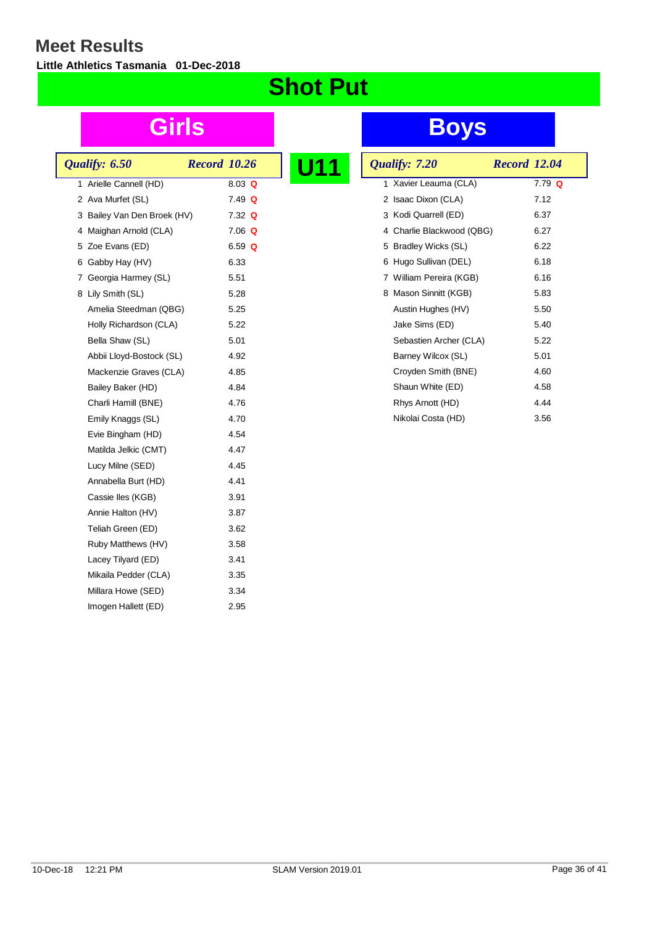**Little Athletics Tasmania 01-Dec-2018**

## **Shot Put**

| Qualify: 6.50                                   | <b>Record 10.26</b> |  |
|-------------------------------------------------|---------------------|--|
|                                                 |                     |  |
| 1 Arielle Cannell (HD)<br>2 Ava Murfet (SL)     | 8.03 Q<br>$7.49$ Q  |  |
| 3 Bailey Van Den Broek (HV)                     | $7.32$ Q            |  |
| 4 Maighan Arnold (CLA)                          | $7.06$ Q            |  |
|                                                 |                     |  |
| 5 Zoe Evans (ED)                                | 6.59 $Q$<br>6.33    |  |
| 6 Gabby Hay (HV)                                |                     |  |
| 7 Georgia Harmey (SL)                           | 5.51<br>5.28        |  |
| 8 Lily Smith (SL)                               | 5.25                |  |
| Amelia Steedman (QBG)<br>Holly Richardson (CLA) | 5.22                |  |
|                                                 |                     |  |
| Bella Shaw (SL)                                 | 5.01                |  |
| Abbii Lloyd-Bostock (SL)                        | 4.92                |  |
| Mackenzie Graves (CLA)                          | 4.85<br>4.84        |  |
| Bailey Baker (HD)                               |                     |  |
| Charli Hamill (BNE)                             | 4.76                |  |
| Emily Knaggs (SL)                               | 4.70<br>4.54        |  |
| Evie Bingham (HD)                               | 4.47                |  |
| Matilda Jelkic (CMT)                            |                     |  |
| Lucy Milne (SED)                                | 4.45                |  |
| Annabella Burt (HD)                             | 4.41                |  |
| Cassie Iles (KGB)                               | 3.91<br>3.87        |  |
| Annie Halton (HV)                               |                     |  |
| Teliah Green (ED)                               | 3.62                |  |
| Ruby Matthews (HV)                              | 3.58                |  |
| Lacey Tilyard (ED)                              | 3.41<br>3.35        |  |
| Mikaila Pedder (CLA)                            | 3.34                |  |
| Millara Howe (SED)<br>Imogen Hallett (ED)       | 2.95                |  |
|                                                 |                     |  |

| 11 |   | Qualify: 7.20             | <b>Record 12.04</b> |          |
|----|---|---------------------------|---------------------|----------|
|    |   | 1 Xavier Leauma (CLA)     |                     | $7.79$ Q |
|    | 2 | Isaac Dixon (CLA)         |                     | 7.12     |
|    |   | 3 Kodi Quarrell (ED)      |                     | 6.37     |
|    |   | 4 Charlie Blackwood (QBG) |                     | 6.27     |
|    |   | 5 Bradley Wicks (SL)      |                     | 6.22     |
|    |   | 6 Hugo Sullivan (DEL)     |                     | 6.18     |
|    | 7 | William Pereira (KGB)     |                     | 6.16     |
|    | 8 | Mason Sinnitt (KGB)       |                     | 5.83     |
|    |   | Austin Hughes (HV)        |                     | 5.50     |
|    |   | Jake Sims (ED)            |                     | 5.40     |
|    |   | Sebastien Archer (CLA)    |                     | 5.22     |
|    |   | Barney Wilcox (SL)        |                     | 5.01     |
|    |   | Croyden Smith (BNE)       |                     | 4.60     |
|    |   | Shaun White (ED)          |                     | 4.58     |
|    |   | Rhys Arnott (HD)          |                     | 4.44     |
|    |   | Nikolai Costa (HD)        |                     | 3.56     |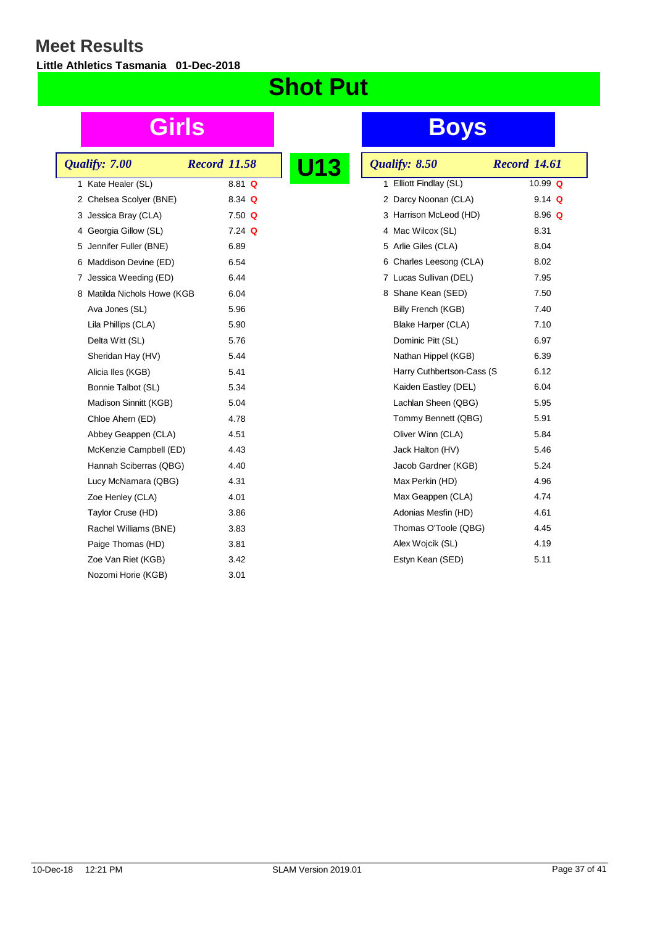**Little Athletics Tasmania 01-Dec-2018**

## **Shot Put**

|  | Qualify: 7.00               | <b>Record 11.58</b> |          |  |
|--|-----------------------------|---------------------|----------|--|
|  | 1 Kate Healer (SL)          |                     | $8.81$ Q |  |
|  | 2 Chelsea Scolyer (BNE)     |                     | 8.34 Q   |  |
|  | 3 Jessica Bray (CLA)        |                     | $7.50$ Q |  |
|  | 4 Georgia Gillow (SL)       |                     | $7.24$ Q |  |
|  | 5 Jennifer Fuller (BNE)     |                     | 6.89     |  |
|  | 6 Maddison Devine (ED)      |                     | 6.54     |  |
|  | 7 Jessica Weeding (ED)      |                     | 6.44     |  |
|  | 8 Matilda Nichols Howe (KGB |                     | 6.04     |  |
|  | Ava Jones (SL)              |                     | 5.96     |  |
|  | Lila Phillips (CLA)         |                     | 5.90     |  |
|  | Delta Witt (SL)             |                     | 5.76     |  |
|  | Sheridan Hay (HV)           |                     | 5.44     |  |
|  | Alicia lles (KGB)           |                     | 5.41     |  |
|  | Bonnie Talbot (SL)          |                     | 5.34     |  |
|  | Madison Sinnitt (KGB)       |                     | 5.04     |  |
|  | Chloe Ahern (ED)            |                     | 4.78     |  |
|  | Abbey Geappen (CLA)         |                     | 4.51     |  |
|  | McKenzie Campbell (ED)      |                     | 4.43     |  |
|  | Hannah Sciberras (QBG)      |                     | 4.40     |  |
|  | Lucy McNamara (QBG)         |                     | 4.31     |  |
|  | Zoe Henley (CLA)            |                     | 4.01     |  |
|  | Taylor Cruse (HD)           |                     | 3.86     |  |
|  | Rachel Williams (BNE)       |                     | 3.83     |  |
|  | Paige Thomas (HD)           |                     | 3.81     |  |
|  | Zoe Van Riet (KGB)          |                     | 3.42     |  |
|  | Nozomi Horie (KGB)          |                     | 3.01     |  |
|  |                             |                     |          |  |

| <b>13</b> | Qualify: 8.50             | <b>Record 14.61</b> |
|-----------|---------------------------|---------------------|
|           | 1 Elliott Findlay (SL)    | 10.99 Q             |
|           | 2 Darcy Noonan (CLA)      | $9.14$ Q            |
|           | 3 Harrison McLeod (HD)    | 8.96 $Q$            |
|           | 4 Mac Wilcox (SL)         | 8.31                |
|           | 5 Arlie Giles (CLA)       | 8.04                |
|           | 6 Charles Leesong (CLA)   | 8.02                |
|           | 7 Lucas Sullivan (DEL)    | 7.95                |
|           | 8 Shane Kean (SED)        | 7.50                |
|           | Billy French (KGB)        | 7.40                |
|           | Blake Harper (CLA)        | 7.10                |
|           | Dominic Pitt (SL)         | 6.97                |
|           | Nathan Hippel (KGB)       | 6.39                |
|           | Harry Cuthbertson-Cass (S | 6.12                |
|           | Kaiden Eastley (DEL)      | 6.04                |
|           | Lachlan Sheen (QBG)       | 5.95                |
|           | Tommy Bennett (QBG)       | 5.91                |
|           | Oliver Winn (CLA)         | 5.84                |
|           | Jack Halton (HV)          | 5.46                |
|           | Jacob Gardner (KGB)       | 5.24                |
|           | Max Perkin (HD)           | 4.96                |
|           | Max Geappen (CLA)         | 4.74                |
|           | Adonias Mesfin (HD)       | 4.61                |
|           | Thomas O'Toole (QBG)      | 4.45                |
|           | Alex Wojcik (SL)          | 4.19                |
|           | Estyn Kean (SED)          | 5.11                |
|           |                           |                     |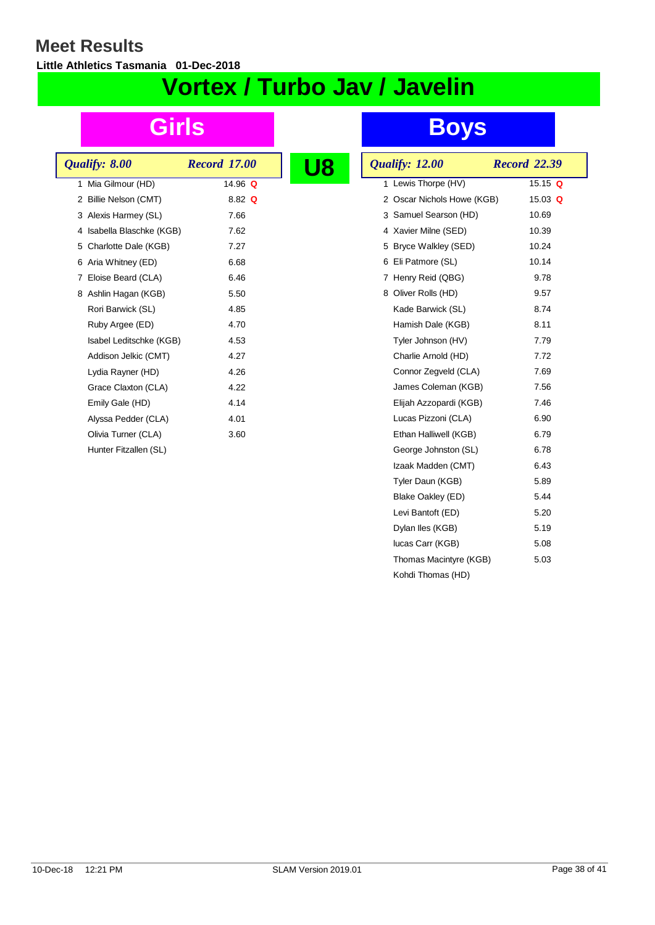**Little Athletics Tasmania 01-Dec-2018**

## **Vortex / Turbo Jav / Javelin**

| Qualify: 8.00             | <b>Record 17.00</b> |  |
|---------------------------|---------------------|--|
| 1 Mia Gilmour (HD)        | 14.96 $Q$           |  |
| 2 Billie Nelson (CMT)     | $8.82 \Omega$       |  |
| 3 Alexis Harmey (SL)      | 7.66                |  |
| 4 Isabella Blaschke (KGB) | 7.62                |  |
| 5 Charlotte Dale (KGB)    | 7.27                |  |
| 6 Aria Whitney (ED)       | 6.68                |  |
| Eloise Beard (CLA)<br>7   | 6.46                |  |
| 8 Ashlin Hagan (KGB)      | 5.50                |  |
| Rori Barwick (SL)         | 4.85                |  |
| Ruby Argee (ED)           | 4.70                |  |
| Isabel Leditschke (KGB)   | 4.53                |  |
| Addison Jelkic (CMT)      | 4.27                |  |
| Lydia Rayner (HD)         | 4.26                |  |
| Grace Claxton (CLA)       | 4.22                |  |
| Emily Gale (HD)           | 4.14                |  |
| Alyssa Pedder (CLA)       | 4.01                |  |
| Olivia Turner (CLA)       | 3.60                |  |
| Hunter Fitzallen (SL)     |                     |  |
|                           |                     |  |

| 18 | Qualify: 12.00             | <b>Record</b> 22.39 |
|----|----------------------------|---------------------|
|    | 1 Lewis Thorpe (HV)        | 15.15 $Q$           |
|    | 2 Oscar Nichols Howe (KGB) | 15.03 $Q$           |
|    | 3 Samuel Searson (HD)      | 10.69               |
|    | 4 Xavier Milne (SED)       | 10.39               |
|    | 5 Bryce Walkley (SED)      | 10.24               |
|    | 6 Eli Patmore (SL)         | 10.14               |
|    | 7 Henry Reid (QBG)         | 9.78                |
|    | 8 Oliver Rolls (HD)        | 9.57                |
|    | Kade Barwick (SL)          | 8.74                |
|    | Hamish Dale (KGB)          | 8.11                |
|    | Tyler Johnson (HV)         | 7.79                |
|    | Charlie Arnold (HD)        | 7.72                |
|    | Connor Zegveld (CLA)       | 7.69                |
|    | James Coleman (KGB)        | 7.56                |
|    | Elijah Azzopardi (KGB)     | 7.46                |
|    | Lucas Pizzoni (CLA)        | 6.90                |
|    | Ethan Halliwell (KGB)      | 6.79                |
|    | George Johnston (SL)       | 6.78                |
|    | Izaak Madden (CMT)         | 6.43                |
|    | Tyler Daun (KGB)           | 5.89                |
|    | Blake Oakley (ED)          | 5.44                |
|    | Levi Bantoft (ED)          | 5.20                |
|    | Dylan Iles (KGB)           | 5.19                |
|    | lucas Carr (KGB)           | 5.08                |
|    | Thomas Macintyre (KGB)     | 5.03                |
|    | Kohdi Thomas (HD)          |                     |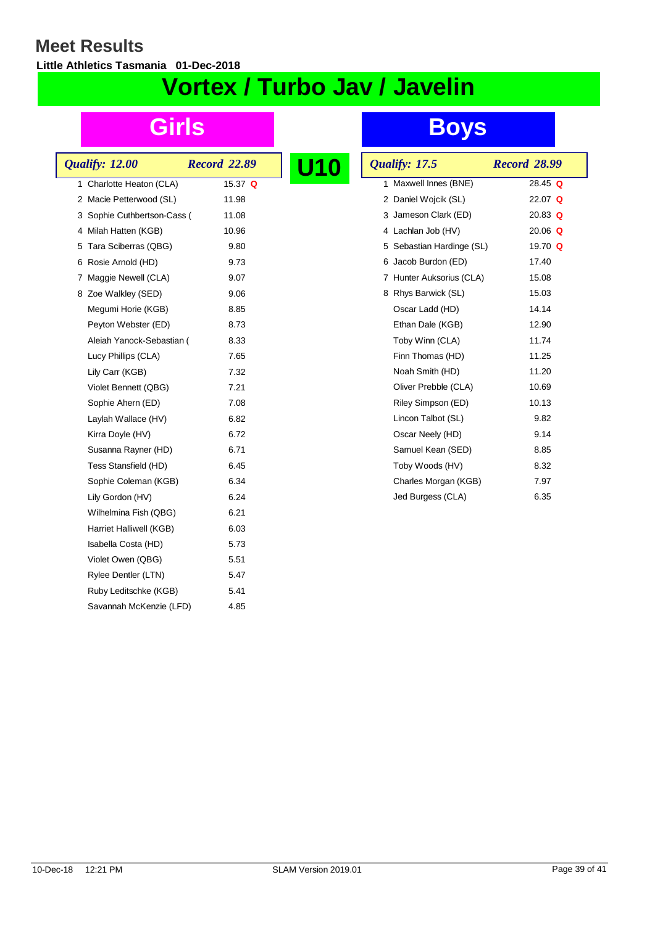**Little Athletics Tasmania 01-Dec-2018**

# **Vortex / Turbo Jav / Javelin**

| Qualify: 12.00               | <b>Record 22.89</b> |  |
|------------------------------|---------------------|--|
| Charlotte Heaton (CLA)<br>1. | 15.37 Q             |  |
| 2 Macie Petterwood (SL)      | 11.98               |  |
| 3 Sophie Cuthbertson-Cass (  | 11.08               |  |
| 4 Milah Hatten (KGB)         | 10.96               |  |
| 5 Tara Sciberras (QBG)       | 9.80                |  |
| 6 Rosie Arnold (HD)          | 9.73                |  |
| 7 Maggie Newell (CLA)        | 9.07                |  |
| 8 Zoe Walkley (SED)          | 9.06                |  |
| Megumi Horie (KGB)           | 8.85                |  |
| Peyton Webster (ED)          | 8.73                |  |
| Aleiah Yanock-Sebastian (    | 8.33                |  |
| Lucy Phillips (CLA)          | 7.65                |  |
| Lily Carr (KGB)              | 7.32                |  |
| Violet Bennett (QBG)         | 7.21                |  |
| Sophie Ahern (ED)            | 7.08                |  |
| Laylah Wallace (HV)          | 6.82                |  |
| Kirra Doyle (HV)             | 6.72                |  |
| Susanna Rayner (HD)          | 6.71                |  |
| Tess Stansfield (HD)         | 6.45                |  |
| Sophie Coleman (KGB)         | 6.34                |  |
| Lily Gordon (HV)             | 6.24                |  |
| Wilhelmina Fish (QBG)        | 6.21                |  |
| Harriet Halliwell (KGB)      | 6.03                |  |
| Isabella Costa (HD)          | 5.73                |  |
| Violet Owen (QBG)            | 5.51                |  |
| Rylee Dentler (LTN)          | 5.47                |  |
| Ruby Leditschke (KGB)        | 5.41                |  |
| Savannah McKenzie (LFD)      | 4.85                |  |
|                              |                     |  |

| <b>10</b> | Qualify: 17.5             | <b>Record 28.99</b> |
|-----------|---------------------------|---------------------|
|           | Maxwell Innes (BNE)<br>1  | $28.45$ Q           |
|           | 2 Daniel Wojcik (SL)      | 22.07 Q             |
|           | 3 Jameson Clark (ED)      | 20.83 $Q$           |
|           | 4 Lachlan Job (HV)        | 20.06 $Q$           |
|           | 5 Sebastian Hardinge (SL) | 19.70 Q             |
|           | Jacob Burdon (ED)<br>6    | 17.40               |
|           | 7 Hunter Auksorius (CLA)  | 15.08               |
|           | 8 Rhys Barwick (SL)       | 15.03               |
|           | Oscar Ladd (HD)           | 14.14               |
|           | Ethan Dale (KGB)          | 12.90               |
|           | Toby Winn (CLA)           | 11.74               |
|           | Finn Thomas (HD)          | 11.25               |
|           | Noah Smith (HD)           | 11.20               |
|           | Oliver Prebble (CLA)      | 10.69               |
|           | Riley Simpson (ED)        | 10.13               |
|           | Lincon Talbot (SL)        | 9.82                |
|           | Oscar Neely (HD)          | 9.14                |
|           | Samuel Kean (SED)         | 8.85                |
|           | Toby Woods (HV)           | 8.32                |
|           | Charles Morgan (KGB)      | 7.97                |
|           | Jed Burgess (CLA)         | 6.35                |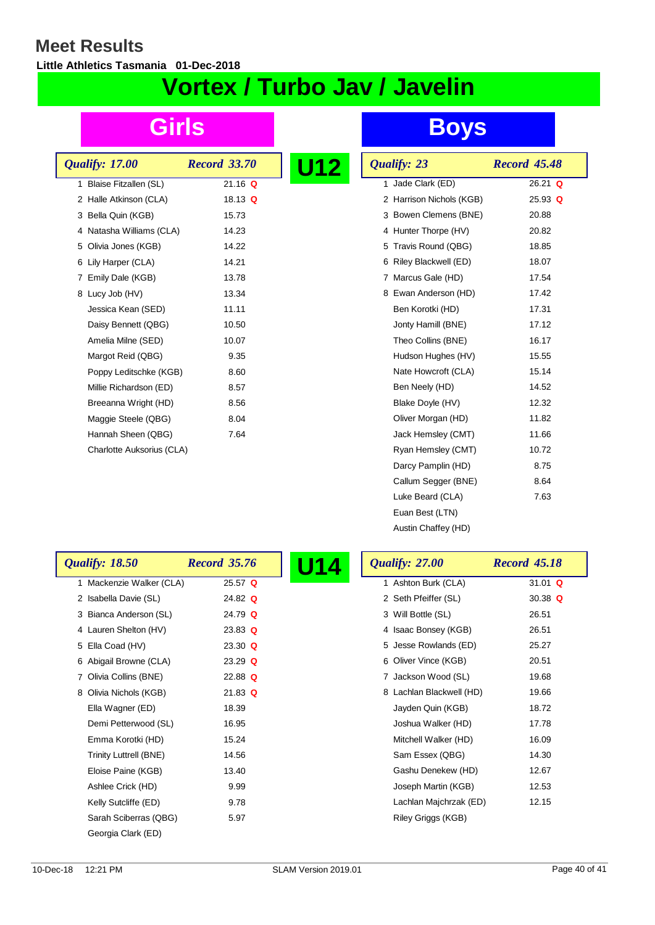$\overline{\phantom{a}}$ 

**Little Athletics Tasmania 01-Dec-2018**

# **Vortex / Turbo Jav / Javelin**

| Qualify: 17.00            | <b>Record 33.70</b> | U1<br>Р |
|---------------------------|---------------------|---------|
| 1 Blaise Fitzallen (SL)   | $21.16$ Q           |         |
| 2 Halle Atkinson (CLA)    | 18.13 Q             |         |
| 3 Bella Quin (KGB)        | 15.73               |         |
| 4 Natasha Williams (CLA)  | 14.23               |         |
| 5 Olivia Jones (KGB)      | 14.22               |         |
| 6 Lily Harper (CLA)       | 14.21               |         |
| 7 Emily Dale (KGB)        | 13.78               |         |
| 8 Lucy Job (HV)           | 13.34               |         |
| Jessica Kean (SED)        | 11.11               |         |
| Daisy Bennett (QBG)       | 10.50               |         |
| Amelia Milne (SED)        | 10.07               |         |
| Margot Reid (QBG)         | 9.35                |         |
| Poppy Leditschke (KGB)    | 8.60                |         |
| Millie Richardson (ED)    | 8.57                |         |
| Breeanna Wright (HD)      | 8.56                |         |
| Maggie Steele (QBG)       | 8.04                |         |
| Hannah Sheen (QBG)        | 7.64                |         |
| Charlotte Auksorius (CLA) |                     |         |

| Qualify: 23               | <b>Record 45.48</b> |
|---------------------------|---------------------|
| Jade Clark (ED)<br>1.     | 26.21 Q             |
| 2 Harrison Nichols (KGB)  | $25.93$ Q           |
| 3 Bowen Clemens (BNE)     | 20.88               |
| 4 Hunter Thorpe (HV)      | 20.82               |
| Travis Round (QBG)<br>5   | 18.85               |
| Riley Blackwell (ED)<br>6 | 18.07               |
| 7 Marcus Gale (HD)        | 17.54               |
| 8 Ewan Anderson (HD)      | 17.42               |
| Ben Korotki (HD)          | 17.31               |
| Jonty Hamill (BNE)        | 17.12               |
| Theo Collins (BNE)        | 16.17               |
| Hudson Hughes (HV)        | 15.55               |
| Nate Howcroft (CLA)       | 15.14               |
| Ben Neely (HD)            | 14.52               |
| Blake Doyle (HV)          | 12.32               |
| Oliver Morgan (HD)        | 11.82               |
| Jack Hemsley (CMT)        | 11.66               |
| Ryan Hemsley (CMT)        | 10.72               |
| Darcy Pamplin (HD)        | 8.75                |
| Callum Segger (BNE)       | 8.64                |
| Luke Beard (CLA)          | 7.63                |
| Euan Best (LTN)           |                     |
| Austin Chaffey (HD)       |                     |

| <b>Qualify: 18.50</b>    | <b>Record 35.76</b> | <b>Qualify: 27.00</b>    | <b>Record 45.18</b> |
|--------------------------|---------------------|--------------------------|---------------------|
| 1 Mackenzie Walker (CLA) | $25.57$ Q           | 1 Ashton Burk (CLA)      | 31.01 $Q$           |
| 2 Isabella Davie (SL)    | 24.82 $Q$           | 2 Seth Pfeiffer (SL)     | 30.38 $Q$           |
| 3 Bianca Anderson (SL)   | 24.79 $Q$           | 3 Will Bottle (SL)       | 26.51               |
| 4 Lauren Shelton (HV)    | 23.83 $Q$           | 4 Isaac Bonsey (KGB)     | 26.51               |
| 5 Ella Coad (HV)         | $23.30$ Q           | 5 Jesse Rowlands (ED)    | 25.27               |
| 6 Abigail Browne (CLA)   | $23.29$ Q           | 6 Oliver Vince (KGB)     | 20.51               |
| 7 Olivia Collins (BNE)   | 22.88 $Q$           | 7 Jackson Wood (SL)      | 19.68               |
| 8 Olivia Nichols (KGB)   | $21.83$ Q           | 8 Lachlan Blackwell (HD) | 19.66               |
| Ella Wagner (ED)         | 18.39               | Jayden Quin (KGB)        | 18.72               |
| Demi Petterwood (SL)     | 16.95               | Joshua Walker (HD)       | 17.78               |
| Emma Korotki (HD)        | 15.24               | Mitchell Walker (HD)     | 16.09               |
| Trinity Luttrell (BNE)   | 14.56               | Sam Essex (QBG)          | 14.30               |
| Eloise Paine (KGB)       | 13.40               | Gashu Denekew (HD)       | 12.67               |
| Ashlee Crick (HD)        | 9.99                | Joseph Martin (KGB)      | 12.53               |
| Kelly Sutcliffe (ED)     | 9.78                | Lachlan Majchrzak (ED)   | 12.15               |
| Sarah Sciberras (QBG)    | 5.97                | Riley Griggs (KGB)       |                     |
| Georgia Clark (ED)       |                     |                          |                     |